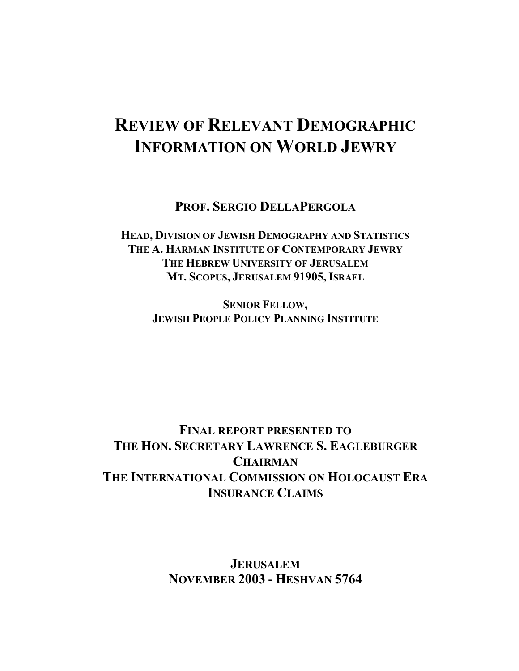# **REVIEW OF RELEVANT DEMOGRAPHIC INFORMATION ON WORLD JEWRY**

**PROF. SERGIO DELLAPERGOLA**

**HEAD, DIVISION OF JEWISH DEMOGRAPHY AND STATISTICS THE A. HARMAN INSTITUTE OF CONTEMPORARY JEWRY THE HEBREW UNIVERSITY OF JERUSALEM MT. SCOPUS, JERUSALEM 91905, ISRAEL**

> **SENIOR FELLOW, JEWISH PEOPLE POLICY PLANNING INSTITUTE**

# **FINAL REPORT PRESENTED TO THE HON. SECRETARY LAWRENCE S. EAGLEBURGER CHAIRMAN THE INTERNATIONAL COMMISSION ON HOLOCAUST ERA INSURANCE CLAIMS**

# **JERUSALEM NOVEMBER 2003 - HESHVAN 5764**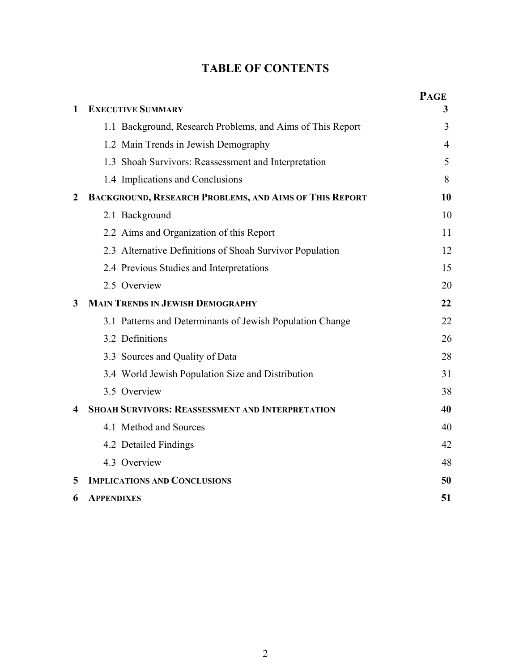# **TABLE OF CONTENTS**

|                  |                                                               | <b>PAGE</b> |
|------------------|---------------------------------------------------------------|-------------|
| 1                | <b>EXECUTIVE SUMMARY</b>                                      | 3           |
|                  | 1.1 Background, Research Problems, and Aims of This Report    | 3           |
|                  | 1.2 Main Trends in Jewish Demography                          | 4           |
|                  | 1.3 Shoah Survivors: Reassessment and Interpretation          | 5           |
|                  | 1.4 Implications and Conclusions                              | 8           |
| $\boldsymbol{2}$ | <b>BACKGROUND, RESEARCH PROBLEMS, AND AIMS OF THIS REPORT</b> | 10          |
|                  | 2.1 Background                                                | 10          |
|                  | 2.2 Aims and Organization of this Report                      | 11          |
|                  | 2.3 Alternative Definitions of Shoah Survivor Population      | 12          |
|                  | 2.4 Previous Studies and Interpretations                      | 15          |
|                  | 2.5 Overview                                                  | 20          |
| 3                | <b>MAIN TRENDS IN JEWISH DEMOGRAPHY</b>                       | 22          |
|                  | 3.1 Patterns and Determinants of Jewish Population Change     | 22          |
|                  | 3.2 Definitions                                               | 26          |
|                  | 3.3 Sources and Quality of Data                               | 28          |
|                  | 3.4 World Jewish Population Size and Distribution             | 31          |
|                  | 3.5 Overview                                                  | 38          |
| 4                | <b>SHOAH SURVIVORS: REASSESSMENT AND INTERPRETATION</b>       | 40          |
|                  | 4.1 Method and Sources                                        | 40          |
|                  | 4.2 Detailed Findings                                         | 42          |
|                  | 4.3 Overview                                                  | 48          |
| 5                | <b>IMPLICATIONS AND CONCLUSIONS</b>                           | 50          |
| 6                | <b>APPENDIXES</b>                                             | 51          |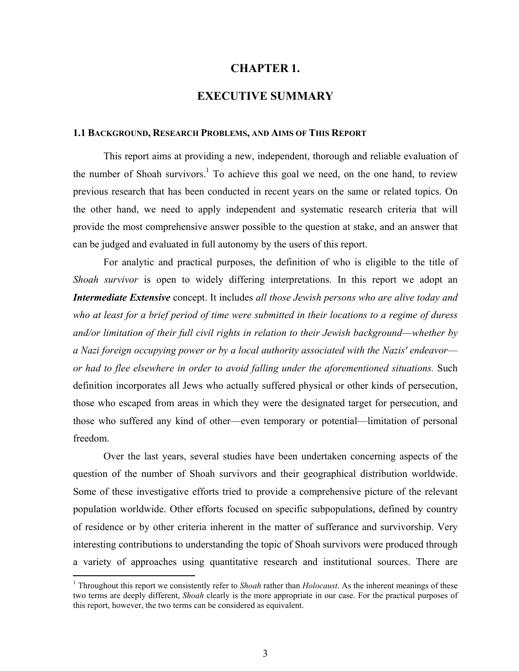## **CHAPTER 1.**

## **EXECUTIVE SUMMARY**

#### **1.1 BACKGROUND, RESEARCH PROBLEMS, AND AIMS OF THIS REPORT**

 This report aims at providing a new, independent, thorough and reliable evaluation of the number of Shoah survivors.<sup>1</sup> To achieve this goal we need, on the one hand, to review previous research that has been conducted in recent years on the same or related topics. On the other hand, we need to apply independent and systematic research criteria that will provide the most comprehensive answer possible to the question at stake, and an answer that can be judged and evaluated in full autonomy by the users of this report.

For analytic and practical purposes, the definition of who is eligible to the title of *Shoah survivor* is open to widely differing interpretations. In this report we adopt an *Intermediate Extensive* concept. It includes *all those Jewish persons who are alive today and who at least for a brief period of time were submitted in their locations to a regime of duress and/or limitation of their full civil rights in relation to their Jewish background*—*whether by a Nazi foreign occupying power or by a local authority associated with the Nazis' endeavor or had to flee elsewhere in order to avoid falling under the aforementioned situations.* Such definition incorporates all Jews who actually suffered physical or other kinds of persecution, those who escaped from areas in which they were the designated target for persecution, and those who suffered any kind of other—even temporary or potential—limitation of personal freedom.

Over the last years, several studies have been undertaken concerning aspects of the question of the number of Shoah survivors and their geographical distribution worldwide. Some of these investigative efforts tried to provide a comprehensive picture of the relevant population worldwide. Other efforts focused on specific subpopulations, defined by country of residence or by other criteria inherent in the matter of sufferance and survivorship. Very interesting contributions to understanding the topic of Shoah survivors were produced through a variety of approaches using quantitative research and institutional sources. There are

<sup>&</sup>lt;sup>1</sup> Throughout this report we consistently refer to *Shoah* rather than *Holocaust*. As the inherent meanings of these two terms are deeply different, *Shoah* clearly is the more appropriate in our case. For the practical purposes of this report, however, the two terms can be considered as equivalent.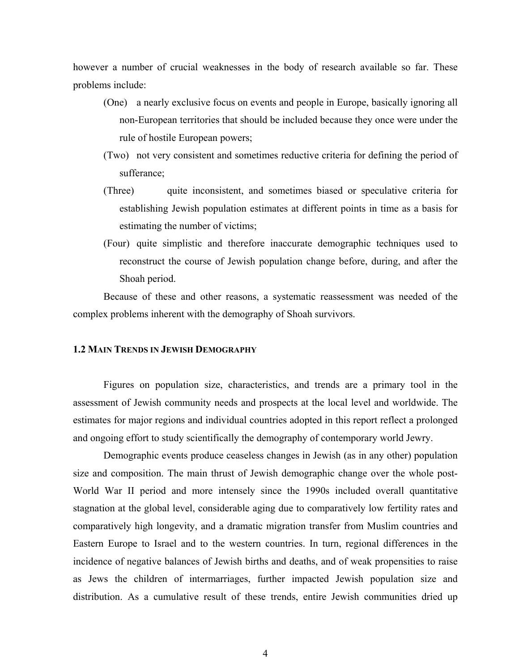however a number of crucial weaknesses in the body of research available so far. These problems include:

- (One) a nearly exclusive focus on events and people in Europe, basically ignoring all non-European territories that should be included because they once were under the rule of hostile European powers;
- (Two) not very consistent and sometimes reductive criteria for defining the period of sufferance;
- (Three) quite inconsistent, and sometimes biased or speculative criteria for establishing Jewish population estimates at different points in time as a basis for estimating the number of victims;
- (Four) quite simplistic and therefore inaccurate demographic techniques used to reconstruct the course of Jewish population change before, during, and after the Shoah period.

 Because of these and other reasons, a systematic reassessment was needed of the complex problems inherent with the demography of Shoah survivors.

### **1.2 MAIN TRENDS IN JEWISH DEMOGRAPHY**

Figures on population size, characteristics, and trends are a primary tool in the assessment of Jewish community needs and prospects at the local level and worldwide. The estimates for major regions and individual countries adopted in this report reflect a prolonged and ongoing effort to study scientifically the demography of contemporary world Jewry.

Demographic events produce ceaseless changes in Jewish (as in any other) population size and composition. The main thrust of Jewish demographic change over the whole post-World War II period and more intensely since the 1990s included overall quantitative stagnation at the global level, considerable aging due to comparatively low fertility rates and comparatively high longevity, and a dramatic migration transfer from Muslim countries and Eastern Europe to Israel and to the western countries. In turn, regional differences in the incidence of negative balances of Jewish births and deaths, and of weak propensities to raise as Jews the children of intermarriages, further impacted Jewish population size and distribution. As a cumulative result of these trends, entire Jewish communities dried up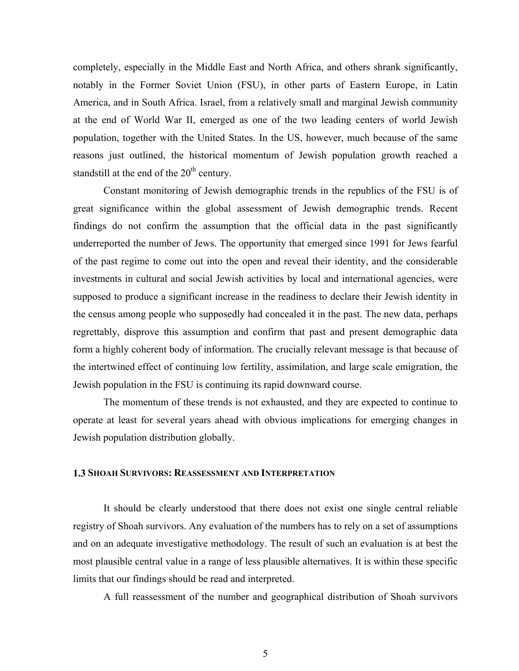completely, especially in the Middle East and North Africa, and others shrank significantly, notably in the Former Soviet Union (FSU), in other parts of Eastern Europe, in Latin America, and in South Africa. Israel, from a relatively small and marginal Jewish community at the end of World War II, emerged as one of the two leading centers of world Jewish population, together with the United States. In the US, however, much because of the same reasons just outlined, the historical momentum of Jewish population growth reached a standstill at the end of the  $20<sup>th</sup>$  century.

Constant monitoring of Jewish demographic trends in the republics of the FSU is of great significance within the global assessment of Jewish demographic trends. Recent findings do not confirm the assumption that the official data in the past significantly underreported the number of Jews. The opportunity that emerged since 1991 for Jews fearful of the past regime to come out into the open and reveal their identity, and the considerable investments in cultural and social Jewish activities by local and international agencies, were supposed to produce a significant increase in the readiness to declare their Jewish identity in the census among people who supposedly had concealed it in the past. The new data, perhaps regrettably, disprove this assumption and confirm that past and present demographic data form a highly coherent body of information. The crucially relevant message is that because of the intertwined effect of continuing low fertility, assimilation, and large scale emigration, the Jewish population in the FSU is continuing its rapid downward course.

The momentum of these trends is not exhausted, and they are expected to continue to operate at least for several years ahead with obvious implications for emerging changes in Jewish population distribution globally.

### **1.3 SHOAH SURVIVORS: REASSESSMENT AND INTERPRETATION**

It should be clearly understood that there does not exist one single central reliable registry of Shoah survivors. Any evaluation of the numbers has to rely on a set of assumptions and on an adequate investigative methodology. The result of such an evaluation is at best the most plausible central value in a range of less plausible alternatives. It is within these specific limits that our findings should be read and interpreted.

A full reassessment of the number and geographical distribution of Shoah survivors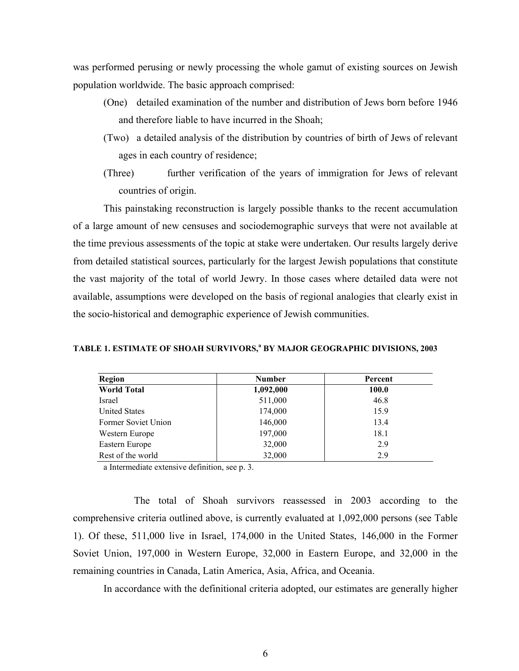was performed perusing or newly processing the whole gamut of existing sources on Jewish population worldwide. The basic approach comprised:

- (One) detailed examination of the number and distribution of Jews born before 1946 and therefore liable to have incurred in the Shoah;
- (Two) a detailed analysis of the distribution by countries of birth of Jews of relevant ages in each country of residence;
- (Three) further verification of the years of immigration for Jews of relevant countries of origin.

 This painstaking reconstruction is largely possible thanks to the recent accumulation of a large amount of new censuses and sociodemographic surveys that were not available at the time previous assessments of the topic at stake were undertaken. Our results largely derive from detailed statistical sources, particularly for the largest Jewish populations that constitute the vast majority of the total of world Jewry. In those cases where detailed data were not available, assumptions were developed on the basis of regional analogies that clearly exist in the socio-historical and demographic experience of Jewish communities.

**TABLE 1. ESTIMATE OF SHOAH SURVIVORS,<sup>a</sup> BY MAJOR GEOGRAPHIC DIVISIONS, 2003** 

| Region               | <b>Number</b> | Percent |
|----------------------|---------------|---------|
| <b>World Total</b>   | 1,092,000     | 100.0   |
| Israel               | 511,000       | 46.8    |
| <b>United States</b> | 174,000       | 15.9    |
| Former Soviet Union  | 146,000       | 13.4    |
| Western Europe       | 197,000       | 18.1    |
| Eastern Europe       | 32,000        | 2.9     |
| Rest of the world    | 32,000        | 2.9     |

a Intermediate extensive definition, see p. 3.

 The total of Shoah survivors reassessed in 2003 according to the comprehensive criteria outlined above, is currently evaluated at 1,092,000 persons (see Table 1). Of these, 511,000 live in Israel, 174,000 in the United States, 146,000 in the Former Soviet Union, 197,000 in Western Europe, 32,000 in Eastern Europe, and 32,000 in the remaining countries in Canada, Latin America, Asia, Africa, and Oceania.

In accordance with the definitional criteria adopted, our estimates are generally higher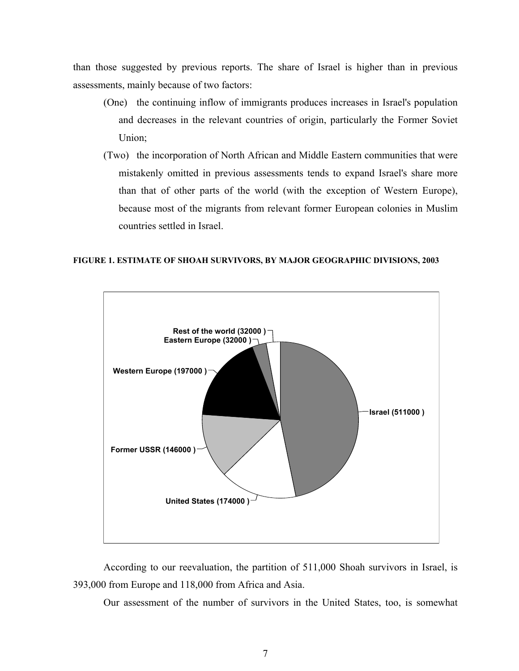than those suggested by previous reports. The share of Israel is higher than in previous assessments, mainly because of two factors:

- (One) the continuing inflow of immigrants produces increases in Israel's population and decreases in the relevant countries of origin, particularly the Former Soviet Union;
- (Two) the incorporation of North African and Middle Eastern communities that were mistakenly omitted in previous assessments tends to expand Israel's share more than that of other parts of the world (with the exception of Western Europe), because most of the migrants from relevant former European colonies in Muslim countries settled in Israel.

#### **FIGURE 1. ESTIMATE OF SHOAH SURVIVORS, BY MAJOR GEOGRAPHIC DIVISIONS, 2003**



 According to our reevaluation, the partition of 511,000 Shoah survivors in Israel, is 393,000 from Europe and 118,000 from Africa and Asia.

Our assessment of the number of survivors in the United States, too, is somewhat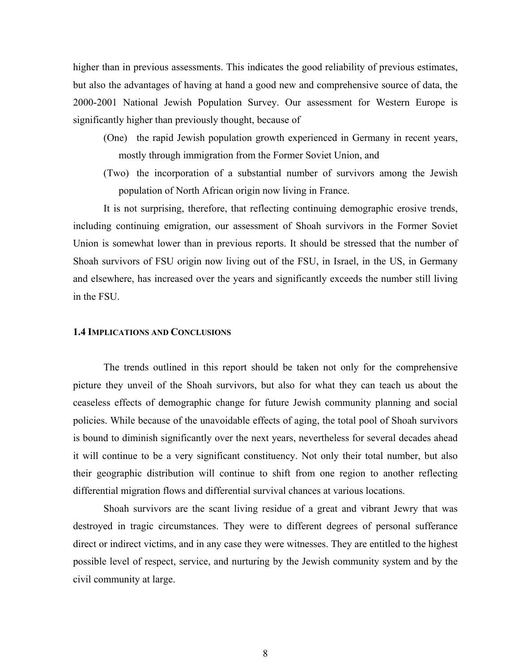higher than in previous assessments. This indicates the good reliability of previous estimates, but also the advantages of having at hand a good new and comprehensive source of data, the 2000-2001 National Jewish Population Survey. Our assessment for Western Europe is significantly higher than previously thought, because of

- (One) the rapid Jewish population growth experienced in Germany in recent years, mostly through immigration from the Former Soviet Union, and
- (Two) the incorporation of a substantial number of survivors among the Jewish population of North African origin now living in France.

It is not surprising, therefore, that reflecting continuing demographic erosive trends, including continuing emigration, our assessment of Shoah survivors in the Former Soviet Union is somewhat lower than in previous reports. It should be stressed that the number of Shoah survivors of FSU origin now living out of the FSU, in Israel, in the US, in Germany and elsewhere, has increased over the years and significantly exceeds the number still living in the FSU.

### **1.4 IMPLICATIONS AND CONCLUSIONS**

 The trends outlined in this report should be taken not only for the comprehensive picture they unveil of the Shoah survivors, but also for what they can teach us about the ceaseless effects of demographic change for future Jewish community planning and social policies. While because of the unavoidable effects of aging, the total pool of Shoah survivors is bound to diminish significantly over the next years, nevertheless for several decades ahead it will continue to be a very significant constituency. Not only their total number, but also their geographic distribution will continue to shift from one region to another reflecting differential migration flows and differential survival chances at various locations.

Shoah survivors are the scant living residue of a great and vibrant Jewry that was destroyed in tragic circumstances. They were to different degrees of personal sufferance direct or indirect victims, and in any case they were witnesses. They are entitled to the highest possible level of respect, service, and nurturing by the Jewish community system and by the civil community at large.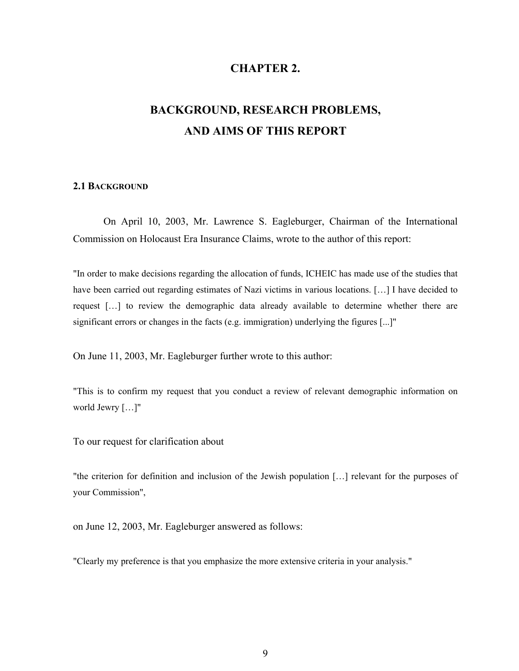## **CHAPTER 2.**

# **BACKGROUND, RESEARCH PROBLEMS, AND AIMS OF THIS REPORT**

### **2.1 BACKGROUND**

On April 10, 2003, Mr. Lawrence S. Eagleburger, Chairman of the International Commission on Holocaust Era Insurance Claims, wrote to the author of this report:

"In order to make decisions regarding the allocation of funds, ICHEIC has made use of the studies that have been carried out regarding estimates of Nazi victims in various locations. [...] I have decided to request […] to review the demographic data already available to determine whether there are significant errors or changes in the facts (e.g. immigration) underlying the figures [...]"

On June 11, 2003, Mr. Eagleburger further wrote to this author:

"This is to confirm my request that you conduct a review of relevant demographic information on world Jewry […]"

To our request for clarification about

"the criterion for definition and inclusion of the Jewish population […] relevant for the purposes of your Commission",

on June 12, 2003, Mr. Eagleburger answered as follows:

"Clearly my preference is that you emphasize the more extensive criteria in your analysis."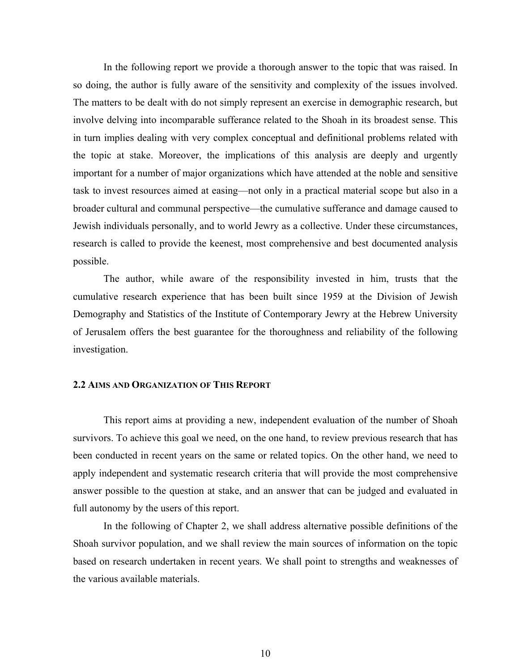In the following report we provide a thorough answer to the topic that was raised. In so doing, the author is fully aware of the sensitivity and complexity of the issues involved. The matters to be dealt with do not simply represent an exercise in demographic research, but involve delving into incomparable sufferance related to the Shoah in its broadest sense. This in turn implies dealing with very complex conceptual and definitional problems related with the topic at stake. Moreover, the implications of this analysis are deeply and urgently important for a number of major organizations which have attended at the noble and sensitive task to invest resources aimed at easing—not only in a practical material scope but also in a broader cultural and communal perspective—the cumulative sufferance and damage caused to Jewish individuals personally, and to world Jewry as a collective. Under these circumstances, research is called to provide the keenest, most comprehensive and best documented analysis possible.

 The author, while aware of the responsibility invested in him, trusts that the cumulative research experience that has been built since 1959 at the Division of Jewish Demography and Statistics of the Institute of Contemporary Jewry at the Hebrew University of Jerusalem offers the best guarantee for the thoroughness and reliability of the following investigation.

#### **2.2 AIMS AND ORGANIZATION OF THIS REPORT**

 This report aims at providing a new, independent evaluation of the number of Shoah survivors. To achieve this goal we need, on the one hand, to review previous research that has been conducted in recent years on the same or related topics. On the other hand, we need to apply independent and systematic research criteria that will provide the most comprehensive answer possible to the question at stake, and an answer that can be judged and evaluated in full autonomy by the users of this report.

 In the following of Chapter 2, we shall address alternative possible definitions of the Shoah survivor population, and we shall review the main sources of information on the topic based on research undertaken in recent years. We shall point to strengths and weaknesses of the various available materials.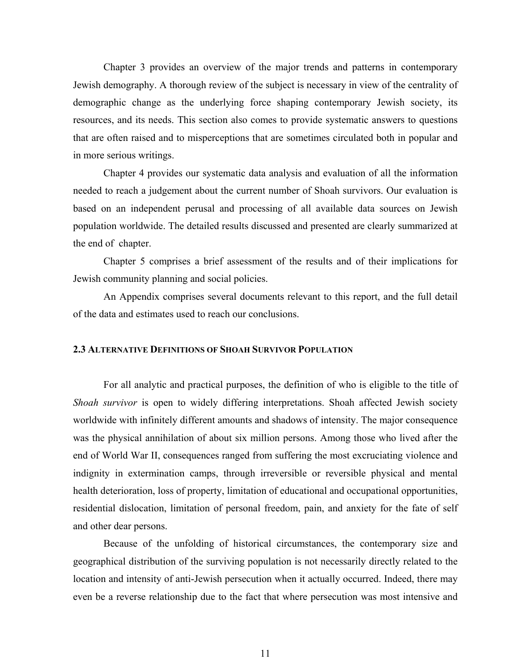Chapter 3 provides an overview of the major trends and patterns in contemporary Jewish demography. A thorough review of the subject is necessary in view of the centrality of demographic change as the underlying force shaping contemporary Jewish society, its resources, and its needs. This section also comes to provide systematic answers to questions that are often raised and to misperceptions that are sometimes circulated both in popular and in more serious writings.

Chapter 4 provides our systematic data analysis and evaluation of all the information needed to reach a judgement about the current number of Shoah survivors. Our evaluation is based on an independent perusal and processing of all available data sources on Jewish population worldwide. The detailed results discussed and presented are clearly summarized at the end of chapter.

Chapter 5 comprises a brief assessment of the results and of their implications for Jewish community planning and social policies.

An Appendix comprises several documents relevant to this report, and the full detail of the data and estimates used to reach our conclusions.

#### **2.3 ALTERNATIVE DEFINITIONS OF SHOAH SURVIVOR POPULATION**

For all analytic and practical purposes, the definition of who is eligible to the title of *Shoah survivor* is open to widely differing interpretations. Shoah affected Jewish society worldwide with infinitely different amounts and shadows of intensity. The major consequence was the physical annihilation of about six million persons. Among those who lived after the end of World War II, consequences ranged from suffering the most excruciating violence and indignity in extermination camps, through irreversible or reversible physical and mental health deterioration, loss of property, limitation of educational and occupational opportunities, residential dislocation, limitation of personal freedom, pain, and anxiety for the fate of self and other dear persons.

Because of the unfolding of historical circumstances, the contemporary size and geographical distribution of the surviving population is not necessarily directly related to the location and intensity of anti-Jewish persecution when it actually occurred. Indeed, there may even be a reverse relationship due to the fact that where persecution was most intensive and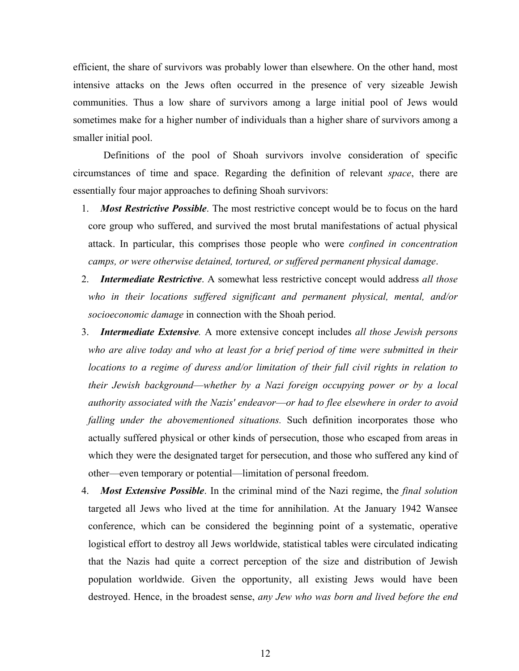efficient, the share of survivors was probably lower than elsewhere. On the other hand, most intensive attacks on the Jews often occurred in the presence of very sizeable Jewish communities. Thus a low share of survivors among a large initial pool of Jews would sometimes make for a higher number of individuals than a higher share of survivors among a smaller initial pool.

Definitions of the pool of Shoah survivors involve consideration of specific circumstances of time and space. Regarding the definition of relevant *space*, there are essentially four major approaches to defining Shoah survivors:

- 1. *Most Restrictive Possible*. The most restrictive concept would be to focus on the hard core group who suffered, and survived the most brutal manifestations of actual physical attack. In particular, this comprises those people who were *confined in concentration camps, or were otherwise detained, tortured, or suffered permanent physical damage*.
- 2. *Intermediate Restrictive*. A somewhat less restrictive concept would address *all those who in their locations suffered significant and permanent physical, mental, and/or socioeconomic damage* in connection with the Shoah period.
- 3. *Intermediate Extensive.* A more extensive concept includes *all those Jewish persons*  who are alive today and who at least for a brief period of time were submitted in their *locations to a regime of duress and/or limitation of their full civil rights in relation to their Jewish background*—*whether by a Nazi foreign occupying power or by a local authority associated with the Nazis' endeavor*—*or had to flee elsewhere in order to avoid falling under the abovementioned situations.* Such definition incorporates those who actually suffered physical or other kinds of persecution, those who escaped from areas in which they were the designated target for persecution, and those who suffered any kind of other—even temporary or potential—limitation of personal freedom.
- 4. *Most Extensive Possible*. In the criminal mind of the Nazi regime, the *final solution* targeted all Jews who lived at the time for annihilation. At the January 1942 Wansee conference, which can be considered the beginning point of a systematic, operative logistical effort to destroy all Jews worldwide, statistical tables were circulated indicating that the Nazis had quite a correct perception of the size and distribution of Jewish population worldwide. Given the opportunity, all existing Jews would have been destroyed. Hence, in the broadest sense, *any Jew who was born and lived before the end*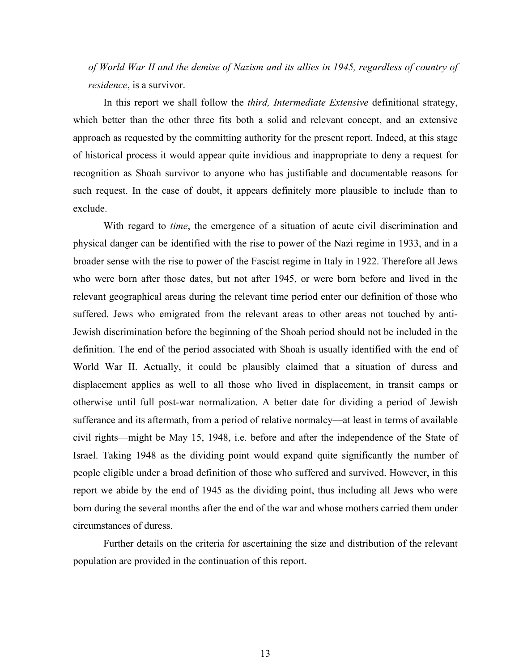*of World War II and the demise of Nazism and its allies in 1945, regardless of country of residence*, is a survivor.

In this report we shall follow the *third, Intermediate Extensive* definitional strategy, which better than the other three fits both a solid and relevant concept, and an extensive approach as requested by the committing authority for the present report. Indeed, at this stage of historical process it would appear quite invidious and inappropriate to deny a request for recognition as Shoah survivor to anyone who has justifiable and documentable reasons for such request. In the case of doubt, it appears definitely more plausible to include than to exclude.

With regard to *time*, the emergence of a situation of acute civil discrimination and physical danger can be identified with the rise to power of the Nazi regime in 1933, and in a broader sense with the rise to power of the Fascist regime in Italy in 1922. Therefore all Jews who were born after those dates, but not after 1945, or were born before and lived in the relevant geographical areas during the relevant time period enter our definition of those who suffered. Jews who emigrated from the relevant areas to other areas not touched by anti-Jewish discrimination before the beginning of the Shoah period should not be included in the definition. The end of the period associated with Shoah is usually identified with the end of World War II. Actually, it could be plausibly claimed that a situation of duress and displacement applies as well to all those who lived in displacement, in transit camps or otherwise until full post-war normalization. A better date for dividing a period of Jewish sufferance and its aftermath, from a period of relative normalcy—at least in terms of available civil rights—might be May 15, 1948, i.e. before and after the independence of the State of Israel. Taking 1948 as the dividing point would expand quite significantly the number of people eligible under a broad definition of those who suffered and survived. However, in this report we abide by the end of 1945 as the dividing point, thus including all Jews who were born during the several months after the end of the war and whose mothers carried them under circumstances of duress.

Further details on the criteria for ascertaining the size and distribution of the relevant population are provided in the continuation of this report.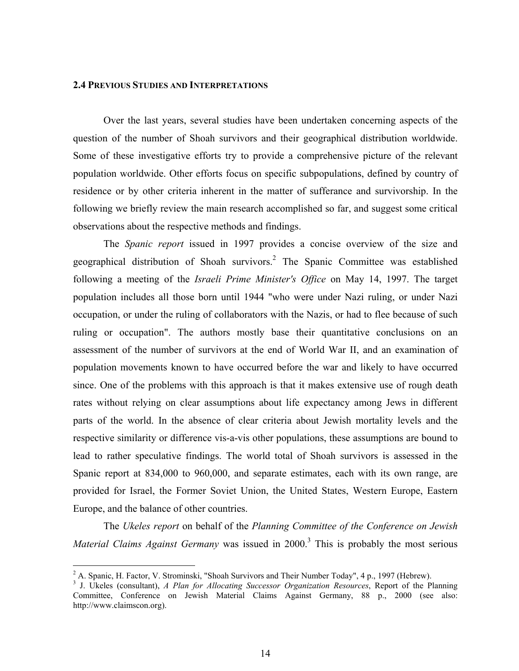#### **2.4 PREVIOUS STUDIES AND INTERPRETATIONS**

Over the last years, several studies have been undertaken concerning aspects of the question of the number of Shoah survivors and their geographical distribution worldwide. Some of these investigative efforts try to provide a comprehensive picture of the relevant population worldwide. Other efforts focus on specific subpopulations, defined by country of residence or by other criteria inherent in the matter of sufferance and survivorship. In the following we briefly review the main research accomplished so far, and suggest some critical observations about the respective methods and findings.

The *Spanic report* issued in 1997 provides a concise overview of the size and geographical distribution of Shoah survivors.<sup>2</sup> The Spanic Committee was established following a meeting of the *Israeli Prime Minister's Office* on May 14, 1997. The target population includes all those born until 1944 "who were under Nazi ruling, or under Nazi occupation, or under the ruling of collaborators with the Nazis, or had to flee because of such ruling or occupation". The authors mostly base their quantitative conclusions on an assessment of the number of survivors at the end of World War II, and an examination of population movements known to have occurred before the war and likely to have occurred since. One of the problems with this approach is that it makes extensive use of rough death rates without relying on clear assumptions about life expectancy among Jews in different parts of the world. In the absence of clear criteria about Jewish mortality levels and the respective similarity or difference vis-a-vis other populations, these assumptions are bound to lead to rather speculative findings. The world total of Shoah survivors is assessed in the Spanic report at 834,000 to 960,000, and separate estimates, each with its own range, are provided for Israel, the Former Soviet Union, the United States, Western Europe, Eastern Europe, and the balance of other countries.

The *Ukeles report* on behalf of the *Planning Committee of the Conference on Jewish*  Material Claims Against Germany was issued in 2000.<sup>3</sup> This is probably the most serious

<sup>&</sup>lt;sup>2</sup> A. Spanic, H. Factor, V. Strominski, "Shoah Survivors and Their Number Today", 4 p., 1997 (Hebrew).

<sup>3</sup> J. Ukeles (consultant), *A Plan for Allocating Successor Organization Resources*, Report of the Planning Committee, Conference on Jewish Material Claims Against Germany, 88 p., 2000 (see also: http://www.claimscon.org).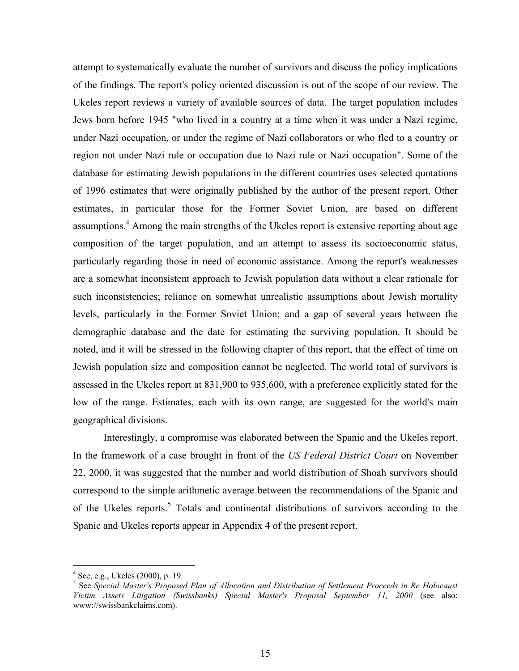attempt to systematically evaluate the number of survivors and discuss the policy implications of the findings. The report's policy oriented discussion is out of the scope of our review. The Ukeles report reviews a variety of available sources of data. The target population includes Jews born before 1945 "who lived in a country at a time when it was under a Nazi regime, under Nazi occupation, or under the regime of Nazi collaborators or who fled to a country or region not under Nazi rule or occupation due to Nazi rule or Nazi occupation". Some of the database for estimating Jewish populations in the different countries uses selected quotations of 1996 estimates that were originally published by the author of the present report. Other estimates, in particular those for the Former Soviet Union, are based on different assumptions.<sup>4</sup> Among the main strengths of the Ukeles report is extensive reporting about age composition of the target population, and an attempt to assess its socioeconomic status, particularly regarding those in need of economic assistance. Among the report's weaknesses are a somewhat inconsistent approach to Jewish population data without a clear rationale for such inconsistencies; reliance on somewhat unrealistic assumptions about Jewish mortality levels, particularly in the Former Soviet Union; and a gap of several years between the demographic database and the date for estimating the surviving population. It should be noted, and it will be stressed in the following chapter of this report, that the effect of time on Jewish population size and composition cannot be neglected. The world total of survivors is assessed in the Ukeles report at 831,900 to 935,600, with a preference explicitly stated for the low of the range. Estimates, each with its own range, are suggested for the world's main geographical divisions.

Interestingly, a compromise was elaborated between the Spanic and the Ukeles report. In the framework of a case brought in front of the *US Federal District Court* on November 22, 2000, it was suggested that the number and world distribution of Shoah survivors should correspond to the simple arithmetic average between the recommendations of the Spanic and of the Ukeles reports.<sup>5</sup> Totals and continental distributions of survivors according to the Spanic and Ukeles reports appear in Appendix 4 of the present report.

<sup>4</sup> See, e.g., Ukeles (2000), p. 19.

<sup>5</sup> See *Special Master's Proposed Plan of Allocation and Distribution of Settlement Proceeds in Re Holocaust Victim Assets Litigation (Swissbanks) Special Master's Proposal September 11, 2000* (see also: www://swissbankclaims.com).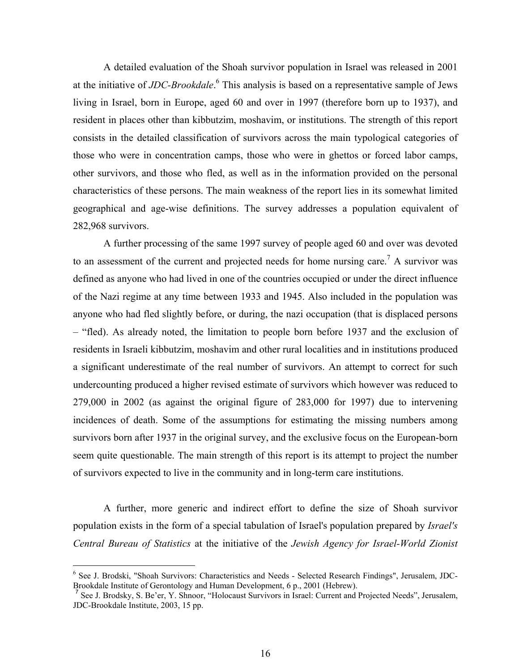A detailed evaluation of the Shoah survivor population in Israel was released in 2001 at the initiative of *JDC-Brookdale*. 6 This analysis is based on a representative sample of Jews living in Israel, born in Europe, aged 60 and over in 1997 (therefore born up to 1937), and resident in places other than kibbutzim, moshavim, or institutions. The strength of this report consists in the detailed classification of survivors across the main typological categories of those who were in concentration camps, those who were in ghettos or forced labor camps, other survivors, and those who fled, as well as in the information provided on the personal characteristics of these persons. The main weakness of the report lies in its somewhat limited geographical and age-wise definitions. The survey addresses a population equivalent of 282,968 survivors.

A further processing of the same 1997 survey of people aged 60 and over was devoted to an assessment of the current and projected needs for home nursing care.<sup>7</sup> A survivor was defined as anyone who had lived in one of the countries occupied or under the direct influence of the Nazi regime at any time between 1933 and 1945. Also included in the population was anyone who had fled slightly before, or during, the nazi occupation (that is displaced persons – "fled). As already noted, the limitation to people born before 1937 and the exclusion of residents in Israeli kibbutzim, moshavim and other rural localities and in institutions produced a significant underestimate of the real number of survivors. An attempt to correct for such undercounting produced a higher revised estimate of survivors which however was reduced to 279,000 in 2002 (as against the original figure of 283,000 for 1997) due to intervening incidences of death. Some of the assumptions for estimating the missing numbers among survivors born after 1937 in the original survey, and the exclusive focus on the European-born seem quite questionable. The main strength of this report is its attempt to project the number of survivors expected to live in the community and in long-term care institutions.

A further, more generic and indirect effort to define the size of Shoah survivor population exists in the form of a special tabulation of Israel's population prepared by *Israel's Central Bureau of Statistics* at the initiative of the *Jewish Agency for Israel-World Zionist* 

 6 See J. Brodski, "Shoah Survivors: Characteristics and Needs - Selected Research Findings", Jerusalem, JDC-Brookdale Institute of Gerontology and Human Development, 6 p., 2001 (Hebrew).

<sup>7</sup> See J. Brodsky, S. Be'er, Y. Shnoor, "Holocaust Survivors in Israel: Current and Projected Needs", Jerusalem, JDC-Brookdale Institute, 2003, 15 pp.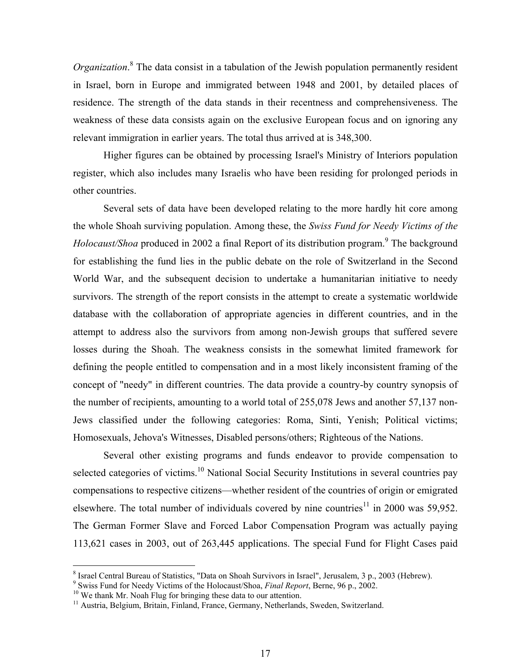*Organization*.<sup>8</sup> The data consist in a tabulation of the Jewish population permanently resident in Israel, born in Europe and immigrated between 1948 and 2001, by detailed places of residence. The strength of the data stands in their recentness and comprehensiveness. The weakness of these data consists again on the exclusive European focus and on ignoring any relevant immigration in earlier years. The total thus arrived at is 348,300.

Higher figures can be obtained by processing Israel's Ministry of Interiors population register, which also includes many Israelis who have been residing for prolonged periods in other countries.

Several sets of data have been developed relating to the more hardly hit core among the whole Shoah surviving population. Among these, the *Swiss Fund for Needy Victims of the*  Holocaust/Shoa produced in 2002 a final Report of its distribution program.<sup>9</sup> The background for establishing the fund lies in the public debate on the role of Switzerland in the Second World War, and the subsequent decision to undertake a humanitarian initiative to needy survivors. The strength of the report consists in the attempt to create a systematic worldwide database with the collaboration of appropriate agencies in different countries, and in the attempt to address also the survivors from among non-Jewish groups that suffered severe losses during the Shoah. The weakness consists in the somewhat limited framework for defining the people entitled to compensation and in a most likely inconsistent framing of the concept of "needy" in different countries. The data provide a country-by country synopsis of the number of recipients, amounting to a world total of 255,078 Jews and another 57,137 non-Jews classified under the following categories: Roma, Sinti, Yenish; Political victims; Homosexuals, Jehova's Witnesses, Disabled persons/others; Righteous of the Nations.

Several other existing programs and funds endeavor to provide compensation to selected categories of victims.<sup>10</sup> National Social Security Institutions in several countries pay compensations to respective citizens—whether resident of the countries of origin or emigrated elsewhere. The total number of individuals covered by nine countries<sup>11</sup> in 2000 was 59,952. The German Former Slave and Forced Labor Compensation Program was actually paying 113,621 cases in 2003, out of 263,445 applications. The special Fund for Flight Cases paid

<sup>&</sup>lt;sup>8</sup> Israel Central Bureau of Statistics, "Data on Shoah Survivors in Israel", Jerusalem, 3 p., 2003 (Hebrew).

<sup>&</sup>lt;sup>9</sup> Swiss Fund for Needy Victims of the Holocaust/Shoa, *Final Report*, Berne, 96 p., 2002.

<sup>&</sup>lt;sup>10</sup> We thank Mr. Noah Flug for bringing these data to our attention.

<sup>&</sup>lt;sup>11</sup> Austria, Belgium, Britain, Finland, France, Germany, Netherlands, Sweden, Switzerland.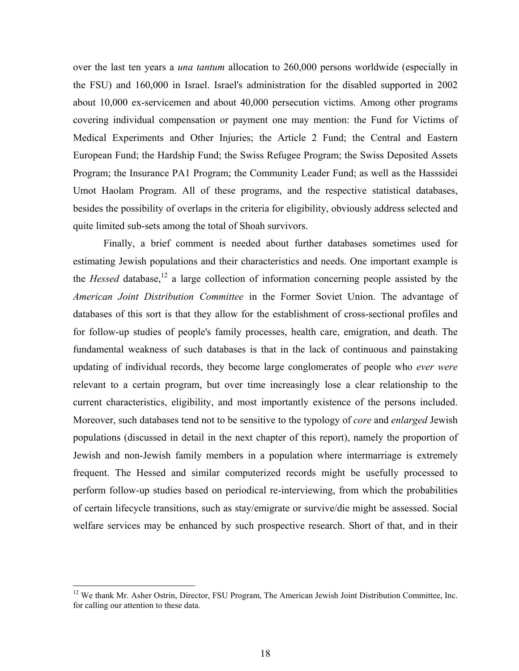over the last ten years a *una tantum* allocation to 260,000 persons worldwide (especially in the FSU) and 160,000 in Israel. Israel's administration for the disabled supported in 2002 about 10,000 ex-servicemen and about 40,000 persecution victims. Among other programs covering individual compensation or payment one may mention: the Fund for Victims of Medical Experiments and Other Injuries; the Article 2 Fund; the Central and Eastern European Fund; the Hardship Fund; the Swiss Refugee Program; the Swiss Deposited Assets Program; the Insurance PA1 Program; the Community Leader Fund; as well as the Hasssidei Umot Haolam Program. All of these programs, and the respective statistical databases, besides the possibility of overlaps in the criteria for eligibility, obviously address selected and quite limited sub-sets among the total of Shoah survivors.

Finally, a brief comment is needed about further databases sometimes used for estimating Jewish populations and their characteristics and needs. One important example is the *Hessed* database,<sup>12</sup> a large collection of information concerning people assisted by the *American Joint Distribution Committee* in the Former Soviet Union. The advantage of databases of this sort is that they allow for the establishment of cross-sectional profiles and for follow-up studies of people's family processes, health care, emigration, and death. The fundamental weakness of such databases is that in the lack of continuous and painstaking updating of individual records, they become large conglomerates of people who *ever were* relevant to a certain program, but over time increasingly lose a clear relationship to the current characteristics, eligibility, and most importantly existence of the persons included. Moreover, such databases tend not to be sensitive to the typology of *core* and *enlarged* Jewish populations (discussed in detail in the next chapter of this report), namely the proportion of Jewish and non-Jewish family members in a population where intermarriage is extremely frequent. The Hessed and similar computerized records might be usefully processed to perform follow-up studies based on periodical re-interviewing, from which the probabilities of certain lifecycle transitions, such as stay/emigrate or survive/die might be assessed. Social welfare services may be enhanced by such prospective research. Short of that, and in their

<sup>&</sup>lt;sup>12</sup> We thank Mr. Asher Ostrin, Director, FSU Program, The American Jewish Joint Distribution Committee, Inc. for calling our attention to these data.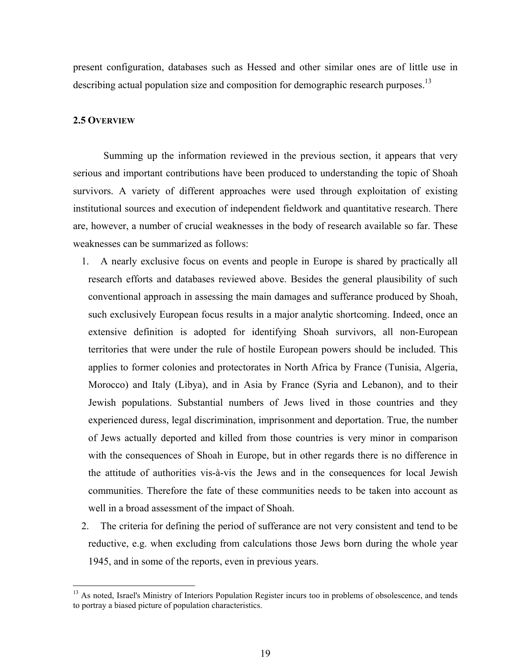present configuration, databases such as Hessed and other similar ones are of little use in describing actual population size and composition for demographic research purposes.<sup>13</sup>

### **2.5 OVERVIEW**

 $\overline{a}$ 

 Summing up the information reviewed in the previous section, it appears that very serious and important contributions have been produced to understanding the topic of Shoah survivors. A variety of different approaches were used through exploitation of existing institutional sources and execution of independent fieldwork and quantitative research. There are, however, a number of crucial weaknesses in the body of research available so far. These weaknesses can be summarized as follows:

- 1. A nearly exclusive focus on events and people in Europe is shared by practically all research efforts and databases reviewed above. Besides the general plausibility of such conventional approach in assessing the main damages and sufferance produced by Shoah, such exclusively European focus results in a major analytic shortcoming. Indeed, once an extensive definition is adopted for identifying Shoah survivors, all non-European territories that were under the rule of hostile European powers should be included. This applies to former colonies and protectorates in North Africa by France (Tunisia, Algeria, Morocco) and Italy (Libya), and in Asia by France (Syria and Lebanon), and to their Jewish populations. Substantial numbers of Jews lived in those countries and they experienced duress, legal discrimination, imprisonment and deportation. True, the number of Jews actually deported and killed from those countries is very minor in comparison with the consequences of Shoah in Europe, but in other regards there is no difference in the attitude of authorities vis-à-vis the Jews and in the consequences for local Jewish communities. Therefore the fate of these communities needs to be taken into account as well in a broad assessment of the impact of Shoah.
- 2. The criteria for defining the period of sufferance are not very consistent and tend to be reductive, e.g. when excluding from calculations those Jews born during the whole year 1945, and in some of the reports, even in previous years.

<sup>&</sup>lt;sup>13</sup> As noted, Israel's Ministry of Interiors Population Register incurs too in problems of obsolescence, and tends to portray a biased picture of population characteristics.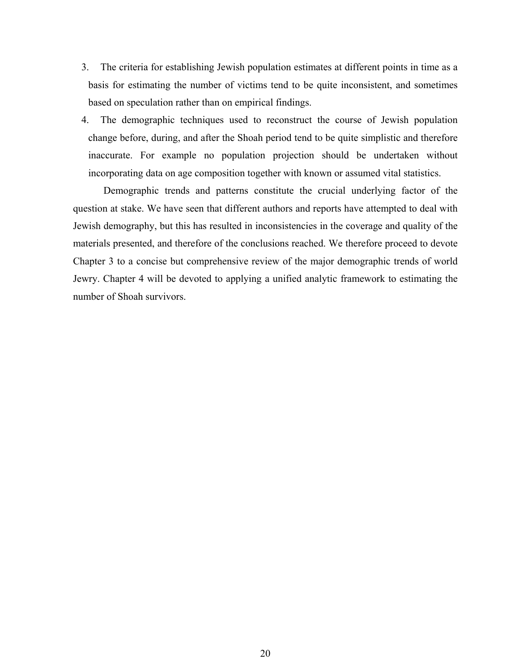- 3. The criteria for establishing Jewish population estimates at different points in time as a basis for estimating the number of victims tend to be quite inconsistent, and sometimes based on speculation rather than on empirical findings.
- 4. The demographic techniques used to reconstruct the course of Jewish population change before, during, and after the Shoah period tend to be quite simplistic and therefore inaccurate. For example no population projection should be undertaken without incorporating data on age composition together with known or assumed vital statistics.

Demographic trends and patterns constitute the crucial underlying factor of the question at stake. We have seen that different authors and reports have attempted to deal with Jewish demography, but this has resulted in inconsistencies in the coverage and quality of the materials presented, and therefore of the conclusions reached. We therefore proceed to devote Chapter 3 to a concise but comprehensive review of the major demographic trends of world Jewry. Chapter 4 will be devoted to applying a unified analytic framework to estimating the number of Shoah survivors.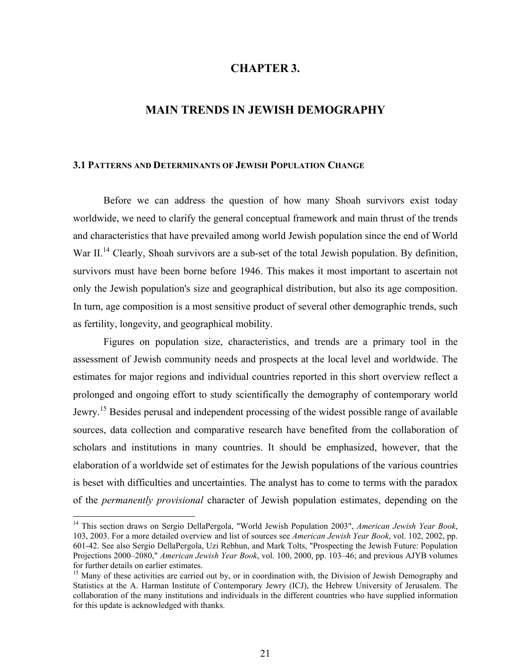## **CHAPTER 3.**

## **MAIN TRENDS IN JEWISH DEMOGRAPHY**

#### **3.1 PATTERNS AND DETERMINANTS OF JEWISH POPULATION CHANGE**

 Before we can address the question of how many Shoah survivors exist today worldwide, we need to clarify the general conceptual framework and main thrust of the trends and characteristics that have prevailed among world Jewish population since the end of World War II.<sup>14</sup> Clearly, Shoah survivors are a sub-set of the total Jewish population. By definition, survivors must have been borne before 1946. This makes it most important to ascertain not only the Jewish population's size and geographical distribution, but also its age composition. In turn, age composition is a most sensitive product of several other demographic trends, such as fertility, longevity, and geographical mobility.

Figures on population size, characteristics, and trends are a primary tool in the assessment of Jewish community needs and prospects at the local level and worldwide. The estimates for major regions and individual countries reported in this short overview reflect a prolonged and ongoing effort to study scientifically the demography of contemporary world Jewry.15 Besides perusal and independent processing of the widest possible range of available sources, data collection and comparative research have benefited from the collaboration of scholars and institutions in many countries. It should be emphasized, however, that the elaboration of a worldwide set of estimates for the Jewish populations of the various countries is beset with difficulties and uncertainties. The analyst has to come to terms with the paradox of the *permanently provisional* character of Jewish population estimates, depending on the

<sup>14</sup> This section draws on Sergio DellaPergola, "World Jewish Population 2003", *American Jewish Year Book*, 103, 2003. For a more detailed overview and list of sources see *American Jewish Year Book*, vol. 102, 2002, pp. 601-42. See also Sergio DellaPergola, Uzi Rebhun, and Mark Tolts, "Prospecting the Jewish Future: Population Projections 2000–2080," *American Jewish Year Book*, vol. 100, 2000, pp. 103–46; and previous AJYB volumes for further details on earlier estimates.

<sup>&</sup>lt;sup>15</sup> Many of these activities are carried out by, or in coordination with, the Division of Jewish Demography and Statistics at the A. Harman Institute of Contemporary Jewry (ICJ), the Hebrew University of Jerusalem. The collaboration of the many institutions and individuals in the different countries who have supplied information for this update is acknowledged with thanks.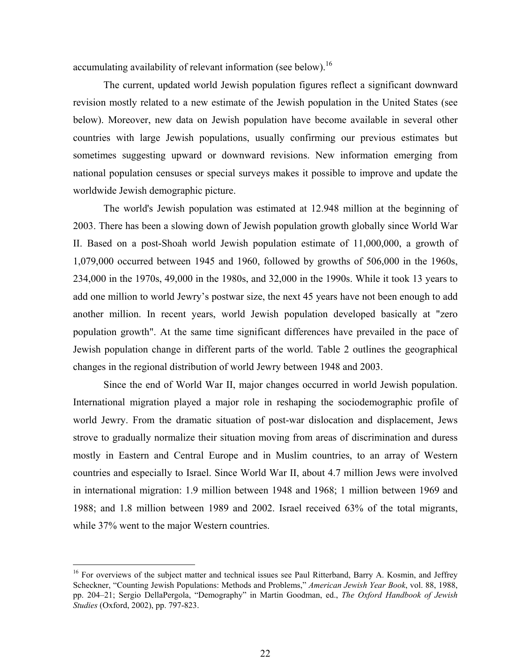accumulating availability of relevant information (see below).<sup>16</sup>

The current, updated world Jewish population figures reflect a significant downward revision mostly related to a new estimate of the Jewish population in the United States (see below). Moreover, new data on Jewish population have become available in several other countries with large Jewish populations, usually confirming our previous estimates but sometimes suggesting upward or downward revisions. New information emerging from national population censuses or special surveys makes it possible to improve and update the worldwide Jewish demographic picture.

The world's Jewish population was estimated at 12.948 million at the beginning of 2003. There has been a slowing down of Jewish population growth globally since World War II. Based on a post-Shoah world Jewish population estimate of 11,000,000, a growth of 1,079,000 occurred between 1945 and 1960, followed by growths of 506,000 in the 1960s, 234,000 in the 1970s, 49,000 in the 1980s, and 32,000 in the 1990s. While it took 13 years to add one million to world Jewry's postwar size, the next 45 years have not been enough to add another million. In recent years, world Jewish population developed basically at "zero population growth". At the same time significant differences have prevailed in the pace of Jewish population change in different parts of the world. Table 2 outlines the geographical changes in the regional distribution of world Jewry between 1948 and 2003.

Since the end of World War II, major changes occurred in world Jewish population. International migration played a major role in reshaping the sociodemographic profile of world Jewry. From the dramatic situation of post-war dislocation and displacement, Jews strove to gradually normalize their situation moving from areas of discrimination and duress mostly in Eastern and Central Europe and in Muslim countries, to an array of Western countries and especially to Israel. Since World War II, about 4.7 million Jews were involved in international migration: 1.9 million between 1948 and 1968; 1 million between 1969 and 1988; and 1.8 million between 1989 and 2002. Israel received 63% of the total migrants, while 37% went to the major Western countries.

<sup>&</sup>lt;sup>16</sup> For overviews of the subject matter and technical issues see Paul Ritterband, Barry A. Kosmin, and Jeffrey Scheckner, "Counting Jewish Populations: Methods and Problems," *American Jewish Year Book*, vol. 88, 1988, pp. 204–21; Sergio DellaPergola, "Demography" in Martin Goodman, ed., *The Oxford Handbook of Jewish Studies* (Oxford, 2002), pp. 797-823.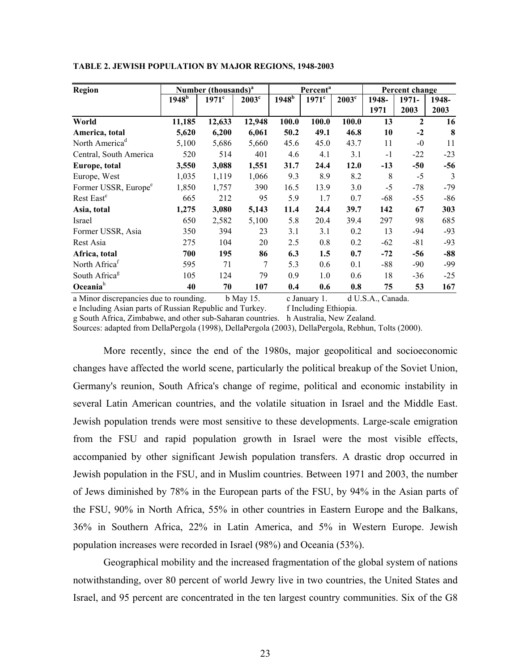| Region                           | Number (thousands) <sup>a</sup> |                     |                |          | Percent <sup>a</sup> |                |       | Percent change |       |
|----------------------------------|---------------------------------|---------------------|----------------|----------|----------------------|----------------|-------|----------------|-------|
|                                  | $1948^{\rm b}$                  | $1971$ <sup>c</sup> | $2003^{\circ}$ | $1948^b$ | $1971$ <sup>c</sup>  | $2003^{\circ}$ | 1948- | 1971-          | 1948- |
|                                  |                                 |                     |                |          |                      |                | 1971  | 2003           | 2003  |
| World                            | 11,185                          | 12,633              | 12,948         | 100.0    | 100.0                | 100.0          | 13    | $\mathbf{2}$   | 16    |
| America, total                   | 5,620                           | 6,200               | 6,061          | 50.2     | 49.1                 | 46.8           | 10    | $-2$           | 8     |
| North America <sup>d</sup>       | 5,100                           | 5,686               | 5,660          | 45.6     | 45.0                 | 43.7           | 11    | $-0$           | 11    |
| Central, South America           | 520                             | 514                 | 401            | 4.6      | 4.1                  | 3.1            | $-1$  | $-22$          | $-23$ |
| Europe, total                    | 3,550                           | 3,088               | 1,551          | 31.7     | 24.4                 | 12.0           | $-13$ | $-50$          | -56   |
| Europe, West                     | 1,035                           | 1,119               | 1,066          | 9.3      | 8.9                  | 8.2            | 8     | $-5$           | 3     |
| Former USSR, Europe <sup>e</sup> | 1,850                           | 1,757               | 390            | 16.5     | 13.9                 | 3.0            | $-5$  | $-78$          | $-79$ |
| Rest East <sup>e</sup>           | 665                             | 212                 | 95             | 5.9      | 1.7                  | 0.7            | -68   | $-55$          | -86   |
| Asia, total                      | 1,275                           | 3,080               | 5,143          | 11.4     | 24.4                 | 39.7           | 142   | 67             | 303   |
| Israel                           | 650                             | 2,582               | 5,100          | 5.8      | 20.4                 | 39.4           | 297   | 98             | 685   |
| Former USSR, Asia                | 350                             | 394                 | 23             | 3.1      | 3.1                  | 0.2            | 13    | -94            | $-93$ |
| Rest Asia                        | 275                             | 104                 | 20             | 2.5      | 0.8                  | 0.2            | $-62$ | $-81$          | $-93$ |
| Africa, total                    | 700                             | 195                 | 86             | 6.3      | 1.5                  | 0.7            | $-72$ | -56            | $-88$ |
| North Africa <sup>t</sup>        | 595                             | 71                  | 7              | 5.3      | 0.6                  | 0.1            | -88   | $-90$          | -99   |
| South Africa <sup>g</sup>        | 105                             | 124                 | 79             | 0.9      | 1.0                  | 0.6            | 18    | $-36$          | $-25$ |
| Oceaniah                         | 40                              | 70                  | 107            | 0.4      | 0.6                  | 0.8            | 75    | 53             | 167   |

#### **TABLE 2. JEWISH POPULATION BY MAJOR REGIONS, 1948-2003**

a Minor discrepancies due to rounding. b May 15. c January 1. d U.S.A., Canada.

e Including Asian parts of Russian Republic and Turkey. f Including Ethiopia.

g South Africa, Zimbabwe, and other sub-Saharan countries. h Australia, New Zealand.

Sources: adapted from DellaPergola (1998), DellaPergola (2003), DellaPergola, Rebhun, Tolts (2000).

More recently, since the end of the 1980s, major geopolitical and socioeconomic changes have affected the world scene, particularly the political breakup of the Soviet Union, Germany's reunion, South Africa's change of regime, political and economic instability in several Latin American countries, and the volatile situation in Israel and the Middle East. Jewish population trends were most sensitive to these developments. Large-scale emigration from the FSU and rapid population growth in Israel were the most visible effects, accompanied by other significant Jewish population transfers. A drastic drop occurred in Jewish population in the FSU, and in Muslim countries. Between 1971 and 2003, the number of Jews diminished by 78% in the European parts of the FSU, by 94% in the Asian parts of the FSU, 90% in North Africa, 55% in other countries in Eastern Europe and the Balkans, 36% in Southern Africa, 22% in Latin America, and 5% in Western Europe. Jewish population increases were recorded in Israel (98%) and Oceania (53%).

Geographical mobility and the increased fragmentation of the global system of nations notwithstanding, over 80 percent of world Jewry live in two countries, the United States and Israel, and 95 percent are concentrated in the ten largest country communities. Six of the G8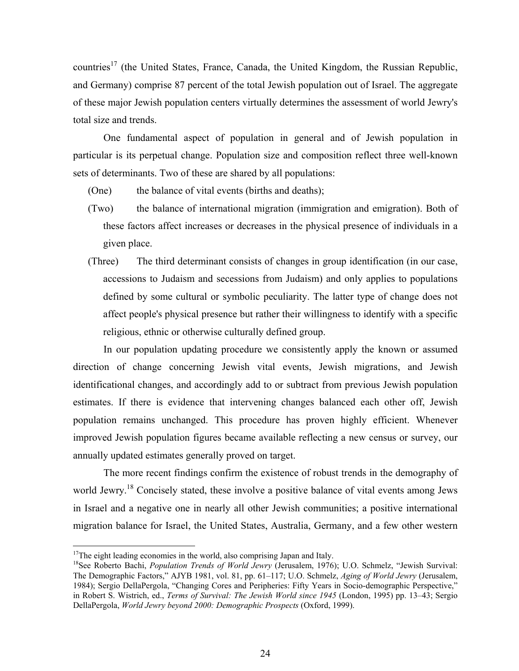countries<sup>17</sup> (the United States, France, Canada, the United Kingdom, the Russian Republic, and Germany) comprise 87 percent of the total Jewish population out of Israel. The aggregate of these major Jewish population centers virtually determines the assessment of world Jewry's total size and trends.

One fundamental aspect of population in general and of Jewish population in particular is its perpetual change. Population size and composition reflect three well-known sets of determinants. Two of these are shared by all populations:

- (One) the balance of vital events (births and deaths);
- (Two) the balance of international migration (immigration and emigration). Both of these factors affect increases or decreases in the physical presence of individuals in a given place.
- (Three) The third determinant consists of changes in group identification (in our case, accessions to Judaism and secessions from Judaism) and only applies to populations defined by some cultural or symbolic peculiarity. The latter type of change does not affect people's physical presence but rather their willingness to identify with a specific religious, ethnic or otherwise culturally defined group.

In our population updating procedure we consistently apply the known or assumed direction of change concerning Jewish vital events, Jewish migrations, and Jewish identificational changes, and accordingly add to or subtract from previous Jewish population estimates. If there is evidence that intervening changes balanced each other off, Jewish population remains unchanged. This procedure has proven highly efficient. Whenever improved Jewish population figures became available reflecting a new census or survey, our annually updated estimates generally proved on target.

The more recent findings confirm the existence of robust trends in the demography of world Jewry.<sup>18</sup> Concisely stated, these involve a positive balance of vital events among Jews in Israel and a negative one in nearly all other Jewish communities; a positive international migration balance for Israel, the United States, Australia, Germany, and a few other western

 $17$ The eight leading economies in the world, also comprising Japan and Italy.

<sup>18</sup>See Roberto Bachi, *Population Trends of World Jewry* (Jerusalem, 1976); U.O. Schmelz, "Jewish Survival: The Demographic Factors," AJYB 1981, vol. 81, pp. 61–117; U.O. Schmelz, *Aging of World Jewry* (Jerusalem, 1984); Sergio DellaPergola, "Changing Cores and Peripheries: Fifty Years in Socio-demographic Perspective," in Robert S. Wistrich, ed., *Terms of Survival: The Jewish World since 1945* (London, 1995) pp. 13–43; Sergio DellaPergola, *World Jewry beyond 2000: Demographic Prospects* (Oxford, 1999).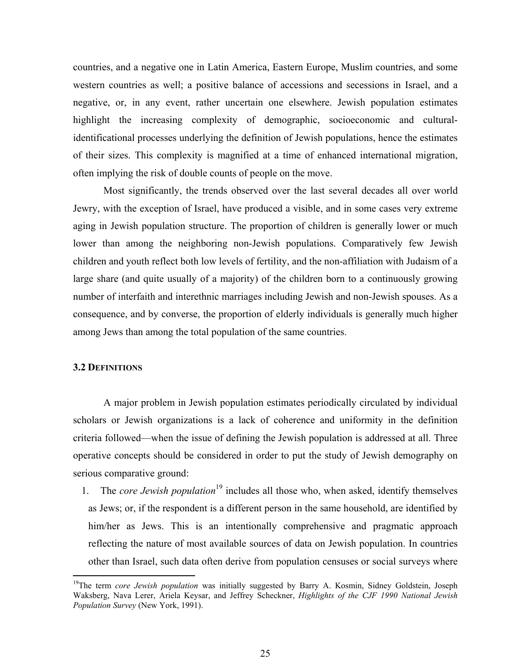countries, and a negative one in Latin America, Eastern Europe, Muslim countries, and some western countries as well; a positive balance of accessions and secessions in Israel, and a negative, or, in any event, rather uncertain one elsewhere. Jewish population estimates highlight the increasing complexity of demographic, socioeconomic and culturalidentificational processes underlying the definition of Jewish populations, hence the estimates of their sizes. This complexity is magnified at a time of enhanced international migration, often implying the risk of double counts of people on the move.

Most significantly, the trends observed over the last several decades all over world Jewry, with the exception of Israel, have produced a visible, and in some cases very extreme aging in Jewish population structure. The proportion of children is generally lower or much lower than among the neighboring non-Jewish populations. Comparatively few Jewish children and youth reflect both low levels of fertility, and the non-affiliation with Judaism of a large share (and quite usually of a majority) of the children born to a continuously growing number of interfaith and interethnic marriages including Jewish and non-Jewish spouses. As a consequence, and by converse, the proportion of elderly individuals is generally much higher among Jews than among the total population of the same countries.

#### **3.2 DEFINITIONS**

 $\overline{a}$ 

A major problem in Jewish population estimates periodically circulated by individual scholars or Jewish organizations is a lack of coherence and uniformity in the definition criteria followed—when the issue of defining the Jewish population is addressed at all. Three operative concepts should be considered in order to put the study of Jewish demography on serious comparative ground:

1. The *core Jewish population*<sup>19</sup> includes all those who, when asked, identify themselves as Jews; or, if the respondent is a different person in the same household, are identified by him/her as Jews. This is an intentionally comprehensive and pragmatic approach reflecting the nature of most available sources of data on Jewish population. In countries other than Israel, such data often derive from population censuses or social surveys where

<sup>&</sup>lt;sup>19</sup>The term *core Jewish population* was initially suggested by Barry A. Kosmin, Sidney Goldstein, Joseph Waksberg, Nava Lerer, Ariela Keysar, and Jeffrey Scheckner, *Highlights of the CJF 1990 National Jewish Population Survey* (New York, 1991).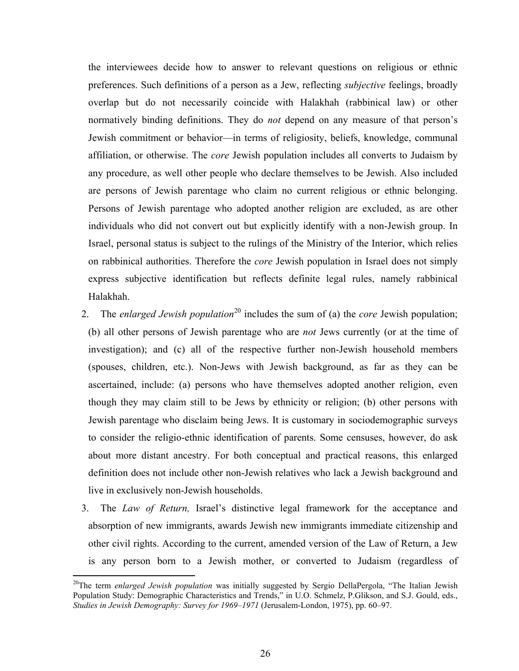the interviewees decide how to answer to relevant questions on religious or ethnic preferences. Such definitions of a person as a Jew, reflecting *subjective* feelings, broadly overlap but do not necessarily coincide with Halakhah (rabbinical law) or other normatively binding definitions. They do *not* depend on any measure of that person's Jewish commitment or behavior—in terms of religiosity, beliefs, knowledge, communal affiliation, or otherwise. The *core* Jewish population includes all converts to Judaism by any procedure, as well other people who declare themselves to be Jewish. Also included are persons of Jewish parentage who claim no current religious or ethnic belonging. Persons of Jewish parentage who adopted another religion are excluded, as are other individuals who did not convert out but explicitly identify with a non-Jewish group. In Israel, personal status is subject to the rulings of the Ministry of the Interior, which relies on rabbinical authorities. Therefore the *core* Jewish population in Israel does not simply express subjective identification but reflects definite legal rules, namely rabbinical Halakhah.

- 2. The *enlarged Jewish population*20 includes the sum of (a) the *core* Jewish population; (b) all other persons of Jewish parentage who are *not* Jews currently (or at the time of investigation); and (c) all of the respective further non-Jewish household members (spouses, children, etc.). Non-Jews with Jewish background, as far as they can be ascertained, include: (a) persons who have themselves adopted another religion, even though they may claim still to be Jews by ethnicity or religion; (b) other persons with Jewish parentage who disclaim being Jews. It is customary in sociodemographic surveys to consider the religio-ethnic identification of parents. Some censuses, however, do ask about more distant ancestry. For both conceptual and practical reasons, this enlarged definition does not include other non-Jewish relatives who lack a Jewish background and live in exclusively non-Jewish households.
- 3. The *Law of Return,* Israel's distinctive legal framework for the acceptance and absorption of new immigrants, awards Jewish new immigrants immediate citizenship and other civil rights. According to the current, amended version of the Law of Return, a Jew is any person born to a Jewish mother, or converted to Judaism (regardless of

<sup>&</sup>lt;sup>20</sup>The term *enlarged Jewish population* was initially suggested by Sergio DellaPergola, "The Italian Jewish" Population Study: Demographic Characteristics and Trends," in U.O. Schmelz, P.Glikson, and S.J. Gould, eds., *Studies in Jewish Demography: Survey for 1969–1971* (Jerusalem-London, 1975), pp. 60–97.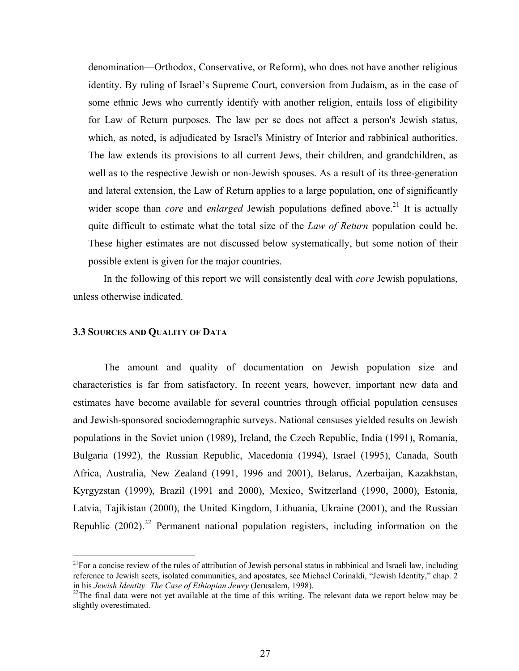denomination—Orthodox, Conservative, or Reform), who does not have another religious identity. By ruling of Israel's Supreme Court, conversion from Judaism, as in the case of some ethnic Jews who currently identify with another religion, entails loss of eligibility for Law of Return purposes. The law per se does not affect a person's Jewish status, which, as noted, is adjudicated by Israel's Ministry of Interior and rabbinical authorities. The law extends its provisions to all current Jews, their children, and grandchildren, as well as to the respective Jewish or non-Jewish spouses. As a result of its three-generation and lateral extension, the Law of Return applies to a large population, one of significantly wider scope than *core* and *enlarged* Jewish populations defined above.<sup>21</sup> It is actually quite difficult to estimate what the total size of the *Law of Return* population could be. These higher estimates are not discussed below systematically, but some notion of their possible extent is given for the major countries.

In the following of this report we will consistently deal with *core* Jewish populations, unless otherwise indicated.

### **3.3 SOURCES AND QUALITY OF DATA**

 $\overline{a}$ 

 The amount and quality of documentation on Jewish population size and characteristics is far from satisfactory. In recent years, however, important new data and estimates have become available for several countries through official population censuses and Jewish-sponsored sociodemographic surveys. National censuses yielded results on Jewish populations in the Soviet union (1989), Ireland, the Czech Republic, India (1991), Romania, Bulgaria (1992), the Russian Republic, Macedonia (1994), Israel (1995), Canada, South Africa, Australia, New Zealand (1991, 1996 and 2001), Belarus, Azerbaijan, Kazakhstan, Kyrgyzstan (1999), Brazil (1991 and 2000), Mexico, Switzerland (1990, 2000), Estonia, Latvia, Tajikistan (2000), the United Kingdom, Lithuania, Ukraine (2001), and the Russian Republic  $(2002)$ <sup>22</sup> Permanent national population registers, including information on the

<sup>&</sup>lt;sup>21</sup>For a concise review of the rules of attribution of Jewish personal status in rabbinical and Israeli law, including reference to Jewish sects, isolated communities, and apostates, see Michael Corinaldi, "Jewish Identity," chap. 2 in his *Jewish Identity: The Case of Ethiopian Jewry* (Jerusalem, 1998).<br><sup>22</sup>The final data were not yet available at the time of this writing. The relevant data we report below may be

slightly overestimated.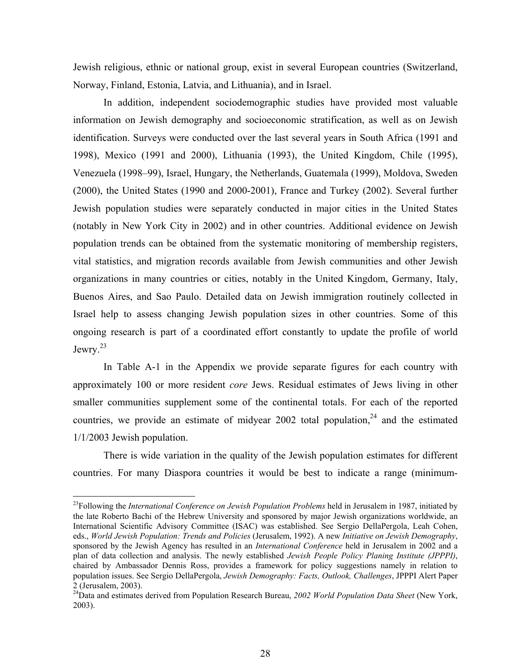Jewish religious, ethnic or national group, exist in several European countries (Switzerland, Norway, Finland, Estonia, Latvia, and Lithuania), and in Israel.

 In addition, independent sociodemographic studies have provided most valuable information on Jewish demography and socioeconomic stratification, as well as on Jewish identification. Surveys were conducted over the last several years in South Africa (1991 and 1998), Mexico (1991 and 2000), Lithuania (1993), the United Kingdom, Chile (1995), Venezuela (1998–99), Israel, Hungary, the Netherlands, Guatemala (1999), Moldova, Sweden (2000), the United States (1990 and 2000-2001), France and Turkey (2002). Several further Jewish population studies were separately conducted in major cities in the United States (notably in New York City in 2002) and in other countries. Additional evidence on Jewish population trends can be obtained from the systematic monitoring of membership registers, vital statistics, and migration records available from Jewish communities and other Jewish organizations in many countries or cities, notably in the United Kingdom, Germany, Italy, Buenos Aires, and Sao Paulo. Detailed data on Jewish immigration routinely collected in Israel help to assess changing Jewish population sizes in other countries. Some of this ongoing research is part of a coordinated effort constantly to update the profile of world Jewry.<sup>23</sup>

 In Table A-1 in the Appendix we provide separate figures for each country with approximately 100 or more resident *core* Jews. Residual estimates of Jews living in other smaller communities supplement some of the continental totals. For each of the reported countries, we provide an estimate of midyear 2002 total population,  $24$  and the estimated 1/1/2003 Jewish population.

 There is wide variation in the quality of the Jewish population estimates for different countries. For many Diaspora countries it would be best to indicate a range (minimum-

<sup>&</sup>lt;sup>23</sup>Following the *International Conference on Jewish Population Problems* held in Jerusalem in 1987, initiated by the late Roberto Bachi of the Hebrew University and sponsored by major Jewish organizations worldwide, an International Scientific Advisory Committee (ISAC) was established. See Sergio DellaPergola, Leah Cohen, eds., *World Jewish Population: Trends and Policies* (Jerusalem, 1992). A new *Initiative on Jewish Demography*, sponsored by the Jewish Agency has resulted in an *International Conference* held in Jerusalem in 2002 and a plan of data collection and analysis. The newly established *Jewish People Policy Planing Institute (JPPPI)*, chaired by Ambassador Dennis Ross, provides a framework for policy suggestions namely in relation to population issues. See Sergio DellaPergola, *Jewish Demography: Facts, Outlook, Challenges*, JPPPI Alert Paper 2 (Jerusalem, 2003).

<sup>24</sup>Data and estimates derived from Population Research Bureau, *2002 World Population Data Sheet* (New York, 2003).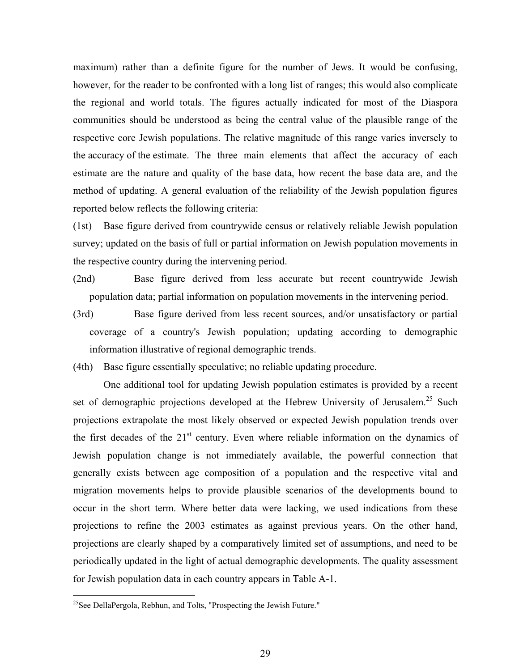maximum) rather than a definite figure for the number of Jews. It would be confusing, however, for the reader to be confronted with a long list of ranges; this would also complicate the regional and world totals. The figures actually indicated for most of the Diaspora communities should be understood as being the central value of the plausible range of the respective core Jewish populations. The relative magnitude of this range varies inversely to the accuracy of the estimate. The three main elements that affect the accuracy of each estimate are the nature and quality of the base data, how recent the base data are, and the method of updating. A general evaluation of the reliability of the Jewish population figures reported below reflects the following criteria:

(1st) Base figure derived from countrywide census or relatively reliable Jewish population survey; updated on the basis of full or partial information on Jewish population movements in the respective country during the intervening period.

- (2nd) Base figure derived from less accurate but recent countrywide Jewish population data; partial information on population movements in the intervening period.
- (3rd) Base figure derived from less recent sources, and/or unsatisfactory or partial coverage of a country's Jewish population; updating according to demographic information illustrative of regional demographic trends.
- (4th) Base figure essentially speculative; no reliable updating procedure.

 One additional tool for updating Jewish population estimates is provided by a recent set of demographic projections developed at the Hebrew University of Jerusalem.<sup>25</sup> Such projections extrapolate the most likely observed or expected Jewish population trends over the first decades of the  $21<sup>st</sup>$  century. Even where reliable information on the dynamics of Jewish population change is not immediately available, the powerful connection that generally exists between age composition of a population and the respective vital and migration movements helps to provide plausible scenarios of the developments bound to occur in the short term. Where better data were lacking, we used indications from these projections to refine the 2003 estimates as against previous years. On the other hand, projections are clearly shaped by a comparatively limited set of assumptions, and need to be periodically updated in the light of actual demographic developments. The quality assessment for Jewish population data in each country appears in Table A-1.

<sup>&</sup>lt;sup>25</sup>See DellaPergola, Rebhun, and Tolts, "Prospecting the Jewish Future."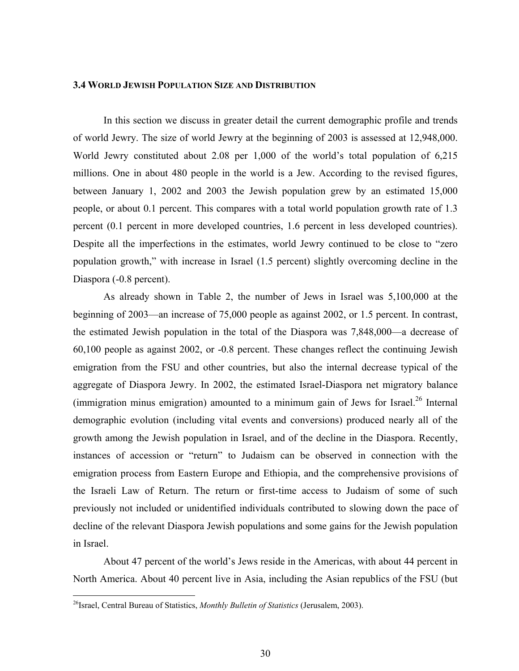#### **3.4 WORLD JEWISH POPULATION SIZE AND DISTRIBUTION**

 In this section we discuss in greater detail the current demographic profile and trends of world Jewry. The size of world Jewry at the beginning of 2003 is assessed at 12,948,000. World Jewry constituted about 2.08 per 1,000 of the world's total population of 6,215 millions. One in about 480 people in the world is a Jew. According to the revised figures, between January 1, 2002 and 2003 the Jewish population grew by an estimated 15,000 people, or about 0.1 percent. This compares with a total world population growth rate of 1.3 percent (0.1 percent in more developed countries, 1.6 percent in less developed countries). Despite all the imperfections in the estimates, world Jewry continued to be close to "zero population growth," with increase in Israel (1.5 percent) slightly overcoming decline in the Diaspora (-0.8 percent).

As already shown in Table 2, the number of Jews in Israel was 5,100,000 at the beginning of 2003—an increase of 75,000 people as against 2002, or 1.5 percent. In contrast, the estimated Jewish population in the total of the Diaspora was 7,848,000—a decrease of 60,100 people as against 2002, or -0.8 percent. These changes reflect the continuing Jewish emigration from the FSU and other countries, but also the internal decrease typical of the aggregate of Diaspora Jewry. In 2002, the estimated Israel-Diaspora net migratory balance (immigration minus emigration) amounted to a minimum gain of Jews for Israel.26 Internal demographic evolution (including vital events and conversions) produced nearly all of the growth among the Jewish population in Israel, and of the decline in the Diaspora. Recently, instances of accession or "return" to Judaism can be observed in connection with the emigration process from Eastern Europe and Ethiopia, and the comprehensive provisions of the Israeli Law of Return. The return or first-time access to Judaism of some of such previously not included or unidentified individuals contributed to slowing down the pace of decline of the relevant Diaspora Jewish populations and some gains for the Jewish population in Israel.

About 47 percent of the world's Jews reside in the Americas, with about 44 percent in North America. About 40 percent live in Asia, including the Asian republics of the FSU (but

<sup>26</sup>Israel, Central Bureau of Statistics, *Monthly Bulletin of Statistics* (Jerusalem, 2003).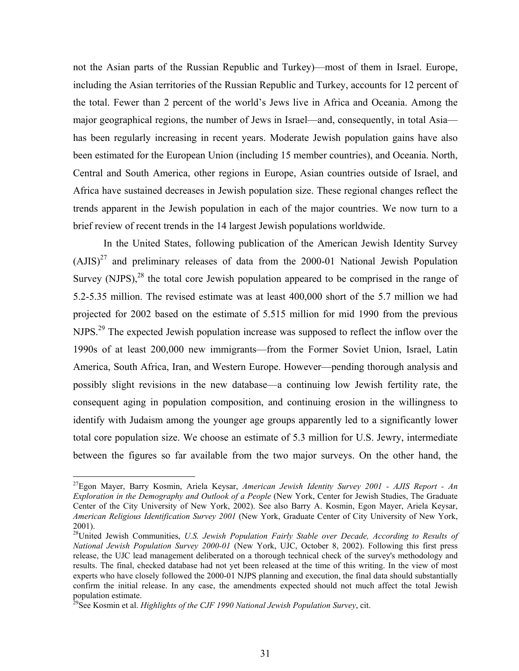not the Asian parts of the Russian Republic and Turkey)—most of them in Israel. Europe, including the Asian territories of the Russian Republic and Turkey, accounts for 12 percent of the total. Fewer than 2 percent of the world's Jews live in Africa and Oceania. Among the major geographical regions, the number of Jews in Israel—and, consequently, in total Asia has been regularly increasing in recent years. Moderate Jewish population gains have also been estimated for the European Union (including 15 member countries), and Oceania. North, Central and South America, other regions in Europe, Asian countries outside of Israel, and Africa have sustained decreases in Jewish population size. These regional changes reflect the trends apparent in the Jewish population in each of the major countries. We now turn to a brief review of recent trends in the 14 largest Jewish populations worldwide.

In the United States, following publication of the American Jewish Identity Survey  $(AJIS)^{27}$  and preliminary releases of data from the 2000-01 National Jewish Population Survey  $(NJPS)$ ,<sup>28</sup>, the total core Jewish population appeared to be comprised in the range of 5.2-5.35 million. The revised estimate was at least 400,000 short of the 5.7 million we had projected for 2002 based on the estimate of 5.515 million for mid 1990 from the previous NJPS.<sup>29</sup> The expected Jewish population increase was supposed to reflect the inflow over the 1990s of at least 200,000 new immigrants—from the Former Soviet Union, Israel, Latin America, South Africa, Iran, and Western Europe. However—pending thorough analysis and possibly slight revisions in the new database—a continuing low Jewish fertility rate, the consequent aging in population composition, and continuing erosion in the willingness to identify with Judaism among the younger age groups apparently led to a significantly lower total core population size. We choose an estimate of 5.3 million for U.S. Jewry, intermediate between the figures so far available from the two major surveys. On the other hand, the

<sup>27</sup>Egon Mayer, Barry Kosmin, Ariela Keysar, *American Jewish Identity Survey 2001 - AJIS Report - An Exploration in the Demography and Outlook of a People* (New York, Center for Jewish Studies, The Graduate Center of the City University of New York, 2002). See also Barry A. Kosmin, Egon Mayer, Ariela Keysar, *American Religious Identification Survey 2001* (New York, Graduate Center of City University of New York, 2001).

<sup>28</sup>United Jewish Communities, *U.S. Jewish Population Fairly Stable over Decade, According to Results of National Jewish Population Survey 2000-01* (New York, UJC, October 8, 2002). Following this first press release, the UJC lead management deliberated on a thorough technical check of the survey's methodology and results. The final, checked database had not yet been released at the time of this writing. In the view of most experts who have closely followed the 2000-01 NJPS planning and execution, the final data should substantially confirm the initial release. In any case, the amendments expected should not much affect the total Jewish population estimate.

<sup>29</sup>See Kosmin et al. *Highlights of the CJF 1990 National Jewish Population Survey*, cit.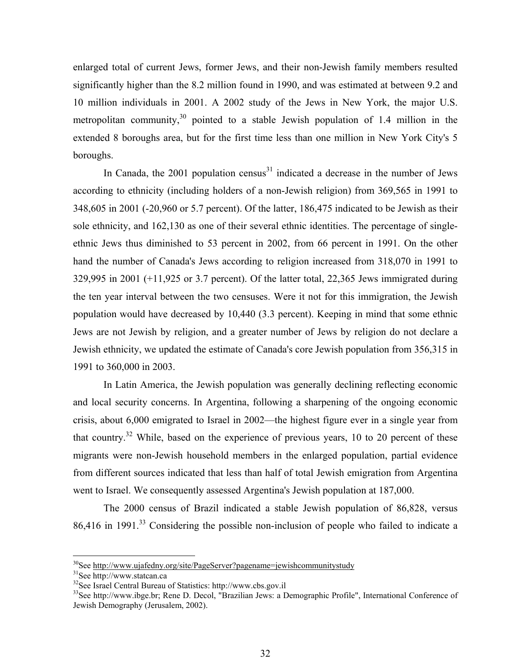enlarged total of current Jews, former Jews, and their non-Jewish family members resulted significantly higher than the 8.2 million found in 1990, and was estimated at between 9.2 and 10 million individuals in 2001. A 2002 study of the Jews in New York, the major U.S. metropolitan community, $30$  pointed to a stable Jewish population of 1.4 million in the extended 8 boroughs area, but for the first time less than one million in New York City's 5 boroughs.

In Canada, the  $2001$  population census<sup>31</sup> indicated a decrease in the number of Jews according to ethnicity (including holders of a non-Jewish religion) from 369,565 in 1991 to 348,605 in 2001 (-20,960 or 5.7 percent). Of the latter, 186,475 indicated to be Jewish as their sole ethnicity, and 162,130 as one of their several ethnic identities. The percentage of singleethnic Jews thus diminished to 53 percent in 2002, from 66 percent in 1991. On the other hand the number of Canada's Jews according to religion increased from 318,070 in 1991 to 329,995 in 2001 (+11,925 or 3.7 percent). Of the latter total, 22,365 Jews immigrated during the ten year interval between the two censuses. Were it not for this immigration, the Jewish population would have decreased by 10,440 (3.3 percent). Keeping in mind that some ethnic Jews are not Jewish by religion, and a greater number of Jews by religion do not declare a Jewish ethnicity, we updated the estimate of Canada's core Jewish population from 356,315 in 1991 to 360,000 in 2003.

In Latin America, the Jewish population was generally declining reflecting economic and local security concerns. In Argentina, following a sharpening of the ongoing economic crisis, about 6,000 emigrated to Israel in 2002—the highest figure ever in a single year from that country.<sup>32</sup> While, based on the experience of previous years, 10 to 20 percent of these migrants were non-Jewish household members in the enlarged population, partial evidence from different sources indicated that less than half of total Jewish emigration from Argentina went to Israel. We consequently assessed Argentina's Jewish population at 187,000.

The 2000 census of Brazil indicated a stable Jewish population of 86,828, versus 86,416 in 1991.<sup>33</sup> Considering the possible non-inclusion of people who failed to indicate a

<sup>&</sup>lt;sup>30</sup>See http://www.ujafedny.org/site/PageServer?pagename=jewishcommunitystudy

<sup>31</sup>See http://www.statcan.ca

<sup>32</sup>See Israel Central Bureau of Statistics: http://www.cbs.gov.il

<sup>&</sup>lt;sup>33</sup>See http://www.ibge.br; Rene D. Decol, "Brazilian Jews: a Demographic Profile", International Conference of Jewish Demography (Jerusalem, 2002).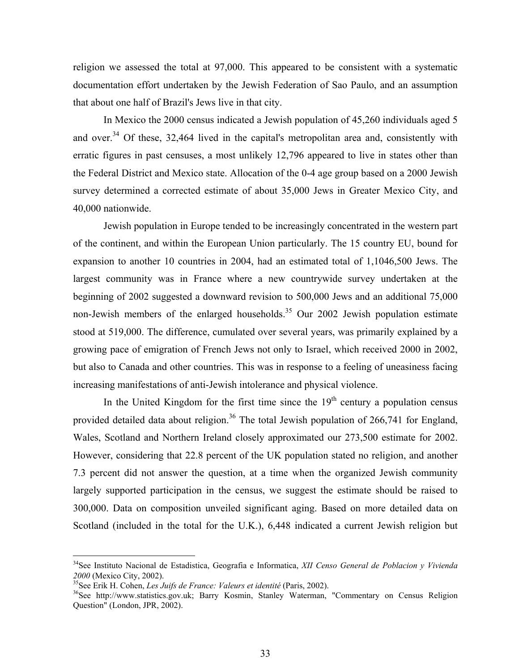religion we assessed the total at 97,000. This appeared to be consistent with a systematic documentation effort undertaken by the Jewish Federation of Sao Paulo, and an assumption that about one half of Brazil's Jews live in that city.

In Mexico the 2000 census indicated a Jewish population of 45,260 individuals aged 5 and over.<sup>34</sup> Of these, 32,464 lived in the capital's metropolitan area and, consistently with erratic figures in past censuses, a most unlikely 12,796 appeared to live in states other than the Federal District and Mexico state. Allocation of the 0-4 age group based on a 2000 Jewish survey determined a corrected estimate of about 35,000 Jews in Greater Mexico City, and 40,000 nationwide.

Jewish population in Europe tended to be increasingly concentrated in the western part of the continent, and within the European Union particularly. The 15 country EU, bound for expansion to another 10 countries in 2004, had an estimated total of 1,1046,500 Jews. The largest community was in France where a new countrywide survey undertaken at the beginning of 2002 suggested a downward revision to 500,000 Jews and an additional 75,000 non-Jewish members of the enlarged households.<sup>35</sup> Our 2002 Jewish population estimate stood at 519,000. The difference, cumulated over several years, was primarily explained by a growing pace of emigration of French Jews not only to Israel, which received 2000 in 2002, but also to Canada and other countries. This was in response to a feeling of uneasiness facing increasing manifestations of anti-Jewish intolerance and physical violence.

In the United Kingdom for the first time since the  $19<sup>th</sup>$  century a population census provided detailed data about religion.<sup>36</sup> The total Jewish population of 266,741 for England, Wales, Scotland and Northern Ireland closely approximated our 273,500 estimate for 2002. However, considering that 22.8 percent of the UK population stated no religion, and another 7.3 percent did not answer the question, at a time when the organized Jewish community largely supported participation in the census, we suggest the estimate should be raised to 300,000. Data on composition unveiled significant aging. Based on more detailed data on Scotland (included in the total for the U.K.), 6,448 indicated a current Jewish religion but

<sup>34</sup>See Instituto Nacional de Estadistica, Geografia e Informatica, *XII Censo General de Poblacion y Vivienda*  2000 (Mexico City, 2002).<br><sup>35</sup>See Erik H. Cohen, *Les Juifs de France: Valeurs et identité* (Paris, 2002).<br><sup>36</sup>See http://www.statistics.gov.uk; Barry Kosmin, Stanley Waterman, "Commentary on Census Religion

Question" (London, JPR, 2002).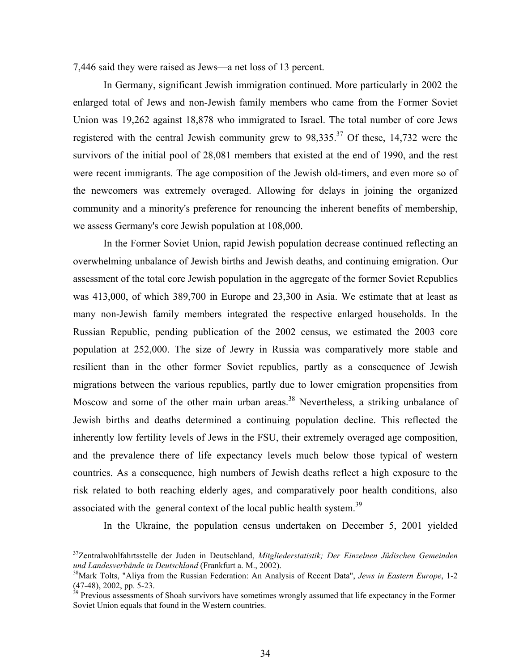7,446 said they were raised as Jews—a net loss of 13 percent.

In Germany, significant Jewish immigration continued. More particularly in 2002 the enlarged total of Jews and non-Jewish family members who came from the Former Soviet Union was 19,262 against 18,878 who immigrated to Israel. The total number of core Jews registered with the central Jewish community grew to  $98,335$ .<sup>37</sup> Of these, 14,732 were the survivors of the initial pool of 28,081 members that existed at the end of 1990, and the rest were recent immigrants. The age composition of the Jewish old-timers, and even more so of the newcomers was extremely overaged. Allowing for delays in joining the organized community and a minority's preference for renouncing the inherent benefits of membership, we assess Germany's core Jewish population at 108,000.

In the Former Soviet Union, rapid Jewish population decrease continued reflecting an overwhelming unbalance of Jewish births and Jewish deaths, and continuing emigration. Our assessment of the total core Jewish population in the aggregate of the former Soviet Republics was 413,000, of which 389,700 in Europe and 23,300 in Asia. We estimate that at least as many non-Jewish family members integrated the respective enlarged households. In the Russian Republic, pending publication of the 2002 census, we estimated the 2003 core population at 252,000. The size of Jewry in Russia was comparatively more stable and resilient than in the other former Soviet republics, partly as a consequence of Jewish migrations between the various republics, partly due to lower emigration propensities from Moscow and some of the other main urban areas.<sup>38</sup> Nevertheless, a striking unbalance of Jewish births and deaths determined a continuing population decline. This reflected the inherently low fertility levels of Jews in the FSU, their extremely overaged age composition, and the prevalence there of life expectancy levels much below those typical of western countries. As a consequence, high numbers of Jewish deaths reflect a high exposure to the risk related to both reaching elderly ages, and comparatively poor health conditions, also associated with the general context of the local public health system.<sup>39</sup>

In the Ukraine, the population census undertaken on December 5, 2001 yielded

<sup>37</sup>Zentralwohlfahrtsstelle der Juden in Deutschland, *Mitgliederstatistik; Der Einzelnen Jüdischen Gemeinden und Landesverbände in Deutschland* (Frankfurt a. M., 2002).<br><sup>38</sup>Mark Tolts, "Aliya from the Russian Federation: An Analysis of Recent Data", *Jews in Eastern Europe*, 1-2

<sup>(47-48), 2002,</sup> pp. 5-23.

<sup>&</sup>lt;sup>39</sup> Previous assessments of Shoah survivors have sometimes wrongly assumed that life expectancy in the Former Soviet Union equals that found in the Western countries.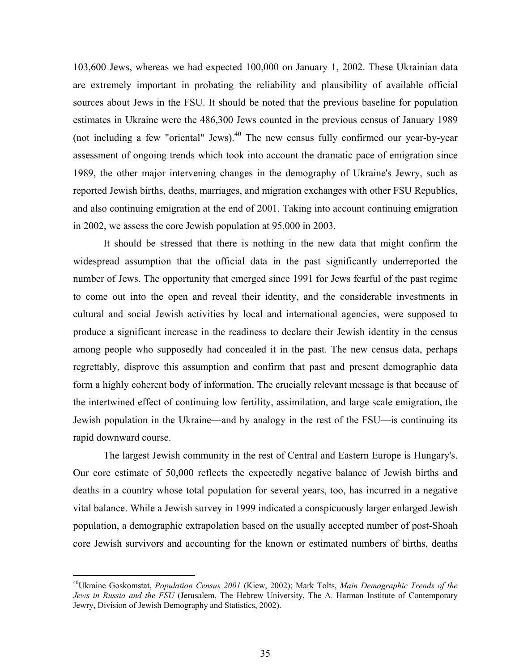103,600 Jews, whereas we had expected 100,000 on January 1, 2002. These Ukrainian data are extremely important in probating the reliability and plausibility of available official sources about Jews in the FSU. It should be noted that the previous baseline for population estimates in Ukraine were the 486,300 Jews counted in the previous census of January 1989 (not including a few "oriental" Jews).<sup>40</sup> The new census fully confirmed our year-by-year assessment of ongoing trends which took into account the dramatic pace of emigration since 1989, the other major intervening changes in the demography of Ukraine's Jewry, such as reported Jewish births, deaths, marriages, and migration exchanges with other FSU Republics, and also continuing emigration at the end of 2001. Taking into account continuing emigration in 2002, we assess the core Jewish population at 95,000 in 2003.

It should be stressed that there is nothing in the new data that might confirm the widespread assumption that the official data in the past significantly underreported the number of Jews. The opportunity that emerged since 1991 for Jews fearful of the past regime to come out into the open and reveal their identity, and the considerable investments in cultural and social Jewish activities by local and international agencies, were supposed to produce a significant increase in the readiness to declare their Jewish identity in the census among people who supposedly had concealed it in the past. The new census data, perhaps regrettably, disprove this assumption and confirm that past and present demographic data form a highly coherent body of information. The crucially relevant message is that because of the intertwined effect of continuing low fertility, assimilation, and large scale emigration, the Jewish population in the Ukraine—and by analogy in the rest of the FSU—is continuing its rapid downward course.

The largest Jewish community in the rest of Central and Eastern Europe is Hungary's. Our core estimate of 50,000 reflects the expectedly negative balance of Jewish births and deaths in a country whose total population for several years, too, has incurred in a negative vital balance. While a Jewish survey in 1999 indicated a conspicuously larger enlarged Jewish population, a demographic extrapolation based on the usually accepted number of post-Shoah core Jewish survivors and accounting for the known or estimated numbers of births, deaths

<sup>40</sup>Ukraine Goskomstat, *Population Census 2001* (Kiew, 2002); Mark Tolts, *Main Demographic Trends of the Jews in Russia and the FSU* (Jerusalem, The Hebrew University, The A. Harman Institute of Contemporary Jewry, Division of Jewish Demography and Statistics, 2002).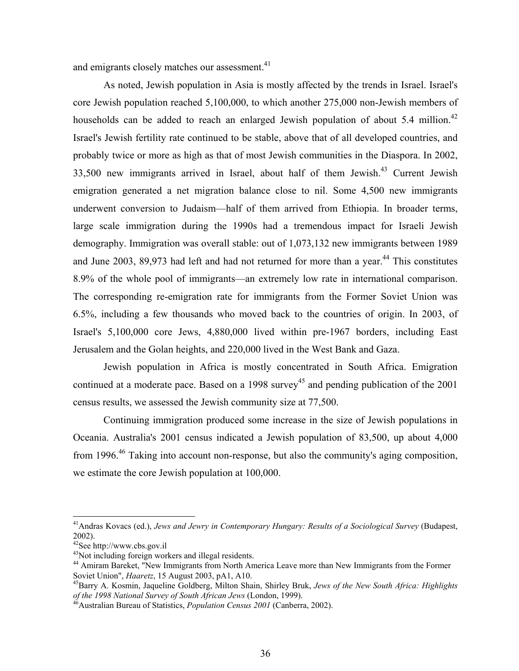and emigrants closely matches our assessment. $41$ 

As noted, Jewish population in Asia is mostly affected by the trends in Israel. Israel's core Jewish population reached 5,100,000, to which another 275,000 non-Jewish members of households can be added to reach an enlarged Jewish population of about 5.4 million.<sup>42</sup> Israel's Jewish fertility rate continued to be stable, above that of all developed countries, and probably twice or more as high as that of most Jewish communities in the Diaspora. In 2002,  $33,500$  new immigrants arrived in Israel, about half of them Jewish.<sup>43</sup> Current Jewish emigration generated a net migration balance close to nil. Some 4,500 new immigrants underwent conversion to Judaism—half of them arrived from Ethiopia. In broader terms, large scale immigration during the 1990s had a tremendous impact for Israeli Jewish demography. Immigration was overall stable: out of 1,073,132 new immigrants between 1989 and June 2003, 89,973 had left and had not returned for more than a year.<sup>44</sup> This constitutes 8.9% of the whole pool of immigrants—an extremely low rate in international comparison. The corresponding re-emigration rate for immigrants from the Former Soviet Union was 6.5%, including a few thousands who moved back to the countries of origin. In 2003, of Israel's 5,100,000 core Jews, 4,880,000 lived within pre-1967 borders, including East Jerusalem and the Golan heights, and 220,000 lived in the West Bank and Gaza.

Jewish population in Africa is mostly concentrated in South Africa. Emigration continued at a moderate pace. Based on a 1998 survey<sup>45</sup> and pending publication of the  $2001$ census results, we assessed the Jewish community size at 77,500.

Continuing immigration produced some increase in the size of Jewish populations in Oceania. Australia's 2001 census indicated a Jewish population of 83,500, up about 4,000 from 1996.46 Taking into account non-response, but also the community's aging composition, we estimate the core Jewish population at 100,000.

<sup>41</sup>Andras Kovacs (ed.), *Jews and Jewry in Contemporary Hungary: Results of a Sociological Survey* (Budapest, 2002).

<sup>42</sup>See http://www.cbs.gov.il

<sup>&</sup>lt;sup>43</sup>Not including foreign workers and illegal residents.

<sup>&</sup>lt;sup>44</sup> Amiram Bareket, "New Immigrants from North America Leave more than New Immigrants from the Former Soviet Union", *Haaretz*, 15 August 2003, pA1, A10.<br><sup>45</sup>Barry A. Kosmin, Jaqueline Goldberg, Milton Shain, Shirley Bruk, *Jews of the New South Africa: Highlights* 

*of the 1998 National Survey of South African Jews* (London, 1999).<br><sup>46</sup>Australian Bureau of Statistics, *Population Census 2001* (Canberra, 2002).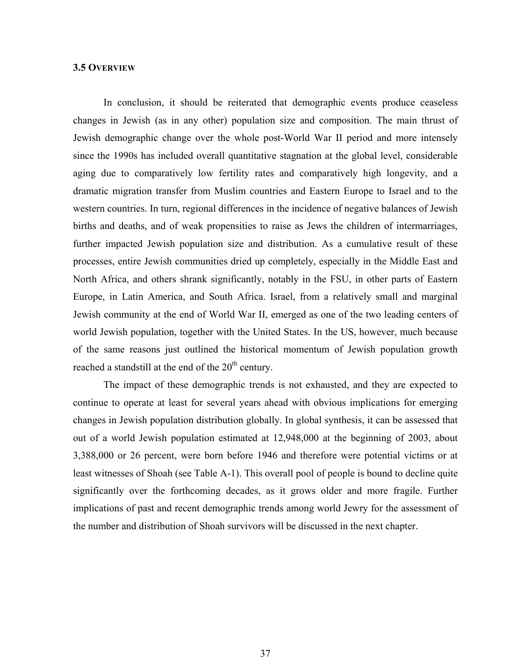### **3.5 OVERVIEW**

In conclusion, it should be reiterated that demographic events produce ceaseless changes in Jewish (as in any other) population size and composition. The main thrust of Jewish demographic change over the whole post-World War II period and more intensely since the 1990s has included overall quantitative stagnation at the global level, considerable aging due to comparatively low fertility rates and comparatively high longevity, and a dramatic migration transfer from Muslim countries and Eastern Europe to Israel and to the western countries. In turn, regional differences in the incidence of negative balances of Jewish births and deaths, and of weak propensities to raise as Jews the children of intermarriages, further impacted Jewish population size and distribution. As a cumulative result of these processes, entire Jewish communities dried up completely, especially in the Middle East and North Africa, and others shrank significantly, notably in the FSU, in other parts of Eastern Europe, in Latin America, and South Africa. Israel, from a relatively small and marginal Jewish community at the end of World War II, emerged as one of the two leading centers of world Jewish population, together with the United States. In the US, however, much because of the same reasons just outlined the historical momentum of Jewish population growth reached a standstill at the end of the 20<sup>th</sup> century.

The impact of these demographic trends is not exhausted, and they are expected to continue to operate at least for several years ahead with obvious implications for emerging changes in Jewish population distribution globally. In global synthesis, it can be assessed that out of a world Jewish population estimated at 12,948,000 at the beginning of 2003, about 3,388,000 or 26 percent, were born before 1946 and therefore were potential victims or at least witnesses of Shoah (see Table A-1). This overall pool of people is bound to decline quite significantly over the forthcoming decades, as it grows older and more fragile. Further implications of past and recent demographic trends among world Jewry for the assessment of the number and distribution of Shoah survivors will be discussed in the next chapter.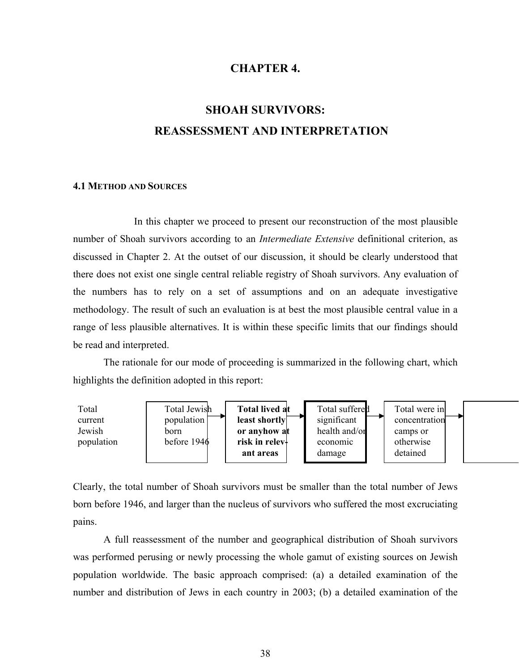## **CHAPTER 4.**

# **SHOAH SURVIVORS: REASSESSMENT AND INTERPRETATION**

### **4.1 METHOD AND SOURCES**

 In this chapter we proceed to present our reconstruction of the most plausible number of Shoah survivors according to an *Intermediate Extensive* definitional criterion, as discussed in Chapter 2. At the outset of our discussion, it should be clearly understood that there does not exist one single central reliable registry of Shoah survivors. Any evaluation of the numbers has to rely on a set of assumptions and on an adequate investigative methodology. The result of such an evaluation is at best the most plausible central value in a range of less plausible alternatives. It is within these specific limits that our findings should be read and interpreted.

The rationale for our mode of proceeding is summarized in the following chart, which highlights the definition adopted in this report:



Clearly, the total number of Shoah survivors must be smaller than the total number of Jews born before 1946, and larger than the nucleus of survivors who suffered the most excruciating pains.

A full reassessment of the number and geographical distribution of Shoah survivors was performed perusing or newly processing the whole gamut of existing sources on Jewish population worldwide. The basic approach comprised: (a) a detailed examination of the number and distribution of Jews in each country in 2003; (b) a detailed examination of the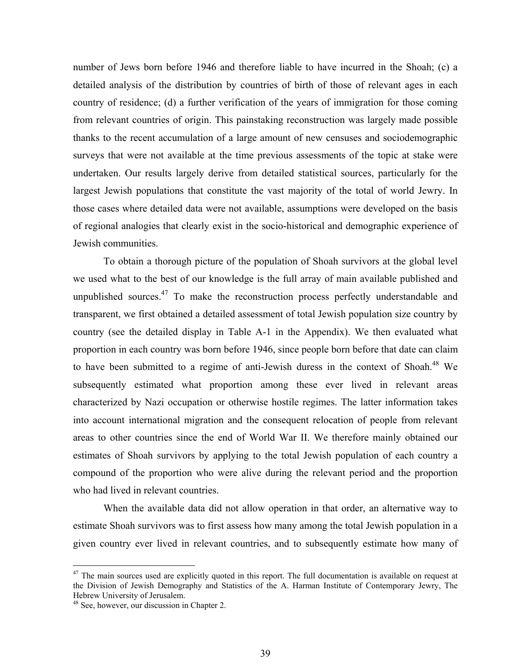number of Jews born before 1946 and therefore liable to have incurred in the Shoah; (c) a detailed analysis of the distribution by countries of birth of those of relevant ages in each country of residence; (d) a further verification of the years of immigration for those coming from relevant countries of origin. This painstaking reconstruction was largely made possible thanks to the recent accumulation of a large amount of new censuses and sociodemographic surveys that were not available at the time previous assessments of the topic at stake were undertaken. Our results largely derive from detailed statistical sources, particularly for the largest Jewish populations that constitute the vast majority of the total of world Jewry. In those cases where detailed data were not available, assumptions were developed on the basis of regional analogies that clearly exist in the socio-historical and demographic experience of Jewish communities.

To obtain a thorough picture of the population of Shoah survivors at the global level we used what to the best of our knowledge is the full array of main available published and unpublished sources. $47$  To make the reconstruction process perfectly understandable and transparent, we first obtained a detailed assessment of total Jewish population size country by country (see the detailed display in Table A-1 in the Appendix). We then evaluated what proportion in each country was born before 1946, since people born before that date can claim to have been submitted to a regime of anti-Jewish duress in the context of Shoah.<sup>48</sup> We subsequently estimated what proportion among these ever lived in relevant areas characterized by Nazi occupation or otherwise hostile regimes. The latter information takes into account international migration and the consequent relocation of people from relevant areas to other countries since the end of World War II. We therefore mainly obtained our estimates of Shoah survivors by applying to the total Jewish population of each country a compound of the proportion who were alive during the relevant period and the proportion who had lived in relevant countries.

When the available data did not allow operation in that order, an alternative way to estimate Shoah survivors was to first assess how many among the total Jewish population in a given country ever lived in relevant countries, and to subsequently estimate how many of

 $47$  The main sources used are explicitly quoted in this report. The full documentation is available on request at the Division of Jewish Demography and Statistics of the A. Harman Institute of Contemporary Jewry, The Hebrew University of Jerusalem.

<sup>48</sup> See, however, our discussion in Chapter 2.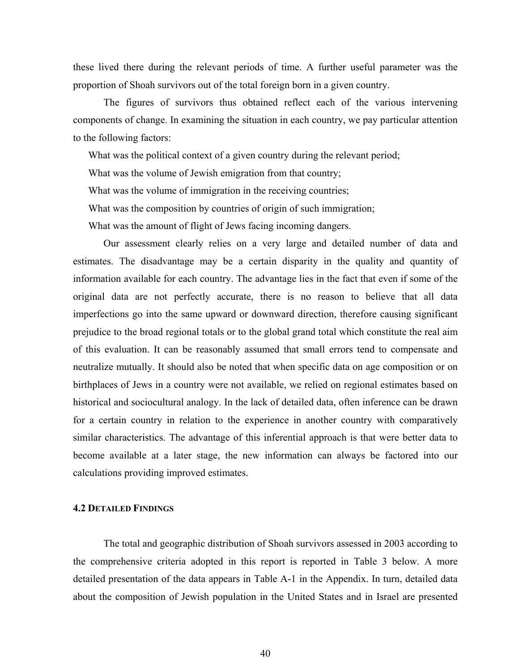these lived there during the relevant periods of time. A further useful parameter was the proportion of Shoah survivors out of the total foreign born in a given country.

The figures of survivors thus obtained reflect each of the various intervening components of change. In examining the situation in each country, we pay particular attention to the following factors:

What was the political context of a given country during the relevant period;

What was the volume of Jewish emigration from that country;

What was the volume of immigration in the receiving countries;

What was the composition by countries of origin of such immigration;

What was the amount of flight of Jews facing incoming dangers.

 Our assessment clearly relies on a very large and detailed number of data and estimates. The disadvantage may be a certain disparity in the quality and quantity of information available for each country. The advantage lies in the fact that even if some of the original data are not perfectly accurate, there is no reason to believe that all data imperfections go into the same upward or downward direction, therefore causing significant prejudice to the broad regional totals or to the global grand total which constitute the real aim of this evaluation. It can be reasonably assumed that small errors tend to compensate and neutralize mutually. It should also be noted that when specific data on age composition or on birthplaces of Jews in a country were not available, we relied on regional estimates based on historical and sociocultural analogy. In the lack of detailed data, often inference can be drawn for a certain country in relation to the experience in another country with comparatively similar characteristics. The advantage of this inferential approach is that were better data to become available at a later stage, the new information can always be factored into our calculations providing improved estimates.

#### **4.2 DETAILED FINDINGS**

The total and geographic distribution of Shoah survivors assessed in 2003 according to the comprehensive criteria adopted in this report is reported in Table 3 below. A more detailed presentation of the data appears in Table A-1 in the Appendix. In turn, detailed data about the composition of Jewish population in the United States and in Israel are presented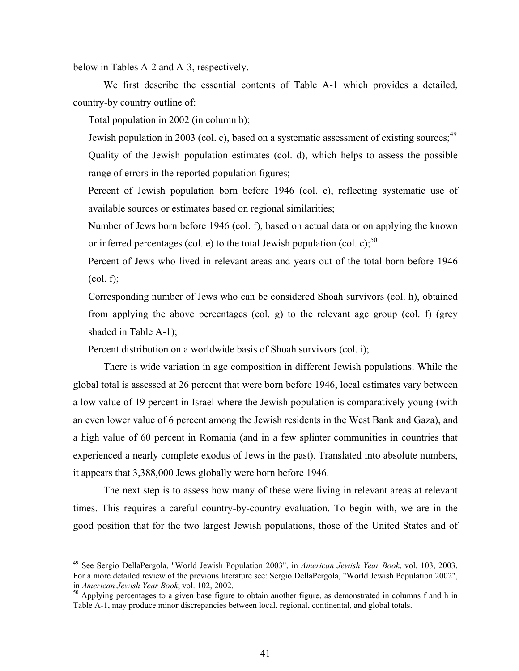below in Tables A-2 and A-3, respectively.

We first describe the essential contents of Table A-1 which provides a detailed, country-by country outline of:

Total population in 2002 (in column b);

 $\overline{a}$ 

Jewish population in 2003 (col. c), based on a systematic assessment of existing sources;<sup>49</sup>

 Quality of the Jewish population estimates (col. d), which helps to assess the possible range of errors in the reported population figures;

 Percent of Jewish population born before 1946 (col. e), reflecting systematic use of available sources or estimates based on regional similarities;

 Number of Jews born before 1946 (col. f), based on actual data or on applying the known or inferred percentages (col. e) to the total Jewish population (col. c);<sup>50</sup>

 Percent of Jews who lived in relevant areas and years out of the total born before 1946  $\text{(col. f)}$ ;

 Corresponding number of Jews who can be considered Shoah survivors (col. h), obtained from applying the above percentages (col. g) to the relevant age group (col. f) (grey shaded in Table A-1);

Percent distribution on a worldwide basis of Shoah survivors (col. i);

 There is wide variation in age composition in different Jewish populations. While the global total is assessed at 26 percent that were born before 1946, local estimates vary between a low value of 19 percent in Israel where the Jewish population is comparatively young (with an even lower value of 6 percent among the Jewish residents in the West Bank and Gaza), and a high value of 60 percent in Romania (and in a few splinter communities in countries that experienced a nearly complete exodus of Jews in the past). Translated into absolute numbers, it appears that 3,388,000 Jews globally were born before 1946.

 The next step is to assess how many of these were living in relevant areas at relevant times. This requires a careful country-by-country evaluation. To begin with, we are in the good position that for the two largest Jewish populations, those of the United States and of

<sup>49</sup> See Sergio DellaPergola, "World Jewish Population 2003", in *American Jewish Year Book*, vol. 103, 2003. For a more detailed review of the previous literature see: Sergio DellaPergola, "World Jewish Population 2002", in *American Jewish Year Book*, vol. 102, 2002.<br><sup>50</sup> Applying percentages to a given base figure to obtain another figure, as demonstrated in columns f and h in

Table A-1, may produce minor discrepancies between local, regional, continental, and global totals.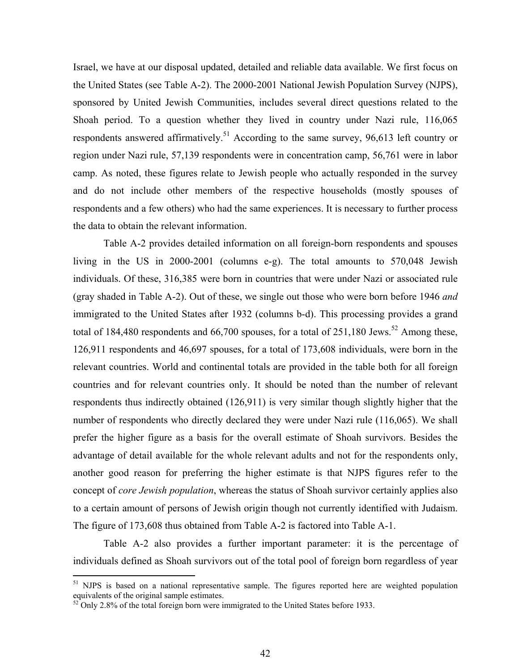Israel, we have at our disposal updated, detailed and reliable data available. We first focus on the United States (see Table A-2). The 2000-2001 National Jewish Population Survey (NJPS), sponsored by United Jewish Communities, includes several direct questions related to the Shoah period. To a question whether they lived in country under Nazi rule, 116,065 respondents answered affirmatively.<sup>51</sup> According to the same survey, 96,613 left country or region under Nazi rule, 57,139 respondents were in concentration camp, 56,761 were in labor camp. As noted, these figures relate to Jewish people who actually responded in the survey and do not include other members of the respective households (mostly spouses of respondents and a few others) who had the same experiences. It is necessary to further process the data to obtain the relevant information.

 Table A-2 provides detailed information on all foreign-born respondents and spouses living in the US in 2000-2001 (columns e-g). The total amounts to 570,048 Jewish individuals. Of these, 316,385 were born in countries that were under Nazi or associated rule (gray shaded in Table A-2). Out of these, we single out those who were born before 1946 *and* immigrated to the United States after 1932 (columns b-d). This processing provides a grand total of 184,480 respondents and  $66,700$  spouses, for a total of  $251,180$  Jews.<sup>52</sup> Among these, 126,911 respondents and 46,697 spouses, for a total of 173,608 individuals, were born in the relevant countries. World and continental totals are provided in the table both for all foreign countries and for relevant countries only. It should be noted than the number of relevant respondents thus indirectly obtained (126,911) is very similar though slightly higher that the number of respondents who directly declared they were under Nazi rule (116,065). We shall prefer the higher figure as a basis for the overall estimate of Shoah survivors. Besides the advantage of detail available for the whole relevant adults and not for the respondents only, another good reason for preferring the higher estimate is that NJPS figures refer to the concept of *core Jewish population*, whereas the status of Shoah survivor certainly applies also to a certain amount of persons of Jewish origin though not currently identified with Judaism. The figure of 173,608 thus obtained from Table A-2 is factored into Table A-1.

Table A-2 also provides a further important parameter: it is the percentage of individuals defined as Shoah survivors out of the total pool of foreign born regardless of year

<sup>&</sup>lt;sup>51</sup> NJPS is based on a national representative sample. The figures reported here are weighted population equivalents of the original sample estimates.

 $52$  Only 2.8% of the total foreign born were immigrated to the United States before 1933.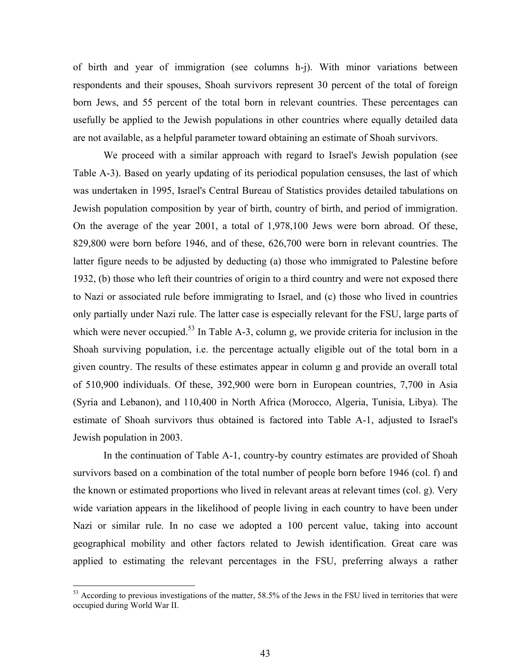of birth and year of immigration (see columns h-j). With minor variations between respondents and their spouses, Shoah survivors represent 30 percent of the total of foreign born Jews, and 55 percent of the total born in relevant countries. These percentages can usefully be applied to the Jewish populations in other countries where equally detailed data are not available, as a helpful parameter toward obtaining an estimate of Shoah survivors.

 We proceed with a similar approach with regard to Israel's Jewish population (see Table A-3). Based on yearly updating of its periodical population censuses, the last of which was undertaken in 1995, Israel's Central Bureau of Statistics provides detailed tabulations on Jewish population composition by year of birth, country of birth, and period of immigration. On the average of the year 2001, a total of 1,978,100 Jews were born abroad. Of these, 829,800 were born before 1946, and of these, 626,700 were born in relevant countries. The latter figure needs to be adjusted by deducting (a) those who immigrated to Palestine before 1932, (b) those who left their countries of origin to a third country and were not exposed there to Nazi or associated rule before immigrating to Israel, and (c) those who lived in countries only partially under Nazi rule. The latter case is especially relevant for the FSU, large parts of which were never occupied.<sup>53</sup> In Table A-3, column g, we provide criteria for inclusion in the Shoah surviving population, i.e. the percentage actually eligible out of the total born in a given country. The results of these estimates appear in column g and provide an overall total of 510,900 individuals. Of these, 392,900 were born in European countries, 7,700 in Asia (Syria and Lebanon), and 110,400 in North Africa (Morocco, Algeria, Tunisia, Libya). The estimate of Shoah survivors thus obtained is factored into Table A-1, adjusted to Israel's Jewish population in 2003.

 In the continuation of Table A-1, country-by country estimates are provided of Shoah survivors based on a combination of the total number of people born before 1946 (col. f) and the known or estimated proportions who lived in relevant areas at relevant times (col. g). Very wide variation appears in the likelihood of people living in each country to have been under Nazi or similar rule. In no case we adopted a 100 percent value, taking into account geographical mobility and other factors related to Jewish identification. Great care was applied to estimating the relevant percentages in the FSU, preferring always a rather

<sup>&</sup>lt;sup>53</sup> According to previous investigations of the matter, 58.5% of the Jews in the FSU lived in territories that were occupied during World War II.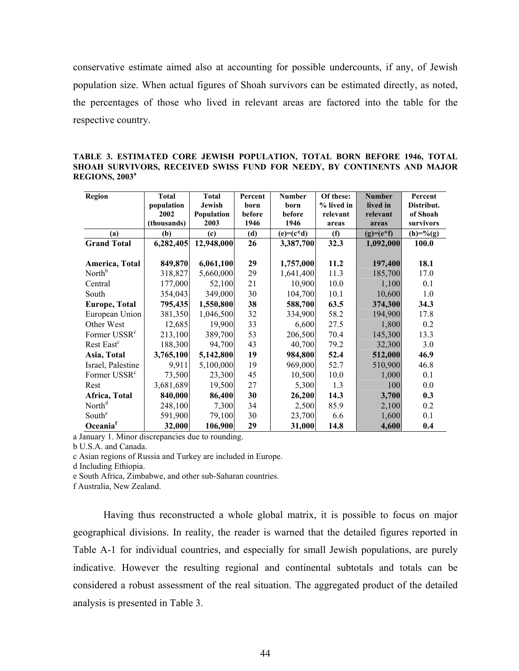conservative estimate aimed also at accounting for possible undercounts, if any, of Jewish population size. When actual figures of Shoah survivors can be estimated directly, as noted, the percentages of those who lived in relevant areas are factored into the table for the respective country.

|                                   |  |     |  |  |      |     |  |     | TABLE 3. ESTIMATED CORE JEWISH POPULATION, TOTAL BORN BEFORE 1946, TOTAL |  |
|-----------------------------------|--|-----|--|--|------|-----|--|-----|--------------------------------------------------------------------------|--|
|                                   |  |     |  |  |      |     |  |     | SHOAH SURVIVORS, RECEIVED SWISS FUND FOR NEEDY, BY CONTINENTS AND MAJOR  |  |
| <b>REGIONS, 2003</b> <sup>a</sup> |  |     |  |  |      |     |  |     |                                                                          |  |
|                                   |  |     |  |  |      |     |  |     |                                                                          |  |
|                                   |  | ___ |  |  | ---- | --- |  | ___ |                                                                          |  |

| <b>Region</b>            | <b>Total</b> | <b>Total</b> | Percent | <b>Number</b> | Of these:  | <b>Number</b> | Percent              |
|--------------------------|--------------|--------------|---------|---------------|------------|---------------|----------------------|
|                          | population   | Jewish       | born    | born          | % lived in | lived in      | Distribut.           |
|                          | 2002         | Population   | before  | before        | relevant   | relevant      | of Shoah             |
|                          | (thousands)  | 2003         | 1946    | 1946          | areas      | areas         | survivors            |
| (a)                      | (b)          | (c)          | (d)     | $(e)=(e*d)$   | (f)        | $(g)=(e*f)$   | $(h)=\frac{9}{6}(g)$ |
| <b>Grand Total</b>       | 6,282,405    | 12,948,000   | 26      | 3,387,700     | 32.3       | 1,092,000     | 100.0                |
|                          |              |              |         |               |            |               |                      |
| America, Total           | 849,870      | 6,061,100    | 29      | 1,757,000     | 11.2       | 197,400       | 18.1                 |
| North <sup>b</sup>       | 318,827      | 5,660,000    | 29      | 1,641,400     | 11.3       | 185,700       | 17.0                 |
| Central                  | 177,000      | 52,100       | 21      | 10,900        | 10.0       | 1,100         | 0.1                  |
| South                    | 354,043      | 349,000      | 30      | 104,700       | 10.1       | 10,600        | 1.0                  |
| Europe, Total            | 795,435      | 1,550,800    | 38      | 588,700       | 63.5       | 374,300       | 34.3                 |
| European Union           | 381,350      | 1,046,500    | 32      | 334,900       | 58.2       | 194,900       | 17.8                 |
| Other West               | 12,685       | 19,900       | 33      | 6,600         | 27.5       | 1,800         | 0.2                  |
| Former USSR <sup>c</sup> | 213,100      | 389,700      | 53      | 206,500       | 70.4       | 145,300       | 13.3                 |
| Rest East <sup>c</sup>   | 188,300      | 94,700       | 43      | 40,700        | 79.2       | 32,300        | 3.0                  |
| Asia, Total              | 3,765,100    | 5,142,800    | 19      | 984,800       | 52.4       | 512,000       | 46.9                 |
| Israel, Palestine        | 9,911        | 5,100,000    | 19      | 969,000       | 52.7       | 510,900       | 46.8                 |
| Former USSR <sup>c</sup> | 73,500       | 23,300       | 45      | 10,500        | 10.0       | 1,000         | 0.1                  |
| Rest                     | 3,681,689    | 19,500       | 27      | 5,300         | 1.3        | 100           | 0.0                  |
| Africa, Total            | 840,000      | 86,400       | 30      | 26,200        | 14.3       | 3,700         | 0.3                  |
| North <sup>d</sup>       | 248,100      | 7,300        | 34      | 2,500         | 85.9       | 2,100         | 0.2                  |
| Southe                   | 591,900      | 79,100       | 30      | 23,700        | 6.6        | 1,600         | 0.1                  |
| Oceaniaf                 | 32,000       | 106,900      | 29      | 31,000        | 14.8       | 4,600         | 0.4                  |

a January 1. Minor discrepancies due to rounding.

b U.S.A. and Canada.

c Asian regions of Russia and Turkey are included in Europe.

d Including Ethiopia.

e South Africa, Zimbabwe, and other sub-Saharan countries.

f Australia, New Zealand.

Having thus reconstructed a whole global matrix, it is possible to focus on major geographical divisions. In reality, the reader is warned that the detailed figures reported in Table A-1 for individual countries, and especially for small Jewish populations, are purely indicative. However the resulting regional and continental subtotals and totals can be considered a robust assessment of the real situation. The aggregated product of the detailed analysis is presented in Table 3.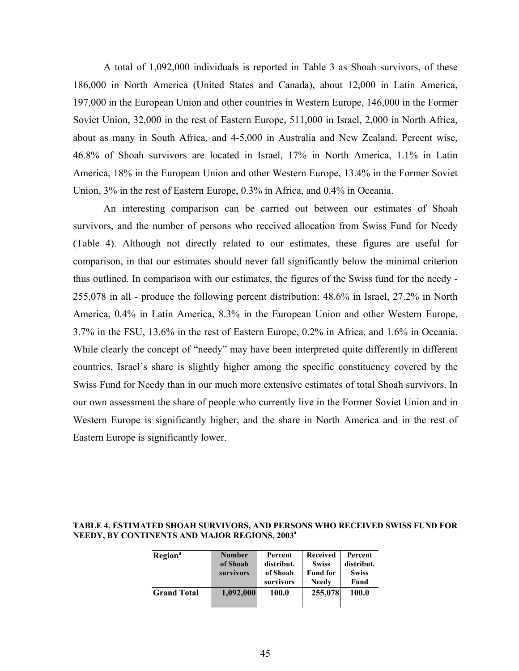A total of 1,092,000 individuals is reported in Table 3 as Shoah survivors, of these 186,000 in North America (United States and Canada), about 12,000 in Latin America, 197,000 in the European Union and other countries in Western Europe, 146,000 in the Former Soviet Union, 32,000 in the rest of Eastern Europe, 511,000 in Israel, 2,000 in North Africa, about as many in South Africa, and 4-5,000 in Australia and New Zealand. Percent wise, 46.8% of Shoah survivors are located in Israel, 17% in North America, 1.1% in Latin America, 18% in the European Union and other Western Europe, 13.4% in the Former Soviet Union, 3% in the rest of Eastern Europe, 0.3% in Africa, and 0.4% in Oceania.

 An interesting comparison can be carried out between our estimates of Shoah survivors, and the number of persons who received allocation from Swiss Fund for Needy (Table 4). Although not directly related to our estimates, these figures are useful for comparison, in that our estimates should never fall significantly below the minimal criterion thus outlined. In comparison with our estimates, the figures of the Swiss fund for the needy - 255,078 in all - produce the following percent distribution: 48.6% in Israel, 27.2% in North America, 0.4% in Latin America, 8.3% in the European Union and other Western Europe, 3.7% in the FSU, 13.6% in the rest of Eastern Europe, 0.2% in Africa, and 1.6% in Oceania. While clearly the concept of "needy" may have been interpreted quite differently in different countries, Israel's share is slightly higher among the specific constituency covered by the Swiss Fund for Needy than in our much more extensive estimates of total Shoah survivors. In our own assessment the share of people who currently live in the Former Soviet Union and in Western Europe is significantly higher, and the share in North America and in the rest of Eastern Europe is significantly lower.

| Region <sup>a</sup> | <b>Number</b><br>of Shoah<br>survivors | Percent<br>distribut.<br>of Shoah<br>survivors | Received<br><b>Swiss</b><br><b>Fund for</b><br>Needy | Percent<br>distribut.<br><b>Swiss</b><br>Fund |
|---------------------|----------------------------------------|------------------------------------------------|------------------------------------------------------|-----------------------------------------------|
| <b>Grand Total</b>  | 1,092,000                              | 100.0                                          | 255,078                                              | 100.0                                         |

**TABLE 4. ESTIMATED SHOAH SURVIVORS, AND PERSONS WHO RECEIVED SWISS FUND FOR NEEDY, BY CONTINENTS AND MAJOR REGIONS, 2003a**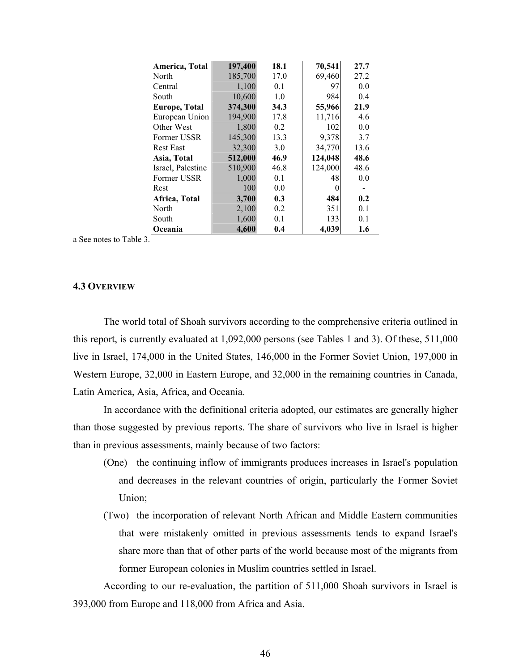| America, Total       | 197,400 | 18.1 | 70,541        | 27.7 |
|----------------------|---------|------|---------------|------|
| North                | 185,700 | 17.0 | 69,460        | 27.2 |
| Central              | 1,100   | 0.1  | 97            | 0.0  |
| South                | 10,600  | 1.0  | 984           | 0.4  |
| <b>Europe, Total</b> | 374,300 | 34.3 | 55,966        | 21.9 |
| European Union       | 194,900 | 17.8 | 11,716        | 4.6  |
| Other West           | 1,800   | 0.2  | 102           | 0.0  |
| Former USSR          | 145,300 | 13.3 | 9,378         | 3.7  |
| <b>Rest East</b>     | 32,300  | 3.0  | 34,770        | 13.6 |
| Asia, Total          | 512,000 | 46.9 | 124,048       | 48.6 |
| Israel, Palestine    | 510,900 | 46.8 | 124,000       | 48.6 |
| Former USSR          | 1,000   | 0.1  | 48            | 0.0  |
| Rest                 | 100     | 0.0  | $\mathcal{L}$ |      |
| Africa, Total        | 3,700   | 0.3  | 484           | 0.2  |
| North                | 2,100   | 0.2  | 351           | 0.1  |
| South                | 1,600   | 0.1  | 133           | 0.1  |
| Oceania              | 4,600   | 0.4  | 4.039         | 1.6  |

a See notes to Table 3.

#### **4.3 OVERVIEW**

The world total of Shoah survivors according to the comprehensive criteria outlined in this report, is currently evaluated at 1,092,000 persons (see Tables 1 and 3). Of these, 511,000 live in Israel, 174,000 in the United States, 146,000 in the Former Soviet Union, 197,000 in Western Europe, 32,000 in Eastern Europe, and 32,000 in the remaining countries in Canada, Latin America, Asia, Africa, and Oceania.

 In accordance with the definitional criteria adopted, our estimates are generally higher than those suggested by previous reports. The share of survivors who live in Israel is higher than in previous assessments, mainly because of two factors:

- (One) the continuing inflow of immigrants produces increases in Israel's population and decreases in the relevant countries of origin, particularly the Former Soviet Union;
- (Two) the incorporation of relevant North African and Middle Eastern communities that were mistakenly omitted in previous assessments tends to expand Israel's share more than that of other parts of the world because most of the migrants from former European colonies in Muslim countries settled in Israel.

 According to our re-evaluation, the partition of 511,000 Shoah survivors in Israel is 393,000 from Europe and 118,000 from Africa and Asia.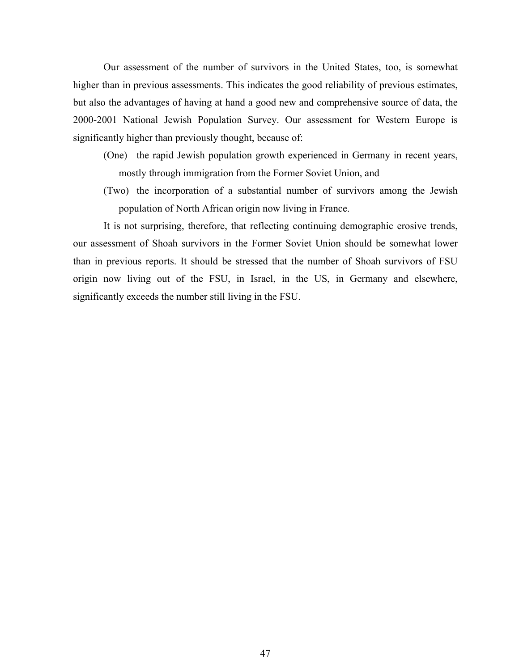Our assessment of the number of survivors in the United States, too, is somewhat higher than in previous assessments. This indicates the good reliability of previous estimates, but also the advantages of having at hand a good new and comprehensive source of data, the 2000-2001 National Jewish Population Survey. Our assessment for Western Europe is significantly higher than previously thought, because of:

- (One) the rapid Jewish population growth experienced in Germany in recent years, mostly through immigration from the Former Soviet Union, and
- (Two) the incorporation of a substantial number of survivors among the Jewish population of North African origin now living in France.

 It is not surprising, therefore, that reflecting continuing demographic erosive trends, our assessment of Shoah survivors in the Former Soviet Union should be somewhat lower than in previous reports. It should be stressed that the number of Shoah survivors of FSU origin now living out of the FSU, in Israel, in the US, in Germany and elsewhere, significantly exceeds the number still living in the FSU.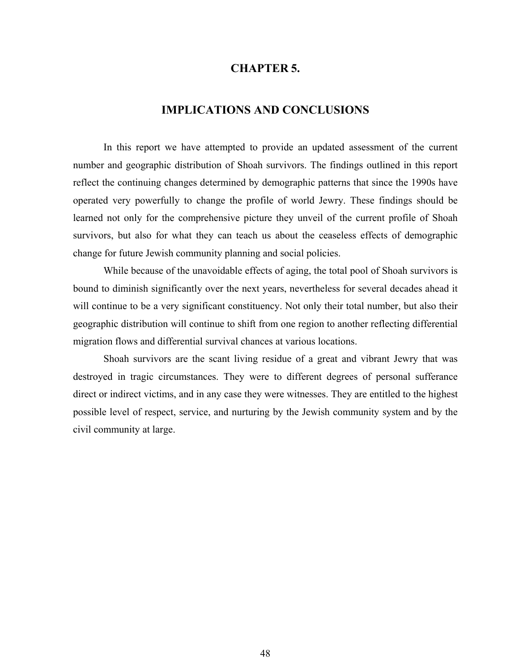## **CHAPTER 5.**

## **IMPLICATIONS AND CONCLUSIONS**

 In this report we have attempted to provide an updated assessment of the current number and geographic distribution of Shoah survivors. The findings outlined in this report reflect the continuing changes determined by demographic patterns that since the 1990s have operated very powerfully to change the profile of world Jewry. These findings should be learned not only for the comprehensive picture they unveil of the current profile of Shoah survivors, but also for what they can teach us about the ceaseless effects of demographic change for future Jewish community planning and social policies.

While because of the unavoidable effects of aging, the total pool of Shoah survivors is bound to diminish significantly over the next years, nevertheless for several decades ahead it will continue to be a very significant constituency. Not only their total number, but also their geographic distribution will continue to shift from one region to another reflecting differential migration flows and differential survival chances at various locations.

Shoah survivors are the scant living residue of a great and vibrant Jewry that was destroyed in tragic circumstances. They were to different degrees of personal sufferance direct or indirect victims, and in any case they were witnesses. They are entitled to the highest possible level of respect, service, and nurturing by the Jewish community system and by the civil community at large.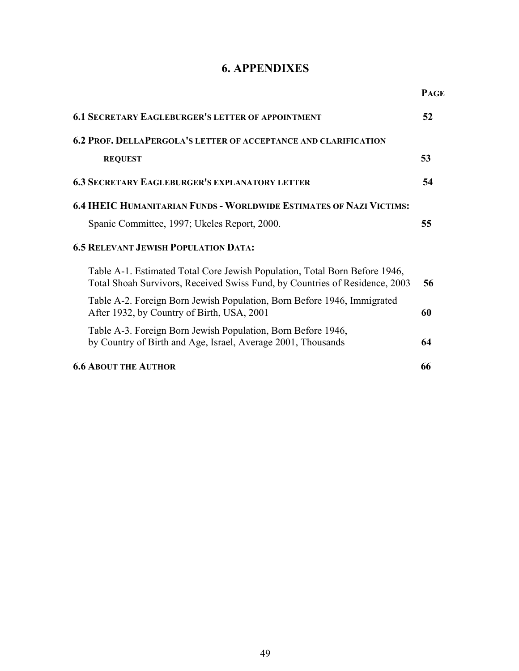# **6. APPENDIXES**

**PAGE**

| <b>6.1 SECRETARY EAGLEBURGER'S LETTER OF APPOINTMENT</b>                                                                                                  |    |  |  |  |  |  |  |  |
|-----------------------------------------------------------------------------------------------------------------------------------------------------------|----|--|--|--|--|--|--|--|
| <b>6.2 PROF. DELLAPERGOLA'S LETTER OF ACCEPTANCE AND CLARIFICATION</b>                                                                                    |    |  |  |  |  |  |  |  |
| <b>REOUEST</b>                                                                                                                                            | 53 |  |  |  |  |  |  |  |
| <b>6.3 SECRETARY EAGLEBURGER'S EXPLANATORY LETTER</b>                                                                                                     | 54 |  |  |  |  |  |  |  |
| <b>6.4 IHEIC HUMANITARIAN FUNDS - WORLDWIDE ESTIMATES OF NAZI VICTIMS:</b>                                                                                |    |  |  |  |  |  |  |  |
| Spanic Committee, 1997; Ukeles Report, 2000.                                                                                                              | 55 |  |  |  |  |  |  |  |
| <b>6.5 RELEVANT JEWISH POPULATION DATA:</b>                                                                                                               |    |  |  |  |  |  |  |  |
| Table A-1. Estimated Total Core Jewish Population, Total Born Before 1946,<br>Total Shoah Survivors, Received Swiss Fund, by Countries of Residence, 2003 | 56 |  |  |  |  |  |  |  |
| Table A-2. Foreign Born Jewish Population, Born Before 1946, Immigrated<br>After 1932, by Country of Birth, USA, 2001                                     | 60 |  |  |  |  |  |  |  |
| Table A-3. Foreign Born Jewish Population, Born Before 1946,<br>by Country of Birth and Age, Israel, Average 2001, Thousands                              | 64 |  |  |  |  |  |  |  |
| 66<br><b>6.6 ABOUT THE AUTHOR</b>                                                                                                                         |    |  |  |  |  |  |  |  |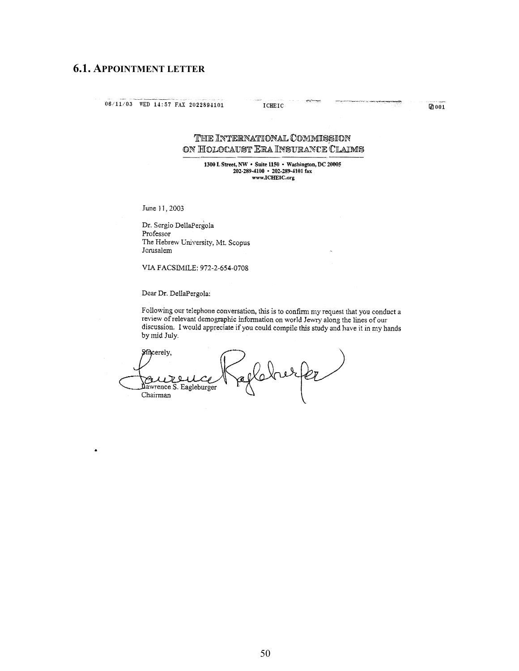# **6.1. APPOINTMENT LETTER**

06/11/03 WED 14:57 FAX 2022894101

**ICHEIC** 

 $Q$ 001

#### THE INTERNATIONAL COMMISSION ON HOLOCAUST ERA INSURANCE CLAIMS

 $1300\ \textrm{L Street, NW}\ \cdot\ \textrm{ Suite}\ 1150\ \cdot\ \textrm{Washington, DC}\ 20005\\ 202\cdot289\cdot4100\ \cdot\ 202\cdot289\cdot4101\ \textrm{far}\\ \textrm{www.ICHEIC.org}$ 

June 11, 2003

Dr. Sergio DellaPergola Professor The Hebrew University, Mt. Scopus Jorusalem

VIA FACSIMILE: 972-2-654-0708

Dear Dr. DellaPergola:

Following our telephone conversation, this is to confirm my request that you conduct a review of relevant demographic information on world Jewry along the lines of our discussion. I would appreciate if you could compile this study and have it in my hands by mid July.

Sincerely, refletrerfer lawrence S. Eagleburger  $Chairman$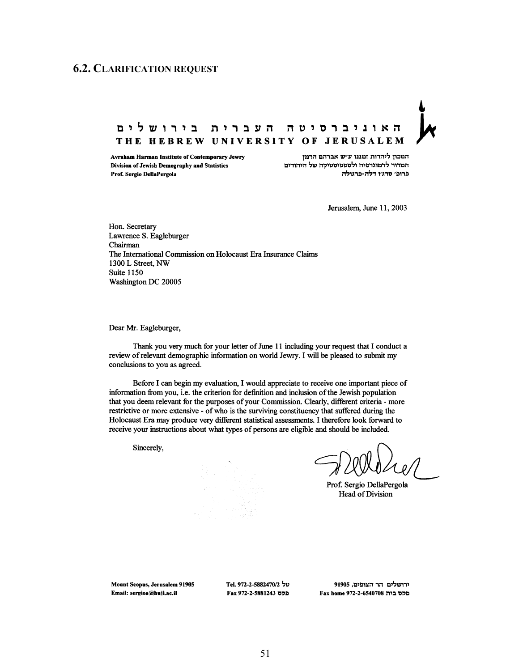## **6.2. CLARIFICATION REQUEST**

## האוניברסיטה העברית בירושלים THE HEBREW UNIVERSITY OF JERUSALEM

**Avraham Harman Institute of Contemporary Jewry** Division of Jewish Demography and Statistics Prof. Sergio DellaPergola

המכון ליהדות זמננו ע״ש אברהם הרמן המדור לדמוגרפיה ולסטטיסטיקה של היהודים פרופ׳ סרג׳ו דלה-פרגולה

Jerusalem, June 11, 2003

Hon. Secretary Lawrence S. Eagleburger Chairman The International Commission on Holocaust Era Insurance Claims 1300 L Street, NW **Suite 1150** Washington DC 20005

Dear Mr. Eagleburger,

Thank you very much for your letter of June 11 including your request that I conduct a review of relevant demographic information on world Jewry. I will be pleased to submit my conclusions to you as agreed.

Before I can begin my evaluation, I would appreciate to receive one important piece of information from you, i.e. the criterion for definition and inclusion of the Jewish population that you deem relevant for the purposes of your Commission. Clearly, different criteria - more restrictive or more extensive - of who is the surviving constituency that suffered during the Holocaust Era may produce very different statistical assessments. I therefore look forward to receive your instructions about what types of persons are eligible and should be included.

Sincerely,

Prof. Sergio DellaPergola Head of Division

**Mount Scopus, Jerusalem 91905** Email: sergioa@huji.ac.il

טל Tel. 972-2-5882470/2 Eax 972-2-5881243

ירושלים הר הצופים, 91905 Eax home 972-2-6540708 בית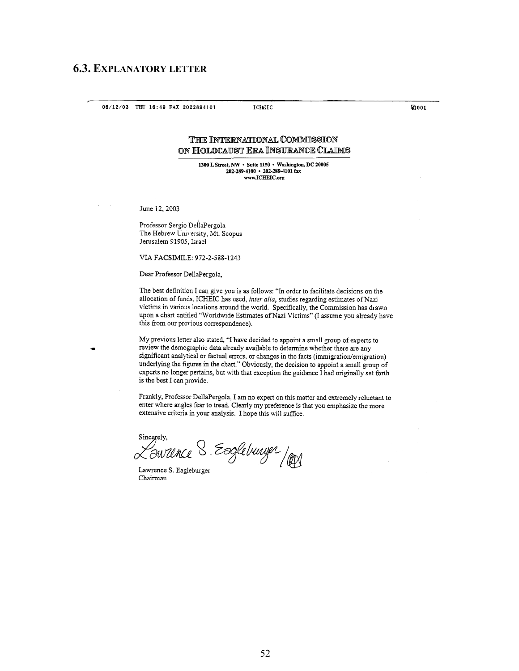## **6.3. EXPLANATORY LETTER**

06/12/03 THU 16:49 FAX 2022894101

ICHEIC

**2001** 

#### THE INTERNATIONAL COMMISSION ON HOLOCAUST ERA INSURANCE CLAIMS

1300 L Street, NW · Suite 1150 · Washington, DC 20005 202-289-4100 • 202-289-4101 fax<br>www.ICHEIC.org

June 12, 2003

Professor Sergio DellaPergola The Hebrew University, Mt. Scopus Jerusalem 91905, Israel

VIA FACSIMILE: 972-2-588-1243

Dear Professor DellaPergola,

The best definition I can give you is as follows: "In order to facilitate decisions on the allocation of funds, ICHEIC has used, inter alia, studies regarding estimates of Nazi victims in various locations around the world. Specifically, the Commission has drawn upon a chart entitled "Worldwide Estimates of Nazi Victims" (I assume you already have this from our previous correspondence).

My previous letter also stated, "I have decided to appoint a small group of experts to review the demographic data already available to determine whether there are any significant analytical or factual errors, or changes in the facts (immigration/emigration) underlying the figures in the chart." Obviously, the decision to appoint a small group of experts no longer pertains, but with that exception the guidance I had originally set forth is the best I can provide.

Frankly, Professor DellaPergola, I am no expert on this matter and extremely reluctant to enter where angles fear to tread. Clearly my preference is that you emphasize the more extensive criteria in your analysis. I hope this will suffice.

Sincerely, sincerely,<br>Zowillnce S. Eogleburyer /

Lawrence S. Eagleburger Chairman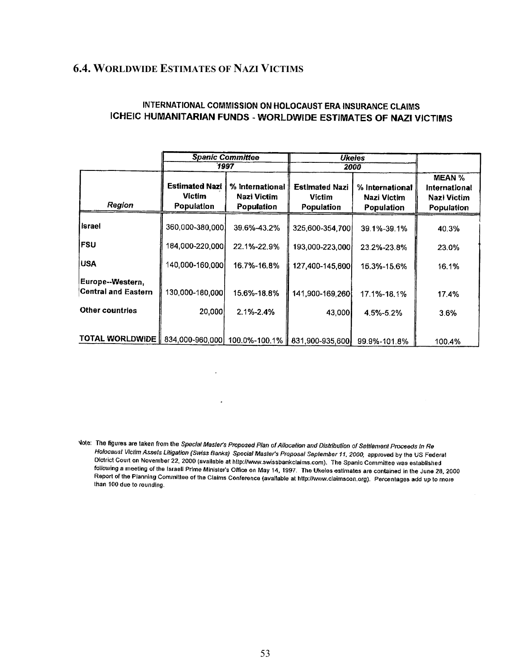## **6.4. WORLDWIDE ESTIMATES OF NAZI VICTIMS**

|                                                                          |                                                      | <b>Spanic Committee</b>                             |                                                      | <b>Ukeles</b>                                |                                                             |
|--------------------------------------------------------------------------|------------------------------------------------------|-----------------------------------------------------|------------------------------------------------------|----------------------------------------------|-------------------------------------------------------------|
|                                                                          |                                                      | 1997                                                |                                                      | 2000                                         |                                                             |
| Region                                                                   | <b>Estimated Nazi</b><br><b>Victim</b><br>Population | % International<br>Nazi Victim<br><b>Population</b> | <b>Estimated Nazi</b><br><b>Victim</b><br>Population | % international<br>Nazi Victim<br>Population | MEAN %<br>International<br>Nazi Victim<br><b>Population</b> |
| <b>Israel</b>                                                            | 360,000-380,000                                      | 39.6%-43.2%                                         | 325,600-354,700                                      | 39.1%-39.1%                                  | 40.3%                                                       |
| FSU                                                                      | 184,000-220,000                                      | 22.1%-22.9%                                         | 193,000-223,000                                      | 23.2%-23.8%                                  | 23.0%                                                       |
| <b>USA</b>                                                               | 140,000-160,000                                      | 16.7%-16.8%                                         | 127,400-145,600                                      | 15.3%-15.6%                                  | 16.1%                                                       |
| Europe--Western,<br><b>Central and Eastern</b><br><b>Other countries</b> | 130,000-180,000<br>20,000                            | 15.6%-18.8%<br>$2.1\% - 2.4\%$                      | 141,900-169,260<br>43,000                            | 17.1%-18.1%<br>4.5%-5.2%                     | 17.4%<br>3.6%                                               |
| TOTAL WORLDWIDE   834,000-960,000 100.0%-100.1%                          |                                                      |                                                     | 831,900-935,600                                      | 99.9%-101.8%                                 | 100.4%                                                      |

## INTERNATIONAL COMMISSION ON HOLOCAUST ERA INSURANCE CLAIMS ICHEIC HUMANITARIAN FUNDS - WORLDWIDE ESTIMATES OF NAZI VICTIMS

Note: The figures are taken from the Special Master's Proposed Plan of Allocation and Distribution of Settlement Proceeds In Re Holocaust Victim Assets Litigation (Swiss Banks) Special Master's Proposal September 11, 2000, approved by the US Federal Dictrict Court on November 22, 2000 (available at http://www.swissbankclaims.com). The Spanic Committee was established following a meeting of the Israeli Prime Minister's Office on May 14, 1997. The Ukeles estimates are contained in the June 28, 2000 Report of the Planning Committee of the Claims Conference (available at http://www.claimscon.org). Percentages add up to more than 100 due to rounding.

 $\mathbf{r}$ 

 $\bullet$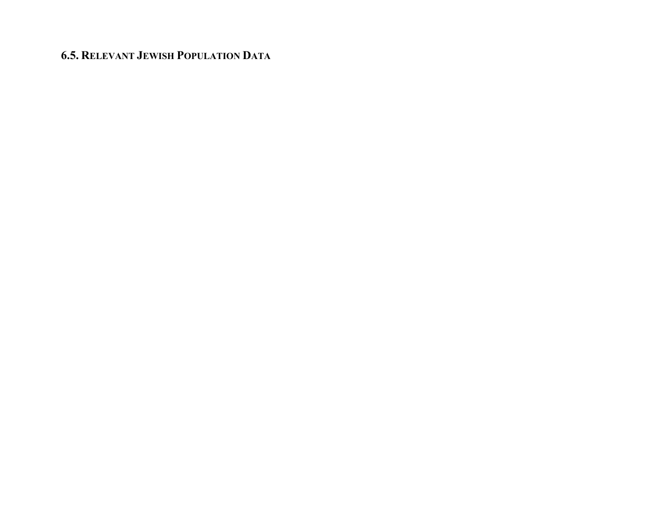# **6.5. RELEVANT JEWISH POPULATION DATA**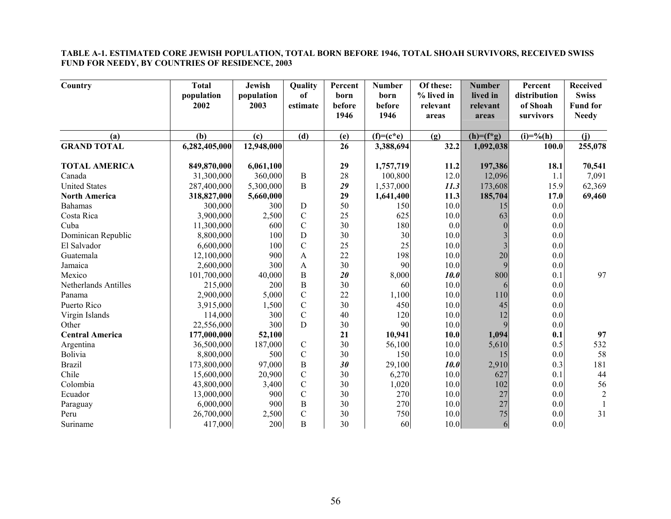### **TABLE A-1. ESTIMATED CORE JEWISH POPULATION, TOTAL BORN BEFORE 1946, TOTAL SHOAH SURVIVORS, RECEIVED SWISS FUND FOR NEEDY, BY COUNTRIES OF RESIDENCE, 2003**

| Country                | <b>Total</b><br>population<br>2002 | <b>Jewish</b><br>population<br>2003 | Quality<br>of<br>estimate | Percent<br>born<br>before<br>1946 | <b>Number</b><br>born<br>before<br>1946 | Of these:<br>% lived in<br>relevant<br>areas | <b>Number</b><br>lived in<br>relevant<br>areas | Percent<br>distribution<br>of Shoah<br>survivors | <b>Received</b><br><b>Swiss</b><br><b>Fund for</b><br><b>Needy</b> |
|------------------------|------------------------------------|-------------------------------------|---------------------------|-----------------------------------|-----------------------------------------|----------------------------------------------|------------------------------------------------|--------------------------------------------------|--------------------------------------------------------------------|
| (a)                    | (b)                                | (c)                                 | (d)                       | (e)                               | $(f)=(c*e)$                             | (g)                                          | $(h)=(f*g)$                                    | $(i)=\frac{9}{6}(h)$                             | (i)                                                                |
| <b>GRAND TOTAL</b>     | 6,282,405,000                      | 12,948,000                          |                           | 26                                | 3,388,694                               | 32.2                                         | 1,092,038                                      | 100.0                                            | 255,078                                                            |
| <b>TOTAL AMERICA</b>   | 849,870,000                        | 6,061,100                           |                           | 29                                | 1,757,719                               | 11.2                                         | 197,386                                        | 18.1                                             | 70,541                                                             |
| Canada                 | 31,300,000                         | 360,000                             | B                         | 28                                | 100,800                                 | 12.0                                         | 12,096                                         | 1.1                                              | 7,091                                                              |
| <b>United States</b>   | 287,400,000                        | 5,300,000                           | B                         | 29                                | 1,537,000                               | 11.3                                         | 173,608                                        | 15.9                                             | 62,369                                                             |
| <b>North America</b>   | 318,827,000                        | 5,660,000                           |                           | 29                                | 1,641,400                               | 11.3                                         | 185,704                                        | 17.0                                             | 69,460                                                             |
| <b>Bahamas</b>         | 300,000                            | 300                                 | D                         | 50                                | 150                                     | 10.0                                         | 15                                             | 0.0                                              |                                                                    |
| Costa Rica             | 3,900,000                          | 2,500                               | $\mathcal{C}$             | 25                                | 625                                     | 10.0                                         | 63                                             | 0.0                                              |                                                                    |
| Cuba                   | 11,300,000                         | 600                                 | $\overline{C}$            | 30                                | 180                                     | 0.0                                          |                                                | 0.0                                              |                                                                    |
| Dominican Republic     | 8,800,000                          | 100                                 | D                         | 30                                | 30                                      | 10.0                                         |                                                | 0.0                                              |                                                                    |
| El Salvador            | 6,600,000                          | 100                                 | $\mathcal{C}$             | 25                                | 25                                      | 10.0                                         |                                                | 0.0                                              |                                                                    |
| Guatemala              | 12,100,000                         | 900                                 | A                         | 22                                | 198                                     | 10.0                                         | 20                                             | 0.0                                              |                                                                    |
| Jamaica                | 2,600,000                          | 300                                 | A                         | 30                                | 90                                      | 10.0                                         | 9                                              | 0.0                                              |                                                                    |
| Mexico                 | 101,700,000                        | 40,000                              | $\overline{B}$            | 20                                | 8,000                                   | 10.0                                         | 800                                            | 0.1                                              | 97                                                                 |
| Netherlands Antilles   | 215,000                            | 200                                 | B                         | 30                                | 60                                      | 10.0                                         | 6                                              | 0.0                                              |                                                                    |
| Panama                 | 2,900,000                          | 5,000                               | $\overline{C}$            | 22                                | 1,100                                   | 10.0                                         | 110                                            | 0.0                                              |                                                                    |
| Puerto Rico            | 3,915,000                          | 1,500                               | $\overline{C}$            | 30                                | 450                                     | 10.0                                         | 45                                             | 0.0                                              |                                                                    |
| Virgin Islands         | 114,000                            | 300                                 | $\mathcal{C}$             | 40                                | 120                                     | 10.0                                         | 12                                             | 0.0                                              |                                                                    |
| Other                  | 22,556,000                         | 300                                 | D                         | 30                                | 90                                      | 10.0                                         | 9                                              | 0.0                                              |                                                                    |
| <b>Central America</b> | 177,000,000                        | 52,100                              |                           | 21                                | 10,941                                  | 10.0                                         | 1,094                                          | 0.1                                              | 97                                                                 |
| Argentina              | 36,500,000                         | 187,000                             | $\mathcal{C}$             | 30                                | 56,100                                  | 10.0                                         | 5,610                                          | 0.5                                              | 532                                                                |
| Bolivia                | 8,800,000                          | 500                                 | $\mathcal{C}$             | 30                                | 150                                     | 10.0                                         | 15                                             | 0.0                                              | 58                                                                 |
| <b>Brazil</b>          | 173,800,000                        | 97,000                              | $\overline{B}$            | 30                                | 29,100                                  | 10.0                                         | 2,910                                          | 0.3                                              | 181                                                                |
| Chile                  | 15,600,000                         | 20,900                              | $\overline{C}$            | 30                                | 6,270                                   | 10.0                                         | 627                                            | 0.1                                              | 44                                                                 |
| Colombia               | 43,800,000                         | 3,400                               | $\mathcal{C}$             | 30                                | 1,020                                   | 10.0                                         | 102                                            | 0.0                                              | 56                                                                 |
| Ecuador                | 13,000,000                         | 900                                 | $\mathcal{C}$             | 30                                | 270                                     | 10.0                                         | 27                                             | 0.0                                              | $\overline{2}$                                                     |
| Paraguay               | 6,000,000                          | 900                                 | B                         | 30                                | 270                                     | 10.0                                         | 27                                             | 0.0                                              |                                                                    |
| Peru                   | 26,700,000                         | 2,500                               | $\mathcal{C}$             | 30                                | 750                                     | 10.0                                         | 75                                             | 0.0                                              | 31                                                                 |
| Suriname               | 417,000                            | 200                                 | B                         | 30                                | 60                                      | 10.0                                         | 6                                              | 0.0                                              |                                                                    |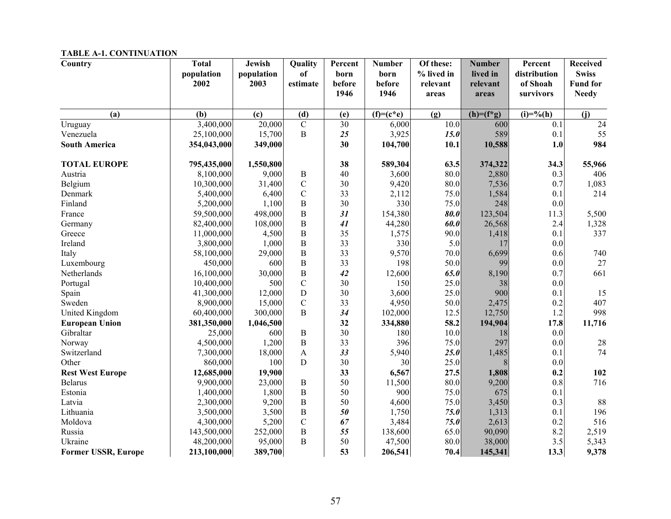| Country                    | <b>Total</b><br>population<br>2002 | <b>Jewish</b><br>population<br>2003 | Quality<br>of<br>estimate | Percent<br>born<br>before<br>1946 | <b>Number</b><br>born<br>before<br>1946 | Of these:<br>% lived in<br>relevant<br>areas | <b>Number</b><br>lived in<br>relevant<br>areas | Percent<br>distribution<br>of Shoah<br>survivors | <b>Received</b><br><b>Swiss</b><br><b>Fund for</b><br><b>Needy</b> |
|----------------------------|------------------------------------|-------------------------------------|---------------------------|-----------------------------------|-----------------------------------------|----------------------------------------------|------------------------------------------------|--------------------------------------------------|--------------------------------------------------------------------|
| (a)                        | (b)                                | (c)                                 | (d)                       | (e)                               | $(f)=(c*e)$                             | (g)                                          | $(h)=(f*g)$                                    | $(i)=\frac{9}{6}(h)$                             | (i)                                                                |
| Uruguay                    | 3,400,000                          | 20,000                              | $\mathcal{C}$             | 30                                | 6,000                                   | 10.0                                         | 600                                            | 0.1                                              | 24                                                                 |
| Venezuela                  | 25,100,000                         | 15,700                              | B                         | 25                                | 3,925                                   | 15.0                                         | 589                                            | 0.1                                              | 55                                                                 |
| <b>South America</b>       | 354,043,000                        | 349,000                             |                           | 30                                | 104,700                                 | 10.1                                         | 10,588                                         | 1.0                                              | 984                                                                |
| <b>TOTAL EUROPE</b>        | 795,435,000                        | 1,550,800                           |                           | 38                                | 589,304                                 | 63.5                                         | 374,322                                        | 34.3                                             | 55,966                                                             |
| Austria                    | 8,100,000                          | 9,000                               | B                         | 40                                | 3,600                                   | 80.0                                         | 2,880                                          | 0.3                                              | 406                                                                |
| Belgium                    | 10,300,000                         | 31,400                              | $\mathbf C$               | 30                                | 9,420                                   | 80.0                                         | 7,536                                          | 0.7                                              | 1,083                                                              |
| Denmark                    | 5,400,000                          | 6,400                               | $\mathcal{C}$             | 33                                | 2,112                                   | 75.0                                         | 1,584                                          | 0.1                                              | 214                                                                |
| Finland                    | 5,200,000                          | 1,100                               | B                         | 30                                | 330                                     | 75.0                                         | 248                                            | 0.0                                              |                                                                    |
| France                     | 59,500,000                         | 498,000                             | B                         | 31                                | 154,380                                 | 80.0                                         | 123,504                                        | 11.3                                             | 5,500                                                              |
| Germany                    | 82,400,000                         | 108,000                             | $\bf{B}$                  | 41                                | 44,280                                  | 60.0                                         | 26,568                                         | 2.4                                              | 1,328                                                              |
| Greece                     | 11,000,000                         | 4,500                               | $\overline{B}$            | 35                                | 1,575                                   | 90.0                                         | 1,418                                          | 0.1                                              | 337                                                                |
| Ireland                    | 3,800,000                          | 1,000                               | $\overline{B}$            | 33                                | 330                                     | 5.0                                          | 17                                             | 0.0                                              |                                                                    |
| Italy                      | 58,100,000                         | 29,000                              | $\overline{B}$            | 33                                | 9,570                                   | 70.0                                         | 6,699                                          | 0.6                                              | 740                                                                |
| Luxembourg                 | 450,000                            | 600                                 | B                         | 33                                | 198                                     | 50.0                                         | 99                                             | 0.0                                              | 27                                                                 |
| Netherlands                | 16,100,000                         | 30,000                              | $\overline{B}$            | 42                                | 12,600                                  | 65.0                                         | 8,190                                          | 0.7                                              | 661                                                                |
| Portugal                   | 10,400,000                         | 500                                 | $\mathbf C$               | 30                                | 150                                     | 25.0                                         | 38                                             | 0.0                                              |                                                                    |
| Spain                      | 41,300,000                         | 12,000                              | D                         | 30                                | 3,600                                   | 25.0                                         | 900                                            | 0.1                                              | 15                                                                 |
| Sweden                     | 8,900,000                          | 15,000                              | $\mathcal{C}$             | 33                                | 4,950                                   | 50.0                                         | 2,475                                          | 0.2                                              | 407                                                                |
| United Kingdom             | 60,400,000                         | 300,000                             | $\mathbf{B}$              | 34                                | 102,000                                 | 12.5                                         | 12,750                                         | 1.2                                              | 998                                                                |
| <b>European Union</b>      | 381,350,000                        | 1,046,500                           |                           | 32                                | 334,880                                 | 58.2                                         | 194,904                                        | 17.8                                             | 11,716                                                             |
| Gibraltar                  | 25,000                             | 600                                 | B                         | 30                                | 180                                     | 10.0                                         | 18                                             | 0.0                                              |                                                                    |
| Norway                     | 4,500,000                          | 1,200                               | $\bf{B}$                  | 33                                | 396                                     | 75.0                                         | 297                                            | 0.0                                              | 28                                                                 |
| Switzerland                | 7,300,000                          | 18,000                              | A                         | 33                                | 5,940                                   | 25.0                                         | 1,485                                          | 0.1                                              | 74                                                                 |
| Other                      | 860,000                            | 100                                 | D                         | 30                                | 30                                      | 25.0                                         | 8                                              | 0.0                                              |                                                                    |
| <b>Rest West Europe</b>    | 12,685,000                         | 19,900                              |                           | 33                                | 6,567                                   | 27.5                                         | 1,808                                          | 0.2                                              | 102                                                                |
| <b>Belarus</b>             | 9,900,000                          | 23,000                              | B                         | 50                                | 11,500                                  | 80.0                                         | 9,200                                          | 0.8                                              | 716                                                                |
| Estonia                    | 1,400,000                          | 1,800                               | B                         | 50                                | 900                                     | 75.0                                         | 675                                            | 0.1                                              |                                                                    |
| Latvia                     | 2,300,000                          | 9,200                               | $\overline{B}$            | 50                                | 4,600                                   | 75.0                                         | 3,450                                          | 0.3                                              | 88                                                                 |
| Lithuania                  | 3,500,000                          | 3,500                               | B                         | 50                                | 1,750                                   | 75.0                                         | 1,313                                          | 0.1                                              | 196                                                                |
| Moldova                    | 4,300,000                          | 5,200                               | $\mathcal{C}$             | 67                                | 3,484                                   | 75.0                                         | 2,613                                          | 0.2                                              | 516                                                                |
| Russia                     | 143,500,000                        | 252,000                             | $\mathbf B$               | 55                                | 138,600                                 | 65.0                                         | 90,090                                         | 8.2                                              | 2,519                                                              |
| Ukraine                    | 48,200,000                         | 95,000                              | B                         | 50                                | 47,500                                  | 80.0                                         | 38,000                                         | 3.5                                              | 5,343                                                              |
| <b>Former USSR, Europe</b> | 213,100,000                        | 389,700                             |                           | 53                                | 206,541                                 | 70.4                                         | 145,341                                        | 13.3                                             | 9,378                                                              |

#### **TABLE A-1. CONTINUATION**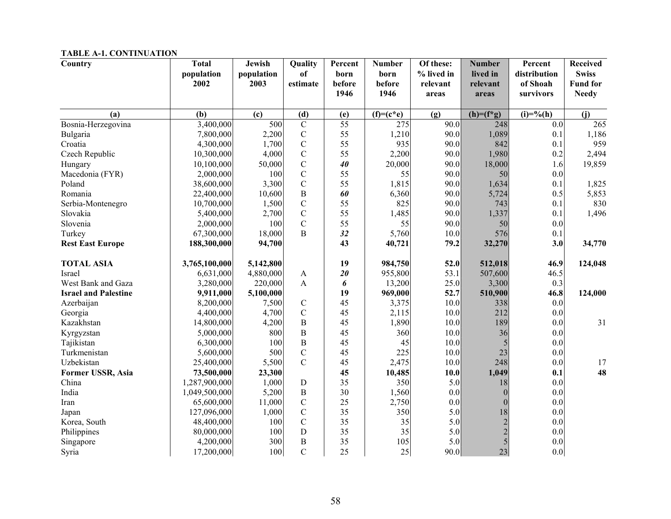| Country                     | <b>Total</b><br>population<br>2002 | <b>Jewish</b><br>population<br>2003 | Quality<br>of<br>estimate | Percent<br>born<br>before | <b>Number</b><br>born<br>before | Of these:<br>% lived in<br>relevant | <b>Number</b><br>lived in<br>relevant | Percent<br>distribution<br>of Shoah | Received<br><b>Swiss</b><br><b>Fund for</b> |
|-----------------------------|------------------------------------|-------------------------------------|---------------------------|---------------------------|---------------------------------|-------------------------------------|---------------------------------------|-------------------------------------|---------------------------------------------|
|                             |                                    |                                     |                           | 1946                      | 1946                            | areas                               | areas                                 | survivors                           | <b>Needy</b>                                |
| (a)                         | (b)                                | (c)                                 | (d)                       | (e)                       | $(f)=(c*e)$                     | (g)                                 | $(h)=(f*g)$                           | $(i)=\frac{9}{6}(h)$                | (i)                                         |
| Bosnia-Herzegovina          | 3,400,000                          | 500                                 | $\mathcal{C}$             | $\overline{55}$           | 275                             | 90.0                                | 248                                   | 0.0                                 | $\overline{265}$                            |
| Bulgaria                    | 7,800,000                          | 2,200                               | $\mathbf C$               | 55                        | 1,210                           | 90.0                                | 1,089                                 | 0.1                                 | 1,186                                       |
| Croatia                     | 4,300,000                          | 1,700                               | $\mathbf C$               | 55                        | 935                             | 90.0                                | 842                                   | 0.1                                 | 959                                         |
| Czech Republic              | 10,300,000                         | 4,000                               | $\mathcal{C}$             | 55                        | 2,200                           | 90.0                                | 1,980                                 | 0.2                                 | 2,494                                       |
| Hungary                     | 10,100,000                         | 50,000                              | $\mathcal{C}$             | 40                        | 20,000                          | 90.0                                | 18,000                                | 1.6                                 | 19,859                                      |
| Macedonia (FYR)             | 2,000,000                          | 100                                 | $\mathcal{C}$             | 55                        | 55                              | 90.0                                | 50                                    | 0.0                                 |                                             |
| Poland                      | 38,600,000                         | 3,300                               | $\mathcal{C}$             | 55                        | 1,815                           | 90.0                                | 1,634                                 | 0.1                                 | 1,825                                       |
| Romania                     | 22,400,000                         | 10,600                              | $\overline{B}$            | 60                        | 6,360                           | 90.0                                | 5,724                                 | 0.5                                 | 5,853                                       |
| Serbia-Montenegro           | 10,700,000                         | 1,500                               | $\mathcal{C}$             | 55                        | 825                             | 90.0                                | 743                                   | 0.1                                 | 830                                         |
| Slovakia                    | 5,400,000                          | 2,700                               | $\mathbf C$               | 55                        | 1,485                           | 90.0                                | 1,337                                 | 0.1                                 | 1,496                                       |
| Slovenia                    | 2,000,000                          | 100                                 | $\mathcal{C}$             | 55                        | 55                              | 90.0                                | 50                                    | 0.0                                 |                                             |
| Turkey                      | 67,300,000                         | 18,000                              | $\overline{B}$            | 32                        | 5,760                           | 10.0                                | 576                                   | 0.1                                 |                                             |
| <b>Rest East Europe</b>     | 188,300,000                        | 94,700                              |                           | 43                        | 40,721                          | 79.2                                | 32,270                                | 3.0                                 | 34,770                                      |
| <b>TOTAL ASIA</b>           | 3,765,100,000                      | 5,142,800                           |                           | 19                        | 984,750                         | 52.0                                | 512,018                               | 46.9                                | 124,048                                     |
| Israel                      | 6,631,000                          | 4,880,000                           | A                         | 20                        | 955,800                         | 53.1                                | 507,600                               | 46.5                                |                                             |
| West Bank and Gaza          | 3,280,000                          | 220,000                             | $\mathbf{A}$              | 6                         | 13,200                          | 25.0                                | 3,300                                 | 0.3                                 |                                             |
| <b>Israel and Palestine</b> | 9,911,000                          | 5,100,000                           |                           | 19                        | 969,000                         | 52.7                                | 510,900                               | 46.8                                | 124,000                                     |
| Azerbaijan                  | 8,200,000                          | 7,500                               | $\mathbf C$               | 45                        | 3,375                           | 10.0                                | 338                                   | 0.0                                 |                                             |
| Georgia                     | 4,400,000                          | 4,700                               | $\mathbf C$               | 45                        | 2,115                           | 10.0                                | 212                                   | 0.0                                 |                                             |
| Kazakhstan                  | 14,800,000                         | 4,200                               | B                         | 45                        | 1,890                           | 10.0                                | 189                                   | 0.0                                 | 31                                          |
| Kyrgyzstan                  | 5,000,000                          | 800                                 | $\overline{B}$            | 45                        | 360                             | 10.0                                | 36                                    | 0.0                                 |                                             |
| Tajikistan                  | 6,300,000                          | 100                                 | B                         | 45                        | 45                              | 10.0                                |                                       | 0.0                                 |                                             |
| Turkmenistan                | 5,600,000                          | 500                                 | $\mathbf C$               | 45                        | 225                             | 10.0                                | 23                                    | 0.0                                 |                                             |
| Uzbekistan                  | 25,400,000                         | 5,500                               | $\mathcal{C}$             | 45                        | 2,475                           | 10.0                                | 248                                   | 0.0                                 | 17                                          |
| Former USSR, Asia           | 73,500,000                         | 23,300                              |                           | 45                        | 10,485                          | 10.0                                | 1,049                                 | 0.1                                 | 48                                          |
| China                       | 1,287,900,000                      | 1,000                               | D                         | 35                        | 350                             | 5.0                                 | 18                                    | 0.0                                 |                                             |
| India                       | 1,049,500,000                      | 5,200                               | $\bf{B}$                  | 30                        | 1,560                           | 0.0                                 | $\overline{0}$                        | 0.0                                 |                                             |
| Iran                        | 65,600,000                         | 11,000                              | $\mathcal{C}$             | 25                        | 2,750                           | 0.0                                 | $\theta$                              | 0.0                                 |                                             |
| Japan                       | 127,096,000                        | 1,000                               | $\mathbf C$               | 35                        | 350                             | 5.0                                 | 18                                    | 0.0                                 |                                             |
| Korea, South                | 48,400,000                         | 100                                 | $\mathbf C$               | 35                        | 35                              | 5.0                                 | $\overline{2}$                        | 0.0                                 |                                             |
| Philippines                 | 80,000,000                         | 100                                 | D                         | 35                        | 35                              | 5.0                                 | $\overline{2}$                        | 0.0                                 |                                             |
| Singapore                   | 4,200,000                          | 300                                 | $\boldsymbol{B}$          | 35                        | 105                             | 5.0                                 |                                       | 0.0                                 |                                             |
| Syria                       | 17,200,000                         | 100                                 | $\mathcal{C}$             | 25                        | 25                              | 90.0                                | 23                                    | 0.0                                 |                                             |

#### **TABLE A-1. CONTINUATION**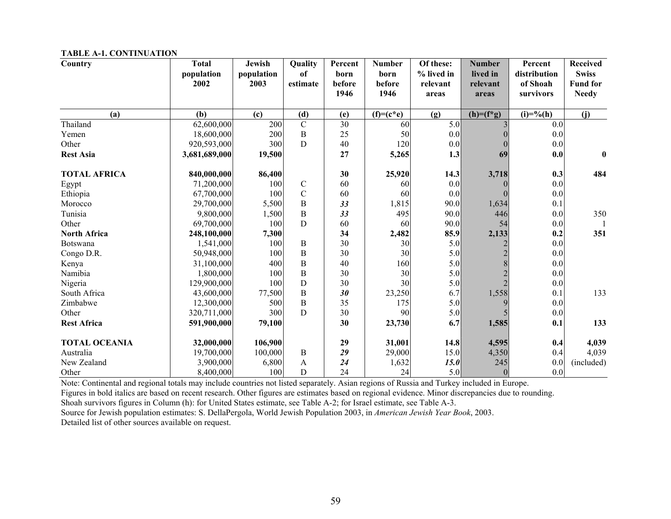| <b>171000 71-1. CONTINUATION</b><br>Country | <b>Total</b><br>population<br>2002 | Jewish<br>population<br>2003 | Quality<br><sub>of</sub><br>estimate | Percent<br>born<br>before<br>1946 | <b>Number</b><br>born<br>before<br>1946 | Of these:<br>% lived in<br>relevant<br>areas | <b>Number</b><br>lived in<br>relevant<br>areas | Percent<br>distribution<br>of Shoah<br>survivors | <b>Received</b><br><b>Swiss</b><br><b>Fund for</b><br><b>Needy</b> |
|---------------------------------------------|------------------------------------|------------------------------|--------------------------------------|-----------------------------------|-----------------------------------------|----------------------------------------------|------------------------------------------------|--------------------------------------------------|--------------------------------------------------------------------|
| (a)                                         | (b)                                | (c)                          | (d)                                  | (e)                               | $(f)=(c*e)$                             | (g)                                          | $(h)=(f*g)$                                    | $(i)=\frac{9}{6}(h)$                             | (j)                                                                |
| Thailand                                    | 62,600,000                         | 200                          | $\mathcal{C}$                        | 30                                | 60                                      | 5.0                                          | $\overline{\mathbf{3}}$                        | 0.0                                              |                                                                    |
| Yemen                                       | 18,600,000                         | 200                          | $\mathbf B$                          | 25                                | 50                                      | 0.0                                          | $\theta$                                       | 0.0                                              |                                                                    |
| Other                                       | 920,593,000                        | 300                          | D                                    | 40                                | 120                                     | 0.0                                          |                                                | 0.0                                              |                                                                    |
| <b>Rest Asia</b>                            | 3,681,689,000                      | 19,500                       |                                      | 27                                | 5,265                                   | 1.3                                          | 69                                             | 0.0                                              | $\bf{0}$                                                           |
| <b>TOTAL AFRICA</b>                         | 840,000,000                        | 86,400                       |                                      | 30                                | 25,920                                  | 14.3                                         | 3,718                                          | 0.3                                              | 484                                                                |
| Egypt                                       | 71,200,000                         | 100                          | C                                    | 60                                | 60                                      | 0.0                                          | $\theta$                                       | 0.0                                              |                                                                    |
| Ethiopia                                    | 67,700,000                         | 100                          | $\mathcal{C}$                        | 60                                | 60                                      | 0.0                                          | $\Omega$                                       | 0.0                                              |                                                                    |
| Morocco                                     | 29,700,000                         | 5,500                        | $\mathbf B$                          | 33                                | 1,815                                   | 90.0                                         | 1,634                                          | 0.1                                              |                                                                    |
| Tunisia                                     | 9,800,000                          | 1,500                        | B                                    | 33                                | 495                                     | 90.0                                         | 446                                            | 0.0                                              | 350                                                                |
| Other                                       | 69,700,000                         | 100                          | D                                    | 60                                | 60                                      | 90.0                                         | 54                                             | 0.0                                              |                                                                    |
| <b>North Africa</b>                         | 248,100,000                        | 7,300                        |                                      | 34                                | 2,482                                   | 85.9                                         | 2,133                                          | 0.2                                              | 351                                                                |
| Botswana                                    | 1,541,000                          | 100                          | B                                    | 30                                | 30                                      | 5.0                                          |                                                | 0.0                                              |                                                                    |
| Congo D.R.                                  | 50,948,000                         | 100                          | $\overline{B}$                       | 30                                | 30                                      | 5.0                                          | $\overline{2}$                                 | 0.0                                              |                                                                    |
| Kenya                                       | 31,100,000                         | 400                          | B                                    | 40                                | 160                                     | 5.0                                          | 8                                              | 0.0                                              |                                                                    |
| Namibia                                     | 1,800,000                          | 100                          | $\overline{B}$                       | 30                                | 30                                      | 5.0                                          | $\overline{c}$                                 | 0.0                                              |                                                                    |
| Nigeria                                     | 129,900,000                        | 100                          | D                                    | 30                                | 30                                      | 5.0                                          | $\overline{2}$                                 | 0.0                                              |                                                                    |
| South Africa                                | 43,600,000                         | 77,500                       | B                                    | 30                                | 23,250                                  | 6.7                                          | 1,558                                          | 0.1                                              | 133                                                                |
| Zimbabwe                                    | 12,300,000                         | 500                          | B                                    | 35                                | 175                                     | 5.0                                          | 9                                              | 0.0                                              |                                                                    |
| Other                                       | 320,711,000                        | 300                          | D                                    | 30                                | 90                                      | 5.0                                          |                                                | 0.0                                              |                                                                    |
| <b>Rest Africa</b>                          | 591,900,000                        | 79,100                       |                                      | 30                                | 23,730                                  | 6.7                                          | 1,585                                          | 0.1                                              | 133                                                                |
| <b>TOTAL OCEANIA</b>                        | 32,000,000                         | 106,900                      |                                      | 29                                | 31,001                                  | 14.8                                         | 4,595                                          | 0.4                                              | 4,039                                                              |
| Australia                                   | 19,700,000                         | 100,000                      | B                                    | 29                                | 29,000                                  | 15.0                                         | 4,350                                          | 0.4                                              | 4,039                                                              |
| New Zealand                                 | 3,900,000                          | 6,800                        | A                                    | 24                                | 1,632                                   | 15.0                                         | 245                                            | 0.0                                              | (included)                                                         |
| Other                                       | 8,400,000                          | 100                          | D                                    | 24                                | 24                                      | 5.0                                          | $\theta$                                       | 0.0                                              |                                                                    |

#### **TABLE A-1. CONTINUATION**

Note: Continental and regional totals may include countries not listed separately. Asian regions of Russia and Turkey included in Europe.

Figures in bold italics are based on recent research. Other figures are estimates based on regional evidence. Minor discrepancies due to rounding.

Shoah survivors figures in Column (h): for United States estimate, see Table A-2; for Israel estimate, see Table A-3.

Source for Jewish population estimates: S. DellaPergola, World Jewish Population 2003, in *American Jewish Year Book*, 2003.

Detailed list of other sources available on request.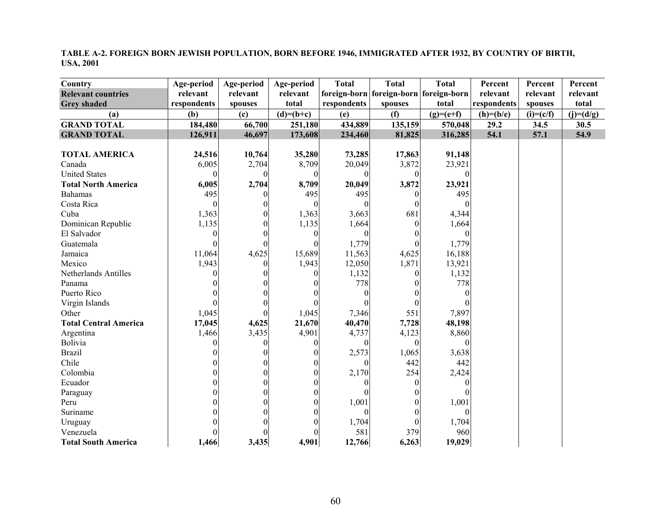## **TABLE A-2. FOREIGN BORN JEWISH POPULATION, BORN BEFORE 1946, IMMIGRATED AFTER 1932, BY COUNTRY OF BIRTH, USA, 2001**

| Country                      | Age-period  | Age-period     | Age-period  | <b>Total</b> | <b>Total</b>                           | <b>Total</b> | Percent     | Percent     | Percent     |
|------------------------------|-------------|----------------|-------------|--------------|----------------------------------------|--------------|-------------|-------------|-------------|
| <b>Relevant countries</b>    | relevant    | relevant       | relevant    |              | foreign-born foreign-born foreign-born |              | relevant    | relevant    | relevant    |
| <b>Grey shaded</b>           | respondents | spouses        | total       | respondents  | spouses                                | total        | respondents | spouses     | total       |
| (a)                          | (b)         | (c)            | $(d)=(b+c)$ | (e)          | (f)                                    | $(g)=(e+f)$  | $(h)=(b/e)$ | $(i)=(c/f)$ | $(j)=(d/g)$ |
| <b>GRAND TOTAL</b>           | 184,480     | 66,700         | 251,180     | 434,889      | 135,159                                | 570,048      | 29.2        | 34.5        | 30.5        |
| <b>GRAND TOTAL</b>           | 126,911     | 46,697         | 173,608     | 234,460      | 81,825                                 | 316,285      | 54.1        | 57.1        | 54.9        |
|                              |             |                |             |              |                                        |              |             |             |             |
| <b>TOTAL AMERICA</b>         | 24,516      | 10,764         | 35,280      | 73,285       | 17,863                                 | 91,148       |             |             |             |
| Canada                       | 6,005       | 2,704          | 8,709       | 20,049       | 3,872                                  | 23,921       |             |             |             |
| <b>United States</b>         |             |                | $\theta$    | 0            |                                        |              |             |             |             |
| <b>Total North America</b>   | 6,005       | 2,704          | 8,709       | 20,049       | 3,872                                  | 23,921       |             |             |             |
| <b>Bahamas</b>               | 495         | $\left($       | 495         | 495          | $^{\circ}$                             | 495          |             |             |             |
| Costa Rica                   |             |                | $\theta$    | $\Omega$     |                                        |              |             |             |             |
| Cuba                         | 1,363       |                | 1,363       | 3,663        | 681                                    | 4,344        |             |             |             |
| Dominican Republic           | 1,135       | $\theta$       | 1,135       | 1,664        | 0                                      | 1,664        |             |             |             |
| El Salvador                  | $\Omega$    | $\theta$       | $\theta$    | $\Omega$     |                                        |              |             |             |             |
| Guatemala                    |             |                | $\Omega$    | 1,779        |                                        | 1,779        |             |             |             |
| Jamaica                      | 11,064      | 4,625          | 15,689      | 11,563       | 4,625                                  | 16,188       |             |             |             |
| Mexico                       | 1,943       | $\theta$       | 1,943       | 12,050       | 1,871                                  | 13,921       |             |             |             |
| Netherlands Antilles         |             |                | 0           | 1,132        | $\theta$                               | 1,132        |             |             |             |
| Panama                       |             |                |             | 778          |                                        | 778          |             |             |             |
| Puerto Rico                  |             |                |             | $\Omega$     |                                        |              |             |             |             |
| Virgin Islands               |             |                |             |              |                                        |              |             |             |             |
| Other                        | 1,045       | $\theta$       | 1,045       | 7,346        | 551                                    | 7,897        |             |             |             |
| <b>Total Central America</b> | 17,045      | 4,625          | 21,670      | 40,470       | 7,728                                  | 48,198       |             |             |             |
| Argentina                    | 1,466       | 3,435          | 4,901       | 4,737        | 4,123                                  | 8,860        |             |             |             |
| Bolivia                      |             | $\theta$       | 0           | 0            | 0                                      |              |             |             |             |
| <b>Brazil</b>                |             | $\Omega$       | 0           | 2,573        | 1,065                                  | 3,638        |             |             |             |
| Chile                        |             |                | $\Omega$    | $\Omega$     | 442                                    | 442          |             |             |             |
| Colombia                     |             | $\Omega$       | $\theta$    | 2,170        | 254                                    | 2,424        |             |             |             |
| Ecuador                      |             | $\overline{0}$ | $\Omega$    | $\Omega$     |                                        |              |             |             |             |
| Paraguay                     |             | $\Omega$       | $\Omega$    | $\Omega$     |                                        |              |             |             |             |
| Peru                         |             | $\Omega$       | $\Omega$    | 1,001        |                                        | 1,001        |             |             |             |
| Suriname                     |             |                |             | $\Omega$     |                                        |              |             |             |             |
| Uruguay                      |             |                | 0           | 1,704        |                                        | 1,704        |             |             |             |
| Venezuela                    |             |                |             | 581          | 379                                    | 960          |             |             |             |
| <b>Total South America</b>   | 1,466       | 3,435          | 4,901       | 12,766       | 6,263                                  | 19,029       |             |             |             |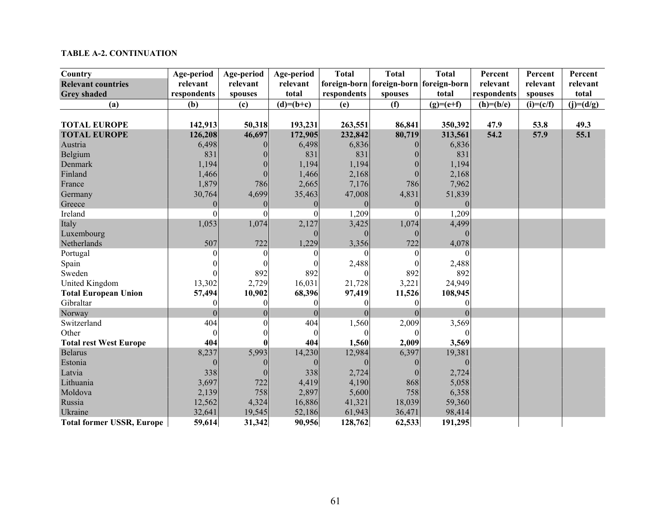#### **TABLE A-2. CONTINUATION**

| Country                          | Age-period  | Age-period | Age-period  | <b>Total</b>   | <b>Total</b> | <b>Total</b>                           | Percent      | Percent     | Percent     |
|----------------------------------|-------------|------------|-------------|----------------|--------------|----------------------------------------|--------------|-------------|-------------|
| <b>Relevant countries</b>        | relevant    | relevant   | relevant    |                |              | foreign-born foreign-born foreign-born | relevant     | relevant    | relevant    |
| <b>Grey shaded</b>               | respondents | spouses    | total       | respondents    | spouses      | total                                  | respondents  | spouses     | total       |
| (a)                              | (b)         | (c)        | $(d)=(b+c)$ | (e)            | (f)          | $(g)=(e+f)$                            | $(h)= (b/e)$ | $(i)=(c/f)$ | $(j)=(d/g)$ |
|                                  |             |            |             |                |              |                                        |              |             |             |
| <b>TOTAL EUROPE</b>              | 142,913     | 50,318     | 193,231     | 263,551        | 86,841       | 350,392                                | 47.9         | 53.8        | 49.3        |
| <b>TOTAL EUROPE</b>              | 126,208     | 46,697     | 172,905     | 232,842        | 80,719       | 313,561                                | 54.2         | 57.9        | 55.1        |
| Austria                          | 6,498       | $\theta$   | 6,498       | 6,836          | $\Omega$     | 6,836                                  |              |             |             |
| Belgium                          | 831         |            | 831         | 831            |              | 831                                    |              |             |             |
| Denmark                          | 1,194       |            | 1,194       | 1,194          |              | 1,194                                  |              |             |             |
| Finland                          | 1,466       |            | 1,466       | 2,168          | $\Omega$     | 2,168                                  |              |             |             |
| France                           | 1,879       | 786        | 2,665       | 7,176          | 786          | 7,962                                  |              |             |             |
| Germany                          | 30,764      | 4,699      | 35,463      | 47,008         | 4,831        | 51,839                                 |              |             |             |
| Greece                           |             | $\Omega$   | $\theta$    | $\theta$       | $\Omega$     | $\theta$                               |              |             |             |
| Ireland                          | $\Omega$    | $\Omega$   | $\theta$    | 1,209          | $\Omega$     | 1,209                                  |              |             |             |
| Italy                            | 1,053       | 1,074      | 2,127       | 3,425          | 1,074        | 4,499                                  |              |             |             |
| Luxembourg                       |             |            | $\Omega$    | $\Omega$       | $\Omega$     |                                        |              |             |             |
| Netherlands                      | 507         | 722        | 1,229       | 3,356          | 722          | 4,078                                  |              |             |             |
| Portugal                         |             |            | $\Omega$    | $\Omega$       | $\Omega$     | $\Omega$                               |              |             |             |
| Spain                            |             |            | $\Omega$    | 2,488          | 0            | 2,488                                  |              |             |             |
| Sweden                           |             | 892        | 892         | $\Omega$       | 892          | 892                                    |              |             |             |
| United Kingdom                   | 13,302      | 2,729      | 16,031      | 21,728         | 3,221        | 24,949                                 |              |             |             |
| <b>Total European Union</b>      | 57,494      | 10,902     | 68,396      | 97,419         | 11,526       | 108,945                                |              |             |             |
| Gibraltar                        |             | $\Omega$   | $\Omega$    | $\overline{0}$ | $\Omega$     |                                        |              |             |             |
| Norway                           | $\theta$    | $\theta$   | $\theta$    | $\overline{0}$ | $\Omega$     |                                        |              |             |             |
| Switzerland                      | 404         |            | 404         | 1,560          | 2,009        | 3,569                                  |              |             |             |
| Other                            | $\Omega$    |            | $\theta$    |                | $\Omega$     |                                        |              |             |             |
| <b>Total rest West Europe</b>    | 404         |            | 404         | 1,560          | 2,009        | 3,569                                  |              |             |             |
| <b>Belarus</b>                   | 8,237       | 5,993      | 14,230      | 12,984         | 6,397        | 19,381                                 |              |             |             |
| Estonia                          | $\Omega$    | $\theta$   | $\theta$    | $\Omega$       | $\theta$     |                                        |              |             |             |
| Latvia                           | 338         |            | 338         | 2,724          | $\Omega$     | 2,724                                  |              |             |             |
| Lithuania                        | 3,697       | 722        | 4,419       | 4,190          | 868          | 5,058                                  |              |             |             |
| Moldova                          | 2,139       | 758        | 2,897       | 5,600          | 758          | 6,358                                  |              |             |             |
| Russia                           | 12,562      | 4,324      | 16,886      | 41,321         | 18,039       | 59,360                                 |              |             |             |
| Ukraine                          | 32,641      | 19,545     | 52,186      | 61,943         | 36,471       | 98,414                                 |              |             |             |
| <b>Total former USSR, Europe</b> | 59,614      | 31,342     | 90,956      | 128,762        | 62,533       | 191,295                                |              |             |             |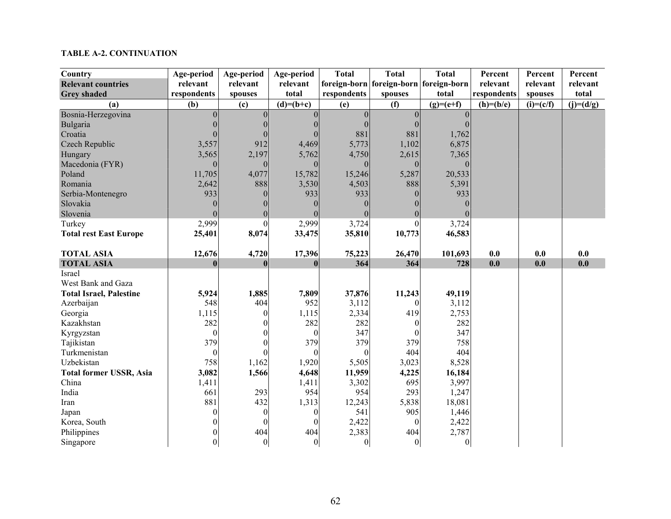#### **TABLE A-2. CONTINUATION**

| Country                        | Age-period   | Age-period     | Age-period       | <b>Total</b>   | <b>Total</b>                           | <b>Total</b> | Percent     | Percent     | Percent     |
|--------------------------------|--------------|----------------|------------------|----------------|----------------------------------------|--------------|-------------|-------------|-------------|
| <b>Relevant countries</b>      | relevant     | relevant       | relevant         |                | foreign-born foreign-born foreign-born |              | relevant    | relevant    | relevant    |
| <b>Grey shaded</b>             | respondents  | spouses        | total            | respondents    | spouses                                | total        | respondents | spouses     | total       |
| (a)                            | (b)          | (c)            | $(d)=(b+c)$      | (e)            | (f)                                    | $(g)=(e+f)$  | $(h)=(b/e)$ | $(i)=(c/f)$ | $(j)=(d/g)$ |
| Bosnia-Herzegovina             | $\theta$     | $\overline{0}$ | $\boldsymbol{0}$ | $\overline{0}$ | $\Omega$                               | $\theta$     |             |             |             |
| Bulgaria                       |              | $\overline{0}$ | $\boldsymbol{0}$ | $\Omega$       | $\theta$                               | $\Omega$     |             |             |             |
| Croatia                        |              | $\Omega$       | $\theta$         | 881            | 881                                    | 1,762        |             |             |             |
| <b>Czech Republic</b>          | 3,557        | 912            | 4,469            | 5,773          | 1,102                                  | 6,875        |             |             |             |
| Hungary                        | 3,565        | 2,197          | 5,762            | 4,750          | 2,615                                  | 7,365        |             |             |             |
| Macedonia (FYR)                | $\Omega$     | $\theta$       | $\Omega$         | $\theta$       | $\theta$                               | $\Omega$     |             |             |             |
| Poland                         | 11,705       | 4,077          | 15,782           | 15,246         | 5,287                                  | 20,533       |             |             |             |
| Romania                        | 2,642        | 888            | 3,530            | 4,503          | 888                                    | 5,391        |             |             |             |
| Serbia-Montenegro              | 933          | $\Omega$       | 933              | 933            | $\theta$                               | 933          |             |             |             |
| Slovakia                       | $\theta$     | $\Omega$       | $\theta$         | $\theta$       | $\theta$                               |              |             |             |             |
| Slovenia                       | $\Omega$     | $\theta$       | $\theta$         | $\overline{0}$ | $\theta$                               | $\theta$     |             |             |             |
| Turkey                         | 2,999        | $\theta$       | 2,999            | 3,724          | $\mathbf{0}$                           | 3,724        |             |             |             |
| <b>Total rest East Europe</b>  | 25,401       | 8,074          | 33,475           | 35,810         | 10,773                                 | 46,583       |             |             |             |
|                                |              |                |                  |                |                                        |              |             |             |             |
| <b>TOTAL ASIA</b>              | 12,676       | 4,720          | 17,396           | 75,223         | 26,470                                 | 101,693      | 0.0         | 0.0         | 0.0         |
| <b>TOTAL ASIA</b>              | $\mathbf{0}$ | $\mathbf{0}$   | $\bf{0}$         | 364            | 364                                    | 728          | 0.0         | 0.0         | 0.0         |
| Israel                         |              |                |                  |                |                                        |              |             |             |             |
| West Bank and Gaza             |              |                |                  |                |                                        |              |             |             |             |
| <b>Total Israel, Palestine</b> | 5,924        | 1,885          | 7,809            | 37,876         | 11,243                                 | 49,119       |             |             |             |
| Azerbaijan                     | 548          | 404            | 952              | 3,112          |                                        | 3,112        |             |             |             |
| Georgia                        | 1,115        | $\Omega$       | 1,115            | 2,334          | 419                                    | 2,753        |             |             |             |
| Kazakhstan                     | 282          |                | 282              | 282            | $\theta$                               | 282          |             |             |             |
| Kyrgyzstan                     | $\theta$     |                | $\mathbf{0}$     | 347            | $\theta$                               | 347          |             |             |             |
| Tajikistan                     | 379          |                | 379              | 379            | 379                                    | 758          |             |             |             |
| Turkmenistan                   | $\theta$     |                | $\Omega$         | $\Omega$       | 404                                    | 404          |             |             |             |
| Uzbekistan                     | 758          | 1,162          | 1,920            | 5,505          | 3,023                                  | 8,528        |             |             |             |
| <b>Total former USSR, Asia</b> | 3,082        | 1,566          | 4,648            | 11,959         | 4,225                                  | 16,184       |             |             |             |
| China                          | 1,411        |                | 1,411            | 3,302          | 695                                    | 3,997        |             |             |             |
| India                          | 661          | 293            | 954              | 954            | 293                                    | 1,247        |             |             |             |
| Iran                           | 881          | 432            | 1,313            | 12,243         | 5,838                                  | 18,081       |             |             |             |
| Japan                          |              | $\overline{0}$ | $\boldsymbol{0}$ | 541            | 905                                    | 1,446        |             |             |             |
| Korea, South                   |              | $\overline{0}$ | $\mathbf{0}$     | 2,422          | $\mathbf{0}$                           | 2,422        |             |             |             |
| Philippines                    |              | 404            | 404              | 2,383          | 404                                    | 2,787        |             |             |             |
| Singapore                      | $\Omega$     | $\Omega$       | $\boldsymbol{0}$ | $\theta$       | $\overline{0}$                         | $\Omega$     |             |             |             |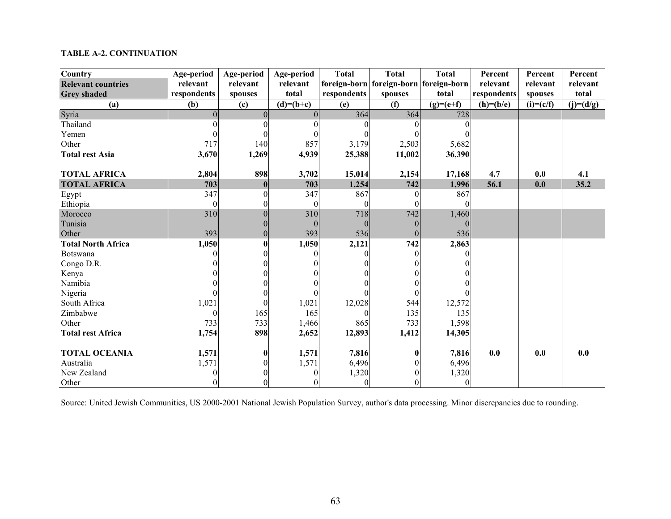#### **TABLE A-2. CONTINUATION**

| Country                   | Age-period  | Age-period     | Age-period  | <b>Total</b>     | <b>Total</b>   | <b>Total</b>                           | Percent     | Percent     | Percent     |
|---------------------------|-------------|----------------|-------------|------------------|----------------|----------------------------------------|-------------|-------------|-------------|
| <b>Relevant countries</b> | relevant    | relevant       | relevant    |                  |                | foreign-born foreign-born foreign-born | relevant    | relevant    | relevant    |
| <b>Grey shaded</b>        | respondents | spouses        | total       | respondents      | spouses        | total                                  | respondents | spouses     | total       |
| (a)                       | (b)         | (c)            | $(d)=(b+c)$ | (e)              | (f)            | $(g)=(e+f)$                            | $(h)=(b/e)$ | $(i)=(c/f)$ | $(j)=(d/g)$ |
| Syria                     | $\Omega$    | $\overline{0}$ | $\Omega$    | 364              | 364            | 728                                    |             |             |             |
| Thailand                  |             |                |             |                  | 0              |                                        |             |             |             |
| Yemen                     |             |                |             |                  |                |                                        |             |             |             |
| Other                     | 717         | 140            | 857         | 3,179            | 2,503          | 5,682                                  |             |             |             |
| <b>Total rest Asia</b>    | 3,670       | 1,269          | 4,939       | 25,388           | 11,002         | 36,390                                 |             |             |             |
| <b>TOTAL AFRICA</b>       | 2,804       | 898            | 3,702       | 15,014           | 2,154          | 17,168                                 | 4.7         | 0.0         | 4.1         |
| <b>TOTAL AFRICA</b>       | 703         | $\mathbf{0}$   | 703         | 1,254            | 742            | 1,996                                  | 56.1        | 0.0         | 35.2        |
| Egypt                     | 347         | $\Omega$       | 347         | 867              | $\Omega$       | 867                                    |             |             |             |
| Ethiopia                  | $\theta$    | $\theta$       | $\theta$    | $\boldsymbol{0}$ | $\theta$       |                                        |             |             |             |
| Morocco                   | 310         | $\Omega$       | 310         | 718              | 742            | 1,460                                  |             |             |             |
| Tunisia                   |             | $\Omega$       | $\theta$    | $\theta$         |                |                                        |             |             |             |
| Other                     | 393         | $\Omega$       | 393         | 536              | $\overline{0}$ | 536                                    |             |             |             |
| <b>Total North Africa</b> | 1,050       | $\mathbf{0}$   | 1,050       | 2,121            | 742            | 2,863                                  |             |             |             |
| Botswana                  |             |                |             |                  | 0              |                                        |             |             |             |
| Congo D.R.                |             |                |             |                  |                |                                        |             |             |             |
| Kenya                     |             |                |             |                  |                |                                        |             |             |             |
| Namibia                   |             |                |             |                  |                |                                        |             |             |             |
| Nigeria                   |             |                |             |                  |                |                                        |             |             |             |
| South Africa              | 1,021       | $\theta$       | 1,021       | 12,028           | 544            | 12,572                                 |             |             |             |
| Zimbabwe                  | 0           | 165            | 165         |                  | 135            | 135                                    |             |             |             |
| Other                     | 733         | 733            | 1,466       | 865              | 733            | 1,598                                  |             |             |             |
| <b>Total rest Africa</b>  | 1,754       | 898            | 2,652       | 12,893           | 1,412          | 14,305                                 |             |             |             |
|                           |             |                |             |                  |                |                                        |             |             |             |
| <b>TOTAL OCEANIA</b>      | 1,571       | $\bf{0}$       | 1,571       | 7,816            | $\bf{0}$       | 7,816                                  | 0.0         | 0.0         | 0.0         |
| Australia                 | 1,571       |                | 1,571       | 6,496            | 0              | 6,496                                  |             |             |             |
| New Zealand               |             |                | $\Omega$    | 1,320            | 0              | 1,320                                  |             |             |             |
| Other                     |             | $\Omega$       | $\Omega$    | $\theta$         | $\Omega$       |                                        |             |             |             |

Source: United Jewish Communities, US 2000-2001 National Jewish Population Survey, author's data processing. Minor discrepancies due to rounding.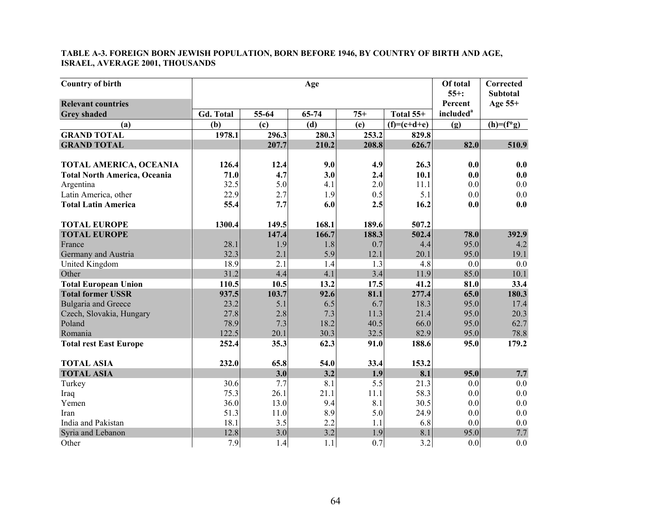### **TABLE A-3. FOREIGN BORN JEWISH POPULATION, BORN BEFORE 1946, BY COUNTRY OF BIRTH AND AGE, ISRAEL, AVERAGE 2001, THOUSANDS**

| <b>Country of birth</b>             |                  |       | Age   |       |                  | Of total<br>$55+$ :   | Corrected<br><b>Subtotal</b> |
|-------------------------------------|------------------|-------|-------|-------|------------------|-----------------------|------------------------------|
| <b>Relevant countries</b>           |                  |       |       |       |                  | Percent               | Age 55+                      |
| <b>Grey shaded</b>                  | <b>Gd. Total</b> | 55-64 | 65-74 | $75+$ | Total 55+        | included <sup>a</sup> |                              |
| (a)                                 | (b)              | (c)   | (d)   | (e)   | $(f)=(c+d+e)$    | (g)                   | $(h)=(f*g)$                  |
| <b>GRAND TOTAL</b>                  | 1978.1           | 296.3 | 280.3 | 253.2 | 829.8            |                       |                              |
| <b>GRAND TOTAL</b>                  |                  | 207.7 | 210.2 | 208.8 | 626.7            | 82.0                  | 510.9                        |
| TOTAL AMERICA, OCEANIA              | 126.4            | 12.4  | 9.0   | 4.9   | 26.3             | 0.0                   | 0.0                          |
| <b>Total North America, Oceania</b> | 71.0             | 4.7   | 3.0   | 2.4   | 10.1             | 0.0                   | 0.0                          |
| Argentina                           | 32.5             | 5.0   | 4.1   | 2.0   | 11.1             | 0.0                   | 0.0                          |
| Latin America, other                | 22.9             | 2.7   | 1.9   | 0.5   | 5.1              | 0.0                   | 0.0                          |
| <b>Total Latin America</b>          | 55.4             | 7.7   | 6.0   | 2.5   | 16.2             | 0.0                   | 0.0                          |
| <b>TOTAL EUROPE</b>                 | 1300.4           | 149.5 | 168.1 | 189.6 | 507.2            |                       |                              |
| <b>TOTAL EUROPE</b>                 |                  | 147.4 | 166.7 | 188.3 | 502.4            | 78.0                  | 392.9                        |
| France                              | 28.1             | 1.9   | 1.8   | 0.7   | 4.4              | 95.0                  | 4.2                          |
| Germany and Austria                 | 32.3             | 2.1   | 5.9   | 12.1  | 20.1             | 95.0                  | 19.1                         |
| United Kingdom                      | 18.9             | 2.1   | 1.4   | 1.3   | 4.8              | 0.0                   | 0.0                          |
| Other                               | 31.2             | 4.4   | 4.1   | 3.4   | 11.9             | 85.0                  | 10.1                         |
| <b>Total European Union</b>         | 110.5            | 10.5  | 13.2  | 17.5  | 41.2             | 81.0                  | 33.4                         |
| <b>Total former USSR</b>            | 937.5            | 103.7 | 92.6  | 81.1  | 277.4            | 65.0                  | 180.3                        |
| <b>Bulgaria</b> and Greece          | 23.2             | 5.1   | 6.5   | 6.7   | 18.3             | 95.0                  | 17.4                         |
| Czech, Slovakia, Hungary            | 27.8             | 2.8   | 7.3   | 11.3  | 21.4             | 95.0                  | 20.3                         |
| Poland                              | 78.9             | 7.3   | 18.2  | 40.5  | 66.0             | 95.0                  | 62.7                         |
| Romania                             | 122.5            | 20.1  | 30.3  | 32.5  | 82.9             | 95.0                  | 78.8                         |
| <b>Total rest East Europe</b>       | 252.4            | 35.3  | 62.3  | 91.0  | 188.6            | 95.0                  | 179.2                        |
| <b>TOTAL ASIA</b>                   | 232.0            | 65.8  | 54.0  | 33.4  | 153.2            |                       |                              |
| <b>TOTAL ASIA</b>                   |                  | 3.0   | 3.2   | 1.9   | 8.1              | 95.0                  | 7.7                          |
| Turkey                              | 30.6             | 7.7   | 8.1   | 5.5   | 21.3             | 0.0                   | $0.0\,$                      |
| Iraq                                | 75.3             | 26.1  | 21.1  | 11.1  | 58.3             | 0.0                   | 0.0                          |
| Yemen                               | 36.0             | 13.0  | 9.4   | 8.1   | 30.5             | 0.0                   | 0.0                          |
| Iran                                | 51.3             | 11.0  | 8.9   | 5.0   | 24.9             | 0.0                   | 0.0                          |
| India and Pakistan                  | 18.1             | 3.5   | 2.2   | 1.1   | 6.8              | 0.0                   | 0.0                          |
| Syria and Lebanon                   | 12.8             | 3.0   | 3.2   | 1.9   | 8.1              | 95.0                  | 7.7                          |
| Other                               | $\overline{7.9}$ | 1.4   | 1.1   | 0.7   | $\overline{3.2}$ | 0.0                   | 0.0                          |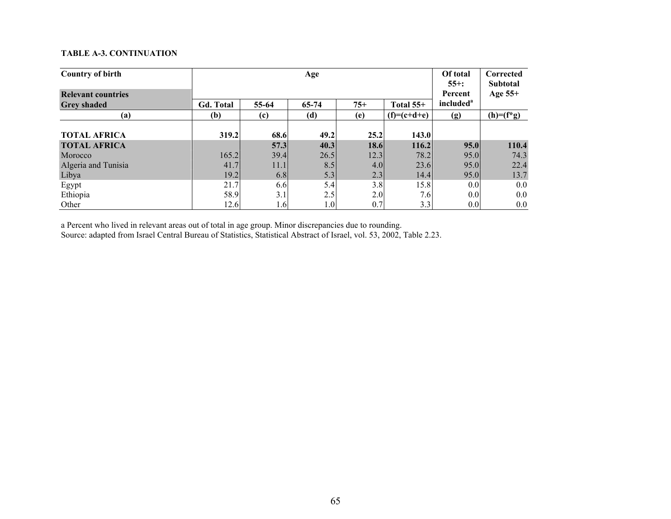#### **TABLE A-3. CONTINUATION**

| <b>Country of birth</b>   |                  |                            | Of total<br>$55+$ : | Corrected<br><b>Subtotal</b> |               |                       |             |
|---------------------------|------------------|----------------------------|---------------------|------------------------------|---------------|-----------------------|-------------|
| <b>Relevant countries</b> |                  |                            |                     |                              |               | Percent               | Age $55+$   |
| <b>Grey shaded</b>        | <b>Gd. Total</b> | 55-64                      | 65-74               | $75+$                        | Total $55+$   | included <sup>a</sup> |             |
| $\left( a\right)$         | (b)              | $\left( \mathrm{c}\right)$ | (d)                 | (e)                          | $(f)=(c+d+e)$ | (g)                   | $(h)=(f*g)$ |
| <b>TOTAL AFRICA</b>       | 319.2            | 68.6                       | 49.2                | 25.2                         | 143.0         |                       |             |
| <b>TOTAL AFRICA</b>       |                  | 57.3                       | 40.3                | 18.6                         | 116.2         | 95.0                  | 110.4       |
| Morocco                   | 165.2            | 39.4                       | 26.5                | 12.3                         | 78.2          | 95.0                  | 74.3        |
| Algeria and Tunisia       | 41.7             | 11.1                       | 8.5                 | 4.0                          | 23.6          | 95.0                  | 22.4        |
| Libya                     | 19.2             | 6.8                        | 5.3                 | 2.3                          | 14.4          | 95.0                  | 13.7        |
| Egypt                     | 21.7             | 6.6                        | 5.4                 | 3.8                          | 15.8          | 0.0                   | $0.0\,$     |
| Ethiopia                  | 58.9             | 3.1                        | 2.5                 | 2.0                          | 7.6           | 0.0                   | $0.0\,$     |
| Other                     | 12.6             | 1.6                        | 1.0                 | 0.7                          | 3.3           | 0.0                   | $0.0\,$     |

a Percent who lived in relevant areas out of total in age group. Minor discrepancies due to rounding.

Source: adapted from Israel Central Bureau of Statistics, Statistical Abstract of Israel, vol. 53, 2002, Table 2.23.